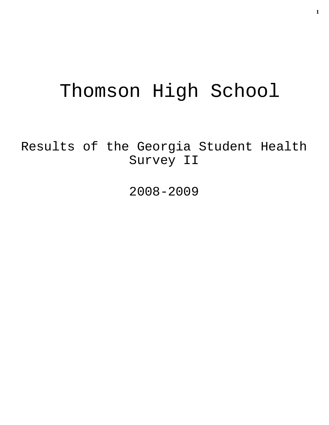# Thomson High School

Results of the Georgia Student Health Survey II

2008-2009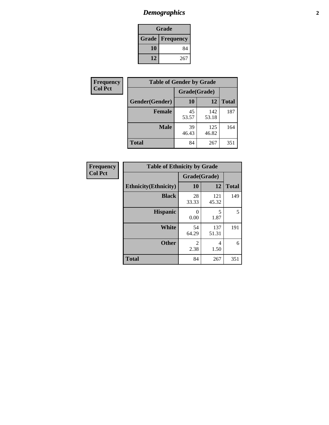# *Demographics* **2**

| Grade                    |     |  |  |
|--------------------------|-----|--|--|
| <b>Grade   Frequency</b> |     |  |  |
| 10                       | 84  |  |  |
| 12                       | 267 |  |  |

| Frequency      | <b>Table of Gender by Grade</b> |              |              |              |  |
|----------------|---------------------------------|--------------|--------------|--------------|--|
| <b>Col Pct</b> |                                 | Grade(Grade) |              |              |  |
|                | Gender(Gender)                  | 10           | 12           | <b>Total</b> |  |
|                | <b>Female</b>                   | 45<br>53.57  | 142<br>53.18 | 187          |  |
|                | <b>Male</b>                     | 39<br>46.43  | 125<br>46.82 | 164          |  |
|                | <b>Total</b>                    | 84           | 267          | 351          |  |

| <b>Frequency</b> |
|------------------|
| <b>Col Pct</b>   |

| <b>Table of Ethnicity by Grade</b> |              |              |              |  |  |  |
|------------------------------------|--------------|--------------|--------------|--|--|--|
|                                    | Grade(Grade) |              |              |  |  |  |
| <b>Ethnicity</b> (Ethnicity)       | 10           | 12           | <b>Total</b> |  |  |  |
| <b>Black</b>                       | 28<br>33.33  | 121<br>45.32 | 149          |  |  |  |
| <b>Hispanic</b>                    | 0<br>0.00    | 5<br>1.87    | 5            |  |  |  |
| White                              | 54<br>64.29  | 137<br>51.31 | 191          |  |  |  |
| <b>Other</b>                       | 2<br>2.38    | 4<br>1.50    | 6            |  |  |  |
| <b>Total</b>                       | 84           | 267          | 351          |  |  |  |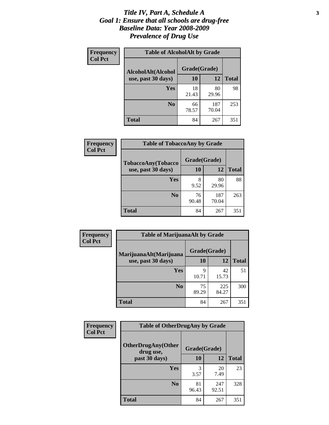#### *Title IV, Part A, Schedule A* **3** *Goal 1: Ensure that all schools are drug-free Baseline Data: Year 2008-2009 Prevalence of Drug Use*

| Frequency<br><b>Col Pct</b> | <b>Table of AlcoholAlt by Grade</b> |              |              |              |  |
|-----------------------------|-------------------------------------|--------------|--------------|--------------|--|
|                             | AlcoholAlt(Alcohol                  | Grade(Grade) |              |              |  |
|                             | use, past 30 days)                  | <b>10</b>    | 12           | <b>Total</b> |  |
|                             | Yes                                 | 18<br>21.43  | 80<br>29.96  | 98           |  |
|                             | N <sub>0</sub>                      | 66<br>78.57  | 187<br>70.04 | 253          |  |
|                             | Total                               | 84           | 267          | 351          |  |

| Frequency      | <b>Table of TobaccoAny by Grade</b> |              |              |              |  |
|----------------|-------------------------------------|--------------|--------------|--------------|--|
| <b>Col Pct</b> | <b>TobaccoAny(Tobacco</b>           | Grade(Grade) |              |              |  |
|                | use, past 30 days)                  | 10           | 12           | <b>Total</b> |  |
|                | Yes                                 | 8<br>9.52    | 80<br>29.96  | 88           |  |
|                | N <sub>0</sub>                      | 76<br>90.48  | 187<br>70.04 | 263          |  |
|                | Total                               | 84           | 267          | 351          |  |

| Frequency<br><b>Col Pct</b> | <b>Table of MarijuanaAlt by Grade</b> |              |              |              |  |
|-----------------------------|---------------------------------------|--------------|--------------|--------------|--|
|                             | MarijuanaAlt(Marijuana                | Grade(Grade) |              |              |  |
|                             | use, past 30 days)                    | 10           | 12           | <b>Total</b> |  |
|                             | <b>Yes</b>                            | 9<br>10.71   | 42<br>15.73  | 51           |  |
|                             | N <sub>0</sub>                        | 75<br>89.29  | 225<br>84.27 | 300          |  |
|                             | <b>Total</b>                          | 84           | 267          | 351          |  |

| <b>Frequency</b> | <b>Table of OtherDrugAny by Grade</b>  |              |              |              |  |
|------------------|----------------------------------------|--------------|--------------|--------------|--|
| <b>Col Pct</b>   | <b>OtherDrugAny(Other</b><br>drug use, | Grade(Grade) |              |              |  |
|                  | past 30 days)                          | 10           | 12           | <b>Total</b> |  |
|                  | Yes                                    | 3<br>3.57    | 20<br>7.49   | 23           |  |
|                  | N <sub>0</sub>                         | 81<br>96.43  | 247<br>92.51 | 328          |  |
|                  | <b>Total</b>                           | 84           | 267          | 351          |  |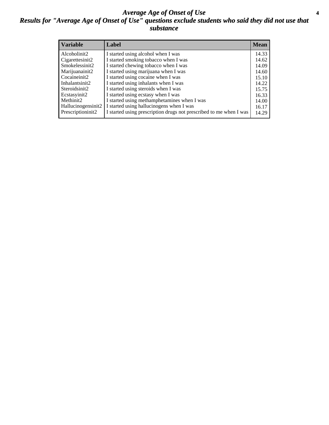#### *Average Age of Onset of Use* **4** *Results for "Average Age of Onset of Use" questions exclude students who said they did not use that substance*

| <b>Variable</b>    | Label                                                              | <b>Mean</b> |
|--------------------|--------------------------------------------------------------------|-------------|
| Alcoholinit2       | I started using alcohol when I was                                 | 14.33       |
| Cigarettesinit2    | I started smoking tobacco when I was                               | 14.62       |
| Smokelessinit2     | I started chewing tobacco when I was                               | 14.09       |
| Marijuanainit2     | I started using marijuana when I was                               | 14.60       |
| Cocaineinit2       | I started using cocaine when I was                                 | 15.10       |
| Inhalantsinit2     | I started using inhalants when I was                               | 14.22       |
| Steroidsinit2      | I started using steroids when I was                                | 15.75       |
| Ecstasyinit2       | I started using ecstasy when I was                                 | 16.33       |
| Methinit2          | I started using methamphetamines when I was                        | 14.00       |
| Hallucinogensinit2 | I started using hallucinogens when I was                           | 16.17       |
| Prescriptioninit2  | I started using prescription drugs not prescribed to me when I was | 14.29       |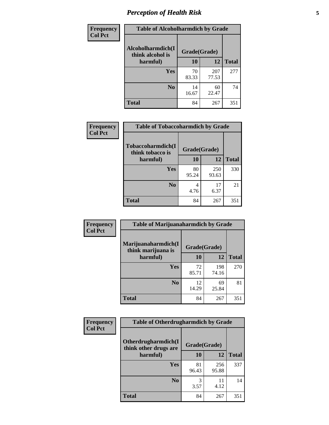# *Perception of Health Risk* **5**

| Frequency      | <b>Table of Alcoholharmdich by Grade</b> |              |              |              |
|----------------|------------------------------------------|--------------|--------------|--------------|
| <b>Col Pct</b> | Alcoholharmdich(I<br>think alcohol is    | Grade(Grade) |              |              |
|                | harmful)                                 | 10           | 12           | <b>Total</b> |
|                | Yes                                      | 70<br>83.33  | 207<br>77.53 | 277          |
|                | N <sub>0</sub>                           | 14<br>16.67  | 60<br>22.47  | 74           |
|                | <b>Total</b>                             | 84           | 267          | 351          |

| Frequency      | <b>Table of Tobaccoharmdich by Grade</b> |              |              |              |  |
|----------------|------------------------------------------|--------------|--------------|--------------|--|
| <b>Col Pct</b> | Tobaccoharmdich(I<br>think tobacco is    | Grade(Grade) |              |              |  |
|                | harmful)                                 | 10           | 12           | <b>Total</b> |  |
|                | Yes                                      | 80<br>95.24  | 250<br>93.63 | 330          |  |
|                | N <sub>0</sub>                           | 4<br>4.76    | 17<br>6.37   | 21           |  |
|                | <b>Total</b>                             | 84           | 267          | 351          |  |

| Frequency      | <b>Table of Marijuanaharmdich by Grade</b> |              |              |              |  |  |
|----------------|--------------------------------------------|--------------|--------------|--------------|--|--|
| <b>Col Pct</b> | Marijuanaharmdich(I<br>think marijuana is  | Grade(Grade) |              |              |  |  |
|                | harmful)                                   | <b>10</b>    | 12           | <b>Total</b> |  |  |
|                | Yes                                        | 72<br>85.71  | 198<br>74.16 | 270          |  |  |
|                | N <sub>0</sub>                             | 12<br>14.29  | 69<br>25.84  | 81           |  |  |
|                | <b>Total</b>                               | 84           | 267          | 351          |  |  |

| Frequency      | <b>Table of Otherdrugharmdich by Grade</b>                   |             |              |              |  |
|----------------|--------------------------------------------------------------|-------------|--------------|--------------|--|
| <b>Col Pct</b> | Otherdrugharmdich(I<br>Grade(Grade)<br>think other drugs are |             |              |              |  |
|                | harmful)                                                     | <b>10</b>   | 12           | <b>Total</b> |  |
|                | <b>Yes</b>                                                   | 81<br>96.43 | 256<br>95.88 | 337          |  |
|                | N <sub>0</sub>                                               | 3.57        | 11<br>4.12   | 14           |  |
|                | <b>Total</b>                                                 | 84          | 267          | 351          |  |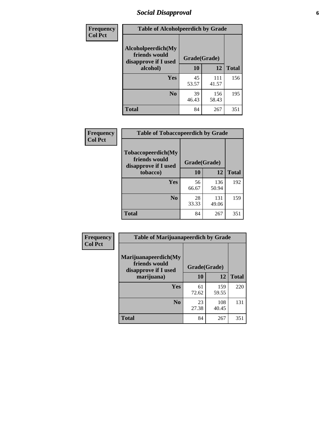### *Social Disapproval* **6**

| Frequency      | <b>Table of Alcoholpeerdich by Grade</b>                    |              |              |              |
|----------------|-------------------------------------------------------------|--------------|--------------|--------------|
| <b>Col Pct</b> | Alcoholpeerdich(My<br>friends would<br>disapprove if I used | Grade(Grade) |              |              |
|                | alcohol)                                                    |              | 12           | <b>Total</b> |
|                | <b>Yes</b>                                                  | 45<br>53.57  | 111<br>41.57 | 156          |
|                | N <sub>0</sub>                                              | 39<br>46.43  | 156<br>58.43 | 195          |
|                | <b>Total</b>                                                | 84           | 267          | 351          |

| <b>Frequency</b> |
|------------------|
| <b>Col Pct</b>   |

| <b>Table of Tobaccopeerdich by Grade</b>                            |              |              |              |  |  |
|---------------------------------------------------------------------|--------------|--------------|--------------|--|--|
| <b>Tobaccopeerdich</b> (My<br>friends would<br>disapprove if I used | Grade(Grade) |              |              |  |  |
| tobacco)                                                            | 10           | 12           | <b>Total</b> |  |  |
| Yes                                                                 | 56<br>66.67  | 136<br>50.94 | 192          |  |  |
| N <sub>0</sub>                                                      | 28<br>33.33  | 131<br>49.06 | 159          |  |  |
| <b>Total</b>                                                        | 84           | 267          | 351          |  |  |

| Frequency      | <b>Table of Marijuanapeerdich by Grade</b>                    |              |              |              |  |  |
|----------------|---------------------------------------------------------------|--------------|--------------|--------------|--|--|
| <b>Col Pct</b> | Marijuanapeerdich(My<br>friends would<br>disapprove if I used | Grade(Grade) |              |              |  |  |
|                | marijuana)                                                    | 10           | 12           | <b>Total</b> |  |  |
|                | <b>Yes</b>                                                    | 61<br>72.62  | 159<br>59.55 | 220          |  |  |
|                | N <sub>0</sub>                                                | 23<br>27.38  | 108<br>40.45 | 131          |  |  |
|                | <b>Total</b>                                                  | 84           | 267          | 351          |  |  |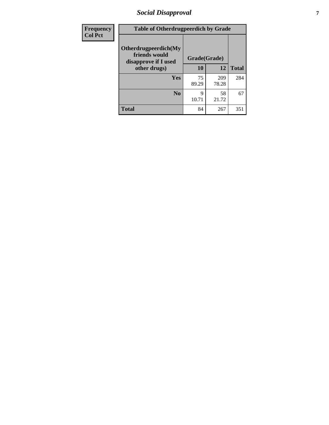### *Social Disapproval* **7**

| Frequency      | <b>Table of Otherdrugpeerdich by Grade</b>                    |              |              |              |  |
|----------------|---------------------------------------------------------------|--------------|--------------|--------------|--|
| <b>Col Pct</b> | Otherdrugpeerdich(My<br>friends would<br>disapprove if I used | Grade(Grade) |              |              |  |
|                | other drugs)                                                  | 10           | 12           | <b>Total</b> |  |
|                | Yes                                                           | 75<br>89.29  | 209<br>78.28 | 284          |  |
|                | N <sub>0</sub>                                                | 9<br>10.71   | 58<br>21.72  | 67           |  |
|                | <b>Total</b>                                                  | 84           | 267          | 351          |  |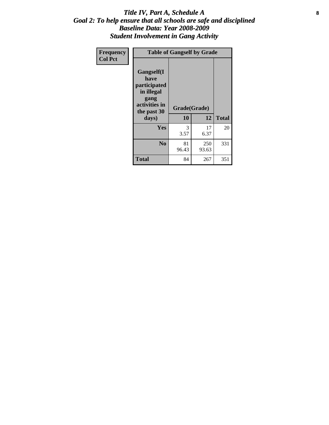#### Title IV, Part A, Schedule A **8** *Goal 2: To help ensure that all schools are safe and disciplined Baseline Data: Year 2008-2009 Student Involvement in Gang Activity*

| Frequency      | <b>Table of Gangself by Grade</b>                                                                 |                    |              |              |
|----------------|---------------------------------------------------------------------------------------------------|--------------------|--------------|--------------|
| <b>Col Pct</b> | Gangself(I<br>have<br>participated<br>in illegal<br>gang<br>activities in<br>the past 30<br>days) | Grade(Grade)<br>10 | 12           | <b>Total</b> |
|                | Yes                                                                                               | 3<br>3.57          | 17<br>6.37   | 20           |
|                | N <sub>0</sub>                                                                                    | 81<br>96.43        | 250<br>93.63 | 331          |
|                | <b>Total</b>                                                                                      | 84                 | 267          | 351          |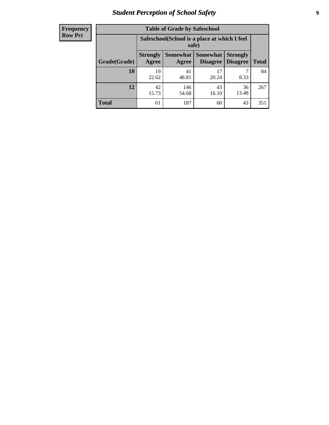# *Student Perception of School Safety* **9**

| <b>Frequency</b><br>Row Pct |
|-----------------------------|
|                             |

| <b>Table of Grade by Safeschool</b> |                                                                                                                                           |                                                        |             |             |     |  |  |
|-------------------------------------|-------------------------------------------------------------------------------------------------------------------------------------------|--------------------------------------------------------|-------------|-------------|-----|--|--|
|                                     |                                                                                                                                           | Safeschool (School is a place at which I feel<br>safe) |             |             |     |  |  |
| Grade(Grade)                        | <b>Somewhat</b><br><b>Somewhat</b><br><b>Strongly</b><br><b>Strongly</b><br><b>Disagree</b><br>Agree<br>Disagree<br><b>Total</b><br>Agree |                                                        |             |             |     |  |  |
| 10                                  | 19<br>22.62                                                                                                                               | 41<br>48.81                                            | 17<br>20.24 | 8.33        | 84  |  |  |
| 12                                  | 42<br>15.73                                                                                                                               | 146<br>54.68                                           | 43<br>16.10 | 36<br>13.48 | 267 |  |  |
| <b>Total</b>                        | 61                                                                                                                                        | 187                                                    | 60          | 43          | 351 |  |  |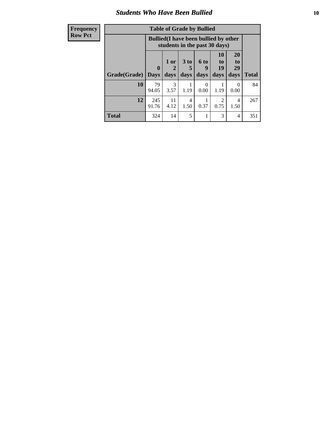#### *Students Who Have Been Bullied* **10**

| <b>Frequency</b> | <b>Table of Grade by Bullied</b> |                                                                               |                       |                 |           |                                     |                       |              |
|------------------|----------------------------------|-------------------------------------------------------------------------------|-----------------------|-----------------|-----------|-------------------------------------|-----------------------|--------------|
| <b>Row Pct</b>   |                                  | <b>Bullied</b> (I have been bullied by other<br>students in the past 30 days) |                       |                 |           |                                     |                       |              |
|                  |                                  | $\mathbf{0}$                                                                  | 1 or<br>2             | 3 <sub>to</sub> | 6 to<br>g | <b>10</b><br>to<br>19               | <b>20</b><br>to<br>29 |              |
|                  | Grade(Grade)                     | <b>Days</b>                                                                   | days                  | days            | days      | days                                | days                  | <b>Total</b> |
|                  | 10                               | 79<br>94.05                                                                   | $\mathcal{R}$<br>3.57 | 1.19            | 0<br>0.00 | 1.19                                | $\Omega$<br>0.00      | 84           |
|                  | 12                               | 245<br>91.76                                                                  | 11<br>4.12            | 4<br>1.50       | 0.37      | $\mathcal{D}_{\mathcal{L}}$<br>0.75 | 4<br>1.50             | 267          |
|                  | <b>Total</b>                     | 324                                                                           | 14                    | 5               |           | 3                                   | $\overline{4}$        | 351          |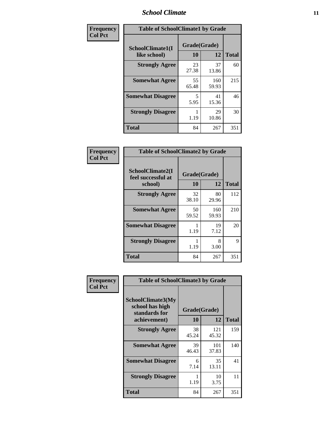#### *School Climate* **11**

| Frequency      | <b>Table of SchoolClimate1 by Grade</b> |                    |              |              |  |  |
|----------------|-----------------------------------------|--------------------|--------------|--------------|--|--|
| <b>Col Pct</b> | SchoolClimate1(I<br>like school)        | Grade(Grade)<br>10 | 12           | <b>Total</b> |  |  |
|                | <b>Strongly Agree</b>                   | 23<br>27.38        | 37<br>13.86  | 60           |  |  |
|                | <b>Somewhat Agree</b>                   | 55<br>65.48        | 160<br>59.93 | 215          |  |  |
|                | <b>Somewhat Disagree</b>                | 5<br>5.95          | 41<br>15.36  | 46           |  |  |
|                | <b>Strongly Disagree</b>                | 1.19               | 29<br>10.86  | 30           |  |  |
|                | <b>Total</b>                            | 84                 | 267          | 351          |  |  |

| Frequency      | <b>Table of SchoolClimate2 by Grade</b>           |                    |              |              |
|----------------|---------------------------------------------------|--------------------|--------------|--------------|
| <b>Col Pct</b> | SchoolClimate2(I<br>feel successful at<br>school) | Grade(Grade)<br>10 | 12           | <b>Total</b> |
|                | <b>Strongly Agree</b>                             | 32<br>38.10        | 80<br>29.96  | 112          |
|                | <b>Somewhat Agree</b>                             | 50<br>59.52        | 160<br>59.93 | 210          |
|                | <b>Somewhat Disagree</b>                          | 1.19               | 19<br>7.12   | 20           |
|                | <b>Strongly Disagree</b>                          | 1.19               | 8<br>3.00    | 9            |
|                | <b>Total</b>                                      | 84                 | 267          | 351          |

| Frequency | <b>Table of SchoolClimate3 by Grade</b>                      |              |              |              |
|-----------|--------------------------------------------------------------|--------------|--------------|--------------|
| Col Pct   | <b>SchoolClimate3(My</b><br>school has high<br>standards for | Grade(Grade) |              |              |
|           | achievement)                                                 | <b>10</b>    | 12           | <b>Total</b> |
|           | <b>Strongly Agree</b>                                        | 38<br>45.24  | 121<br>45.32 | 159          |
|           | <b>Somewhat Agree</b>                                        | 39<br>46.43  | 101<br>37.83 | 140          |
|           | <b>Somewhat Disagree</b>                                     | 6<br>7.14    | 35<br>13.11  | 41           |
|           | <b>Strongly Disagree</b>                                     | 1.19         | 10<br>3.75   | 11           |
|           | Total                                                        | 84           | 267          | 351          |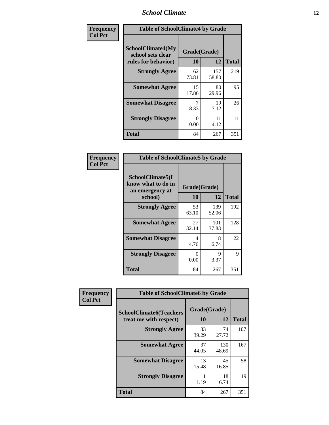#### *School Climate* **12**

| Frequency      | <b>Table of SchoolClimate4 by Grade</b>                       |                    |              |              |
|----------------|---------------------------------------------------------------|--------------------|--------------|--------------|
| <b>Col Pct</b> | SchoolClimate4(My<br>school sets clear<br>rules for behavior) | Grade(Grade)<br>10 | 12           | <b>Total</b> |
|                | <b>Strongly Agree</b>                                         | 62<br>73.81        | 157<br>58.80 | 219          |
|                | <b>Somewhat Agree</b>                                         | 15<br>17.86        | 80<br>29.96  | 95           |
|                | <b>Somewhat Disagree</b>                                      | 7<br>8.33          | 19<br>7.12   | 26           |
|                | <b>Strongly Disagree</b>                                      | 0<br>0.00          | 11<br>4.12   | 11           |
|                | <b>Total</b>                                                  | 84                 | 267          | 351          |

| <b>Table of SchoolClimate5 by Grade</b>                   |              |              |              |  |  |
|-----------------------------------------------------------|--------------|--------------|--------------|--|--|
| SchoolClimate5(I<br>know what to do in<br>an emergency at | Grade(Grade) |              |              |  |  |
| school)                                                   | 10           | 12           | <b>Total</b> |  |  |
| <b>Strongly Agree</b>                                     | 53<br>63.10  | 139<br>52.06 | 192          |  |  |
| <b>Somewhat Agree</b>                                     | 27<br>32.14  | 101<br>37.83 | 128          |  |  |
| <b>Somewhat Disagree</b>                                  | 4<br>4.76    | 18<br>6.74   | 22           |  |  |
| <b>Strongly Disagree</b>                                  | 0<br>0.00    | 9<br>3.37    | 9            |  |  |
| <b>Total</b>                                              | 84           | 267          | 351          |  |  |

| Frequency      | <b>Table of SchoolClimate6 by Grade</b>                  |                    |              |              |
|----------------|----------------------------------------------------------|--------------------|--------------|--------------|
| <b>Col Pct</b> | <b>SchoolClimate6(Teachers</b><br>treat me with respect) | Grade(Grade)<br>10 | 12           | <b>Total</b> |
|                | <b>Strongly Agree</b>                                    | 33<br>39.29        | 74<br>27.72  | 107          |
|                | <b>Somewhat Agree</b>                                    | 37<br>44.05        | 130<br>48.69 | 167          |
|                | <b>Somewhat Disagree</b>                                 | 13<br>15.48        | 45<br>16.85  | 58           |
|                | <b>Strongly Disagree</b>                                 | 1.19               | 18<br>6.74   | 19           |
|                | <b>Total</b>                                             | 84                 | 267          | 351          |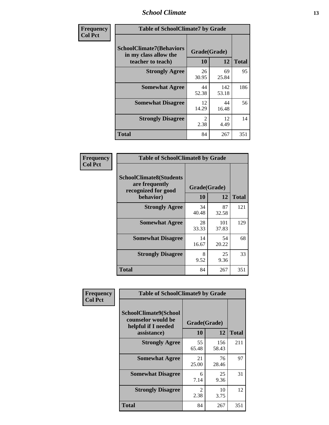#### *School Climate* **13**

| Frequency      | <b>Table of SchoolClimate7 by Grade</b>                                       |                        |              |              |
|----------------|-------------------------------------------------------------------------------|------------------------|--------------|--------------|
| <b>Col Pct</b> | <b>SchoolClimate7(Behaviors</b><br>in my class allow the<br>teacher to teach) | Grade(Grade)<br>10     | 12           | <b>Total</b> |
|                | <b>Strongly Agree</b>                                                         | 26<br>30.95            | 69<br>25.84  | 95           |
|                | <b>Somewhat Agree</b>                                                         | 44<br>52.38            | 142<br>53.18 | 186          |
|                | <b>Somewhat Disagree</b>                                                      | 12<br>14.29            | 44<br>16.48  | 56           |
|                | <b>Strongly Disagree</b>                                                      | $\mathfrak{D}$<br>2.38 | 12<br>4.49   | 14           |
|                | <b>Total</b>                                                                  | 84                     | 267          | 351          |

| Frequency      | <b>Table of SchoolClimate8 by Grade</b>                                              |                    |              |              |
|----------------|--------------------------------------------------------------------------------------|--------------------|--------------|--------------|
| <b>Col Pct</b> | <b>SchoolClimate8(Students</b><br>are frequently<br>recognized for good<br>behavior) | Grade(Grade)<br>10 | 12           | <b>Total</b> |
|                | <b>Strongly Agree</b>                                                                | 34<br>40.48        | 87<br>32.58  | 121          |
|                | <b>Somewhat Agree</b>                                                                | 28<br>33.33        | 101<br>37.83 | 129          |
|                | <b>Somewhat Disagree</b>                                                             | 14<br>16.67        | 54<br>20.22  | 68           |
|                | <b>Strongly Disagree</b>                                                             | 8<br>9.52          | 25<br>9.36   | 33           |
|                | <b>Total</b>                                                                         | 84                 | 267          | 351          |

| Frequency      | <b>Table of SchoolClimate9 by Grade</b>                                                  |                    |              |              |
|----------------|------------------------------------------------------------------------------------------|--------------------|--------------|--------------|
| <b>Col Pct</b> | <b>SchoolClimate9(School</b><br>counselor would be<br>helpful if I needed<br>assistance) | Grade(Grade)<br>10 | 12           | <b>Total</b> |
|                | <b>Strongly Agree</b>                                                                    | 55<br>65.48        | 156<br>58.43 | 211          |
|                | <b>Somewhat Agree</b>                                                                    | 21<br>25.00        | 76<br>28.46  | 97           |
|                | <b>Somewhat Disagree</b>                                                                 | 6<br>7.14          | 25<br>9.36   | 31           |
|                | <b>Strongly Disagree</b>                                                                 | 2<br>2.38          | 10<br>3.75   | 12           |
|                | Total                                                                                    | 84                 | 267          | 351          |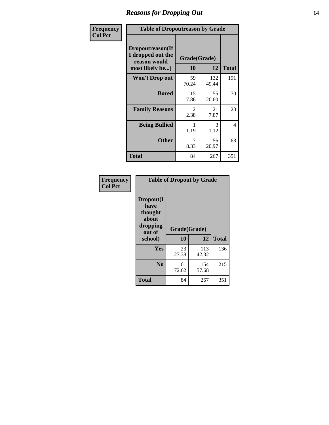### *Reasons for Dropping Out* **14**

| Frequency      | <b>Table of Dropoutreason by Grade</b>                                   |                        |              |              |
|----------------|--------------------------------------------------------------------------|------------------------|--------------|--------------|
| <b>Col Pct</b> | Dropoutreason(If<br>I dropped out the<br>reason would<br>most likely be) | Grade(Grade)<br>10     | 12           | <b>Total</b> |
|                | Won't Drop out                                                           | 59<br>70.24            | 132<br>49.44 | 191          |
|                | <b>Bored</b>                                                             | 15<br>17.86            | 55<br>20.60  | 70           |
|                | <b>Family Reasons</b>                                                    | $\mathfrak{D}$<br>2.38 | 21<br>7.87   | 23           |
|                | <b>Being Bullied</b>                                                     | 1<br>1.19              | 3<br>1.12    | 4            |
|                | <b>Other</b>                                                             | 7<br>8.33              | 56<br>20.97  | 63           |
|                | <b>Total</b>                                                             | 84                     | 267          | 351          |

| Frequency<br><b>Col Pct</b> | <b>Table of Dropout by Grade</b>                                       |                    |              |              |  |
|-----------------------------|------------------------------------------------------------------------|--------------------|--------------|--------------|--|
|                             | Dropout(I<br>have<br>thought<br>about<br>dropping<br>out of<br>school) | Grade(Grade)<br>10 | 12           | <b>Total</b> |  |
|                             | <b>Yes</b>                                                             | 23<br>27.38        | 113<br>42.32 | 136          |  |
|                             | N <sub>0</sub>                                                         | 61<br>72.62        | 154<br>57.68 | 215          |  |
|                             | <b>Total</b>                                                           | 84                 | 267          | 351          |  |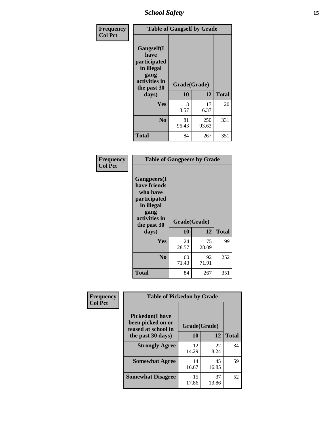*School Safety* **15**

| Frequency      | <b>Table of Gangself by Grade</b>                                                        |              |              |              |
|----------------|------------------------------------------------------------------------------------------|--------------|--------------|--------------|
| <b>Col Pct</b> | Gangself(I<br>have<br>participated<br>in illegal<br>gang<br>activities in<br>the past 30 | Grade(Grade) |              |              |
|                | days)                                                                                    | 10           | 12           | <b>Total</b> |
|                | Yes                                                                                      | 3<br>3.57    | 17<br>6.37   | 20           |
|                | N <sub>0</sub>                                                                           | 81<br>96.43  | 250<br>93.63 | 331          |
|                | Total                                                                                    | 84           | 267          | 351          |

| Frequency<br><b>Col Pct</b> | <b>Table of Gangpeers by Grade</b>                                                                                             |                    |              |              |
|-----------------------------|--------------------------------------------------------------------------------------------------------------------------------|--------------------|--------------|--------------|
|                             | <b>Gangpeers</b> (I<br>have friends<br>who have<br>participated<br>in illegal<br>gang<br>activities in<br>the past 30<br>days) | Grade(Grade)<br>10 | 12           | <b>Total</b> |
|                             | <b>Yes</b>                                                                                                                     | 24<br>28.57        | 75<br>28.09  | 99           |
|                             | N <sub>0</sub>                                                                                                                 | 60<br>71.43        | 192<br>71.91 | 252          |
|                             | <b>Total</b>                                                                                                                   | 84                 | 267          | 351          |

| Frequency<br><b>Col Pct</b>                                        | <b>Table of Pickedon by Grade</b> |              |             |              |
|--------------------------------------------------------------------|-----------------------------------|--------------|-------------|--------------|
| <b>Pickedon(I have</b><br>been picked on or<br>teased at school in |                                   | Grade(Grade) |             |              |
|                                                                    | the past 30 days)                 | 10           | 12          | <b>Total</b> |
|                                                                    | <b>Strongly Agree</b>             | 12<br>14.29  | 22<br>8.24  | 34           |
|                                                                    | <b>Somewhat Agree</b>             | 14<br>16.67  | 45<br>16.85 | 59           |
|                                                                    | <b>Somewhat Disagree</b>          | 15<br>17.86  | 37<br>13.86 | 52           |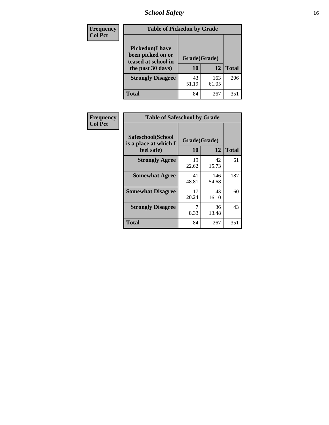*School Safety* **16**

| <b>Frequency</b> | <b>Table of Pickedon by Grade</b>                                                        |                    |              |              |  |  |  |  |  |  |
|------------------|------------------------------------------------------------------------------------------|--------------------|--------------|--------------|--|--|--|--|--|--|
| <b>Col Pct</b>   | <b>Pickedon</b> (I have<br>been picked on or<br>teased at school in<br>the past 30 days) | Grade(Grade)<br>10 | 12           | <b>Total</b> |  |  |  |  |  |  |
|                  | <b>Strongly Disagree</b>                                                                 | 43<br>51.19        | 163<br>61.05 | 206          |  |  |  |  |  |  |
|                  | Total                                                                                    | 84                 | 267          | 351          |  |  |  |  |  |  |

| <b>Frequency</b> | <b>Table of Safeschool by Grade</b>        |              |              |              |
|------------------|--------------------------------------------|--------------|--------------|--------------|
| <b>Col Pct</b>   | Safeschool(School<br>is a place at which I | Grade(Grade) |              |              |
|                  | feel safe)                                 | 10           | 12           | <b>Total</b> |
|                  | <b>Strongly Agree</b>                      | 19<br>22.62  | 42<br>15.73  | 61           |
|                  | <b>Somewhat Agree</b>                      | 41<br>48.81  | 146<br>54.68 | 187          |
|                  | <b>Somewhat Disagree</b>                   | 17<br>20.24  | 43<br>16.10  | 60           |
|                  | <b>Strongly Disagree</b>                   | 7<br>8.33    | 36<br>13.48  | 43           |
|                  | <b>Total</b>                               | 84           | 267          | 351          |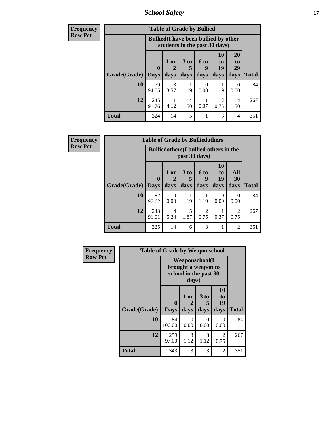*School Safety* **17**

| <b>Frequency</b> |                     |                                                                               | <b>Table of Grade by Bullied</b> |                              |                   |                        |                        |              |
|------------------|---------------------|-------------------------------------------------------------------------------|----------------------------------|------------------------------|-------------------|------------------------|------------------------|--------------|
| <b>Row Pct</b>   |                     | <b>Bullied</b> (I have been bullied by other<br>students in the past 30 days) |                                  |                              |                   |                        |                        |              |
|                  | Grade(Grade)   Days | $\mathbf 0$                                                                   | 1 or<br>days                     | 3 <sub>to</sub><br>5<br>days | 6 to<br>9<br>days | 10<br>to<br>19<br>days | 20<br>to<br>29<br>days | <b>Total</b> |
|                  | 10                  | 79<br>94.05                                                                   | 3<br>3.57                        | 1.19                         | 0<br>0.00         | 1.19                   | $\Omega$<br>0.00       | 84           |
|                  | 12                  | 245<br>91.76                                                                  | 11<br>4.12                       | 4<br>1.50                    | 0.37              | 2<br>0.75              | 4<br>1.50              | 267          |
|                  | <b>Total</b>        | 324                                                                           | 14                               | 5                            |                   | 3                      | 4                      | 351          |

| Frequency      |                     | <b>Table of Grade by Bulliedothers</b> |                                                                |              |                          |                               |                        |              |  |
|----------------|---------------------|----------------------------------------|----------------------------------------------------------------|--------------|--------------------------|-------------------------------|------------------------|--------------|--|
| <b>Row Pct</b> |                     |                                        | <b>Bulliedothers</b> (I bullied others in the<br>past 30 days) |              |                          |                               |                        |              |  |
|                | Grade(Grade)   Days | $\bf{0}$                               | 1 or<br>days                                                   | 3 to<br>days | <b>6 to</b><br>9<br>days | <b>10</b><br>to<br>19<br>days | All<br>30<br>days      | <b>Total</b> |  |
|                | 10                  | 82<br>97.62                            | $\Omega$<br>0.00                                               | 1.19         | 1.19                     | 0<br>0.00                     | 0<br>0.00              | 84           |  |
|                | 12                  | 243<br>91.01                           | 14<br>5.24                                                     | 5<br>1.87    | $\mathfrak{D}$<br>0.75   | 0.37                          | $\overline{2}$<br>0.75 | 267          |  |
|                | <b>Total</b>        | 325                                    | 14                                                             | 6            | 3                        |                               | $\overline{2}$         | 351          |  |

| Frequency      | <b>Table of Grade by Weaponschool</b> |                                                                        |                   |                              |                        |              |  |  |  |  |
|----------------|---------------------------------------|------------------------------------------------------------------------|-------------------|------------------------------|------------------------|--------------|--|--|--|--|
| <b>Row Pct</b> |                                       | <b>Weaponschool</b> (I<br>brought a weapon to<br>school in the past 30 |                   |                              |                        |              |  |  |  |  |
|                | Grade(Grade)                          | 0<br><b>Days</b>                                                       | 1 or<br>2<br>days | 3 <sub>to</sub><br>5<br>days | 10<br>to<br>19<br>days | <b>Total</b> |  |  |  |  |
|                | 10                                    | 84<br>100.00                                                           | $\Omega$<br>0.00  | $\theta$<br>0.00             | $\theta$<br>0.00       | 84           |  |  |  |  |
|                | 12                                    | 259<br>97.00                                                           | 3<br>1.12         | 3<br>1.12                    | $\overline{2}$<br>0.75 | 267          |  |  |  |  |
|                | <b>Total</b>                          | 343                                                                    | 3                 | 3                            | $\overline{2}$         | 351          |  |  |  |  |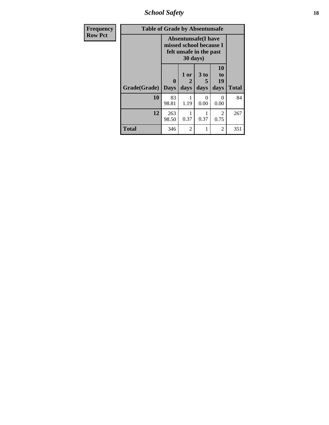*School Safety* **18**

| <b>Frequency</b> | <b>Table of Grade by Absentunsafe</b> |                             |                                                                                              |                   |                        |              |  |  |  |  |  |
|------------------|---------------------------------------|-----------------------------|----------------------------------------------------------------------------------------------|-------------------|------------------------|--------------|--|--|--|--|--|
| <b>Row Pct</b>   |                                       |                             | <b>Absentunsafe(I have</b><br>missed school because I<br>felt unsafe in the past<br>30 days) |                   |                        |              |  |  |  |  |  |
|                  | Grade(Grade)                          | $\mathbf{0}$<br><b>Days</b> | 1 or<br>2<br>days                                                                            | 3 to<br>5<br>days | 10<br>to<br>19<br>days | <b>Total</b> |  |  |  |  |  |
|                  | <b>10</b>                             | 83<br>98.81                 | 1.19                                                                                         | $\Omega$<br>0.00  | 0<br>0.00              | 84           |  |  |  |  |  |
|                  | 12                                    | 263<br>98.50                | 0.37                                                                                         | 1<br>0.37         | 2<br>0.75              | 267          |  |  |  |  |  |
|                  | <b>Total</b>                          | 346                         | $\overline{2}$                                                                               | 1                 | $\overline{2}$         | 351          |  |  |  |  |  |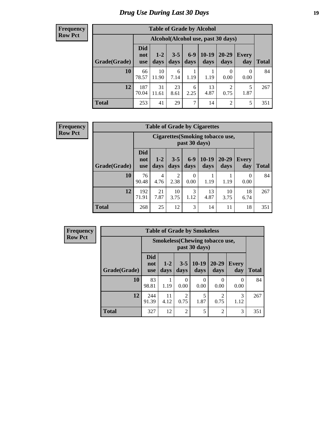### *Drug Use During Last 30 Days* **19**

#### **Frequency Row Pct**

| <b>Table of Grade by Alcohol</b> |                          |                                    |                 |               |                 |                        |                  |       |  |  |
|----------------------------------|--------------------------|------------------------------------|-----------------|---------------|-----------------|------------------------|------------------|-------|--|--|
|                                  |                          | Alcohol(Alcohol use, past 30 days) |                 |               |                 |                        |                  |       |  |  |
| Grade(Grade)                     | <b>Did</b><br>not<br>use | $1-2$<br>days                      | $3 - 5$<br>days | $6-9$<br>days | $10-19$<br>days | 20-29<br>days          | Every<br>day     | Total |  |  |
| 10                               | 66<br>78.57              | 10<br>11.90                        | 6<br>7.14       | 1.19          | 1.19            | $\Omega$<br>0.00       | $\theta$<br>0.00 | 84    |  |  |
| 12                               | 187<br>70.04             | 31<br>11.61                        | 23<br>8.61      | 6<br>2.25     | 13<br>4.87      | $\overline{2}$<br>0.75 | 5<br>1.87        | 267   |  |  |
| <b>Total</b>                     | 253                      | 41                                 | 29              | 7             | 14              | $\overline{2}$         | 5                | 351   |  |  |

#### **Frequency Row Pct**

| <b>Table of Grade by Cigarettes</b> |                                                                                                                                                                |                                                   |                        |                  |            |            |            |     |  |  |
|-------------------------------------|----------------------------------------------------------------------------------------------------------------------------------------------------------------|---------------------------------------------------|------------------------|------------------|------------|------------|------------|-----|--|--|
|                                     |                                                                                                                                                                | Cigarettes (Smoking tobacco use,<br>past 30 days) |                        |                  |            |            |            |     |  |  |
| Grade(Grade)                        | <b>Did</b><br>$10-19$<br>$6-9$<br>$20 - 29$<br>$3 - 5$<br>$1 - 2$<br><b>Every</b><br>not<br>Total<br>days<br>days<br>days<br>days<br>day<br>days<br><b>use</b> |                                                   |                        |                  |            |            |            |     |  |  |
| 10                                  | 76<br>90.48                                                                                                                                                    | 4<br>4.76                                         | $\overline{2}$<br>2.38 | $\theta$<br>0.00 | 1.19       | 1.19       | 0<br>0.00  | 84  |  |  |
| 12                                  | 192<br>71.91                                                                                                                                                   | 21<br>7.87                                        | 10<br>3.75             | 3<br>1.12        | 13<br>4.87 | 10<br>3.75 | 18<br>6.74 | 267 |  |  |
| <b>Total</b>                        | 268                                                                                                                                                            | 25                                                | 12                     | 3                | 14         | 11         | 18         | 351 |  |  |

**Frequency Row Pct**

| <b>Table of Grade by Smokeless</b> |                                                                                                                                                    |                                                                                         |                |           |                |           |     |  |  |
|------------------------------------|----------------------------------------------------------------------------------------------------------------------------------------------------|-----------------------------------------------------------------------------------------|----------------|-----------|----------------|-----------|-----|--|--|
|                                    |                                                                                                                                                    | <b>Smokeless</b> (Chewing tobaccouse,<br>past 30 days)                                  |                |           |                |           |     |  |  |
| Grade(Grade)                       | <b>Did</b><br>$10-19$<br>$20 - 29$<br>$1-2$<br>$3 - 5$<br><b>Every</b><br>not<br>days<br>days<br>days<br><b>Total</b><br>day<br>days<br><b>use</b> |                                                                                         |                |           |                |           |     |  |  |
| 10                                 | 83<br>98.81                                                                                                                                        | 1.19                                                                                    | 0<br>0.00      | 0<br>0.00 | 0<br>0.00      | 0<br>0.00 | 84  |  |  |
| 12                                 | 244<br>91.39                                                                                                                                       | 5<br>3<br>$\mathfrak{D}$<br>$\mathcal{D}$<br>11<br>1.87<br>4.12<br>0.75<br>0.75<br>1.12 |                |           |                |           |     |  |  |
| <b>Total</b>                       | 327                                                                                                                                                | 12                                                                                      | $\overline{2}$ | 5         | $\overline{c}$ | 3         | 351 |  |  |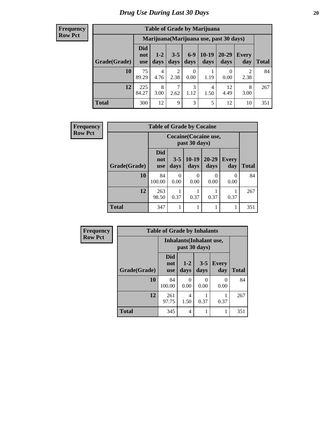#### **Frequency Row Pct**

| <b>Table of Grade by Marijuana</b> |                          |                                         |                        |               |                 |                   |                     |       |  |  |
|------------------------------------|--------------------------|-----------------------------------------|------------------------|---------------|-----------------|-------------------|---------------------|-------|--|--|
|                                    |                          | Marijuana (Marijuana use, past 30 days) |                        |               |                 |                   |                     |       |  |  |
| Grade(Grade)                       | Did<br>not<br><b>use</b> | $1 - 2$<br>days                         | $3 - 5$<br>days        | $6-9$<br>days | $10-19$<br>days | $20 - 29$<br>days | <b>Every</b><br>day | Total |  |  |
| 10                                 | 75<br>89.29              | 4<br>4.76                               | $\mathfrak{D}$<br>2.38 | 0<br>0.00     | 1.19            | 0.00              | 2<br>2.38           | 84    |  |  |
| 12                                 | 225<br>84.27             | 8<br>3.00                               | 2.62                   | 3<br>1.12     | 4<br>1.50       | 12<br>4.49        | 8<br>3.00           | 267   |  |  |
| <b>Total</b>                       | 300                      | 12                                      | 9                      | 3             | 5               | 12                | 10                  | 351   |  |  |

| Frequency      |              | <b>Table of Grade by Cocaine</b> |                 |                  |                   |                     |              |  |  |  |
|----------------|--------------|----------------------------------|-----------------|------------------|-------------------|---------------------|--------------|--|--|--|
| <b>Row Pct</b> |              | Cocaine (Cocaine use,            |                 |                  |                   |                     |              |  |  |  |
|                | Grade(Grade) | Did<br>not<br><b>use</b>         | $3 - 5$<br>days | $10-19$<br>days  | $20 - 29$<br>days | <b>Every</b><br>day | <b>Total</b> |  |  |  |
|                | 10           | 84<br>100.00                     | 0<br>0.00       | $\Omega$<br>0.00 | $\Omega$<br>0.00  | 0<br>0.00           | 84           |  |  |  |
|                | 12           | 263<br>98.50                     | 0.37            | 0.37             | 0.37              | 0.37                | 267          |  |  |  |
|                | <b>Total</b> | 347                              |                 |                  | 1                 |                     | 351          |  |  |  |

| <b>Frequency</b> |              | <b>Table of Grade by Inhalants</b>               |                  |                 |                     |              |  |  |  |
|------------------|--------------|--------------------------------------------------|------------------|-----------------|---------------------|--------------|--|--|--|
| <b>Row Pct</b>   |              | <b>Inhalants</b> (Inhalant use,<br>past 30 days) |                  |                 |                     |              |  |  |  |
|                  | Grade(Grade) | <b>Did</b><br>not<br>use                         | $1 - 2$<br>days  | $3 - 5$<br>days | <b>Every</b><br>day | <b>Total</b> |  |  |  |
|                  | 10           | 84<br>100.00                                     | $\Omega$<br>0.00 | 0<br>0.00       | 0<br>0.00           | 84           |  |  |  |
|                  | 12           | 261<br>97.75                                     | 4<br>1.50        | 0.37            | 0.37                | 267          |  |  |  |
|                  | <b>Total</b> | 345                                              | 4                |                 |                     | 351          |  |  |  |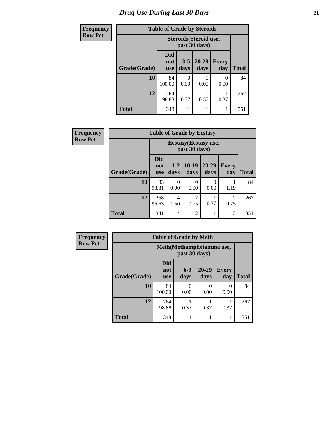# *Drug Use During Last 30 Days* **21**

| <b>Frequency</b> | <b>Table of Grade by Steroids</b> |                                                |                 |                   |                     |              |  |
|------------------|-----------------------------------|------------------------------------------------|-----------------|-------------------|---------------------|--------------|--|
| <b>Row Pct</b>   |                                   | <b>Steroids</b> (Steroid use,<br>past 30 days) |                 |                   |                     |              |  |
|                  | Grade(Grade)                      | Did<br>not<br><b>use</b>                       | $3 - 5$<br>days | $20 - 29$<br>days | <b>Every</b><br>day | <b>Total</b> |  |
|                  | 10                                | 84<br>100.00                                   | 0<br>0.00       | 0<br>0.00         | $\Omega$<br>0.00    | 84           |  |
|                  | 12                                | 264<br>98.88                                   | 0.37            | 0.37              | 0.37                | 267          |  |
|                  | <b>Total</b>                      | 348                                            |                 |                   |                     | 351          |  |

| <b>Frequency</b> | <b>Table of Grade by Ecstasy</b> |                                 |                  |                        |                   |              |              |  |
|------------------|----------------------------------|---------------------------------|------------------|------------------------|-------------------|--------------|--------------|--|
| <b>Row Pct</b>   |                                  |                                 |                  |                        |                   |              |              |  |
|                  | Grade(Grade)                     | <b>Did</b><br>not<br><b>use</b> | $1 - 2$<br>days  | $10-19$<br>days        | $20 - 29$<br>days | Every<br>day | <b>Total</b> |  |
|                  | <b>10</b>                        | 83<br>98.81                     | $\Omega$<br>0.00 | 0<br>0.00              | $\Omega$<br>0.00  | 1.19         | 84           |  |
|                  | 12                               | 258<br>96.63                    | 4<br>1.50        | $\overline{2}$<br>0.75 | 0.37              | 2<br>0.75    | 267          |  |
|                  | <b>Total</b>                     | 341                             | $\overline{4}$   | $\overline{2}$         |                   | 3            | 351          |  |

| <b>Frequency</b> | <b>Table of Grade by Meth</b> |                                 |                  |                   |                     |              |
|------------------|-------------------------------|---------------------------------|------------------|-------------------|---------------------|--------------|
| <b>Row Pct</b>   |                               | Meth (Methamphetamine use,      |                  |                   |                     |              |
|                  | Grade(Grade)                  | <b>Did</b><br>not<br><b>use</b> | $6-9$<br>days    | $20 - 29$<br>days | <b>Every</b><br>day | <b>Total</b> |
|                  | 10                            | 84<br>100.00                    | $\Omega$<br>0.00 | 0<br>0.00         | 0.00                | 84           |
|                  | 12                            | 264<br>98.88                    | 0.37             | 0.37              | 0.37                | 267          |
|                  | <b>Total</b>                  | 348                             |                  |                   |                     | 351          |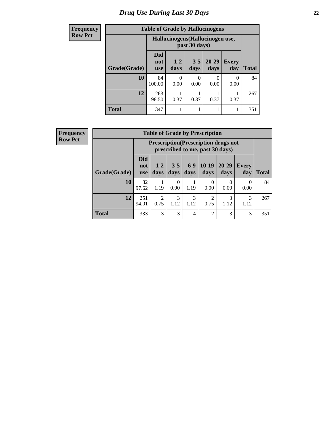# *Drug Use During Last 30 Days* **22**

| <b>Frequency</b> | <b>Table of Grade by Hallucinogens</b> |                                  |                  |                 |                   |                     |              |
|------------------|----------------------------------------|----------------------------------|------------------|-----------------|-------------------|---------------------|--------------|
| <b>Row Pct</b>   |                                        | Hallucinogens (Hallucinogen use, |                  |                 |                   |                     |              |
|                  | Grade(Grade)                           | <b>Did</b><br>not<br><b>use</b>  | $1-2$<br>days    | $3 - 5$<br>days | $20 - 29$<br>days | <b>Every</b><br>day | <b>Total</b> |
|                  | 10                                     | 84<br>100.00                     | $\theta$<br>0.00 | 0<br>0.00       | 0<br>0.00         | 0<br>0.00           | 84           |
|                  | 12                                     | 263<br>98.50                     | 0.37             | 0.37            | 0.37              | 0.37                | 267          |
|                  | <b>Total</b>                           | 347                              |                  |                 | 1                 |                     | 351          |

| Frequency      | <b>Table of Grade by Prescription</b> |                                 |                        |                 |                |                                 |                                             |                     |              |
|----------------|---------------------------------------|---------------------------------|------------------------|-----------------|----------------|---------------------------------|---------------------------------------------|---------------------|--------------|
| <b>Row Pct</b> |                                       |                                 |                        |                 |                | prescribed to me, past 30 days) | <b>Prescription</b> (Prescription drugs not |                     |              |
|                | Grade(Grade)                          | <b>Did</b><br>not<br><b>use</b> | $1 - 2$<br>days        | $3 - 5$<br>days | $6-9$<br>days  | $10-19$<br>days                 | $20 - 29$<br>days                           | <b>Every</b><br>day | <b>Total</b> |
|                | 10                                    | 82<br>97.62                     | 1.19                   | 0<br>0.00       | 1.19           | 0<br>0.00                       | 0.00                                        | $\Omega$<br>0.00    | 84           |
|                | 12                                    | 251<br>94.01                    | $\mathfrak{D}$<br>0.75 | 3<br>1.12       | 3<br>1.12      | $\overline{2}$<br>0.75          | 3<br>1.12                                   | 3<br>1.12           | 267          |
|                | <b>Total</b>                          | 333                             | 3                      | 3               | $\overline{4}$ | $\overline{2}$                  | 3                                           | 3                   | 351          |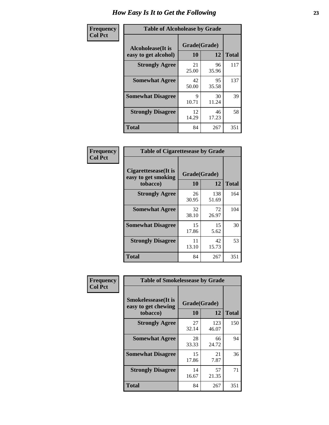| Frequency      | <b>Table of Alcoholease by Grade</b>              |                    |             |              |  |  |
|----------------|---------------------------------------------------|--------------------|-------------|--------------|--|--|
| <b>Col Pct</b> | <b>Alcoholease</b> (It is<br>easy to get alcohol) | Grade(Grade)<br>10 | 12          | <b>Total</b> |  |  |
|                | <b>Strongly Agree</b>                             | 21<br>25.00        | 96<br>35.96 | 117          |  |  |
|                | <b>Somewhat Agree</b>                             | 42<br>50.00        | 95<br>35.58 | 137          |  |  |
|                | <b>Somewhat Disagree</b>                          | 9<br>10.71         | 30<br>11.24 | 39           |  |  |
|                | <b>Strongly Disagree</b>                          | 12<br>14.29        | 46<br>17.23 | 58           |  |  |
|                | <b>Total</b>                                      | 84                 | 267         | 351          |  |  |

| <b>Frequency</b> |
|------------------|
| <b>Col Pct</b>   |

| <b>Table of Cigarettesease by Grade</b>                 |                    |              |              |  |  |  |
|---------------------------------------------------------|--------------------|--------------|--------------|--|--|--|
| Cigarettesease(It is<br>easy to get smoking<br>tobacco) | Grade(Grade)<br>10 | 12           | <b>Total</b> |  |  |  |
| <b>Strongly Agree</b>                                   | 26<br>30.95        | 138<br>51.69 | 164          |  |  |  |
| <b>Somewhat Agree</b>                                   | 32<br>38.10        | 72<br>26.97  | 104          |  |  |  |
| <b>Somewhat Disagree</b>                                | 15<br>17.86        | 15<br>5.62   | 30           |  |  |  |
| <b>Strongly Disagree</b>                                | 11<br>13.10        | 42<br>15.73  | 53           |  |  |  |
| Total                                                   | 84                 | 267          | 351          |  |  |  |

| Frequency      | <b>Table of Smokelessease by Grade</b>             |             |              |              |  |
|----------------|----------------------------------------------------|-------------|--------------|--------------|--|
| <b>Col Pct</b> | <b>Smokelessease</b> (It is<br>easy to get chewing |             | Grade(Grade) |              |  |
|                | tobacco)                                           | 10          | 12           | <b>Total</b> |  |
|                | <b>Strongly Agree</b>                              | 27<br>32.14 | 123<br>46.07 | 150          |  |
|                | <b>Somewhat Agree</b>                              | 28<br>33.33 | 66<br>24.72  | 94           |  |
|                | <b>Somewhat Disagree</b>                           | 15<br>17.86 | 21<br>7.87   | 36           |  |
|                | <b>Strongly Disagree</b>                           | 14<br>16.67 | 57<br>21.35  | 71           |  |
|                | <b>Total</b>                                       | 84          | 267          | 351          |  |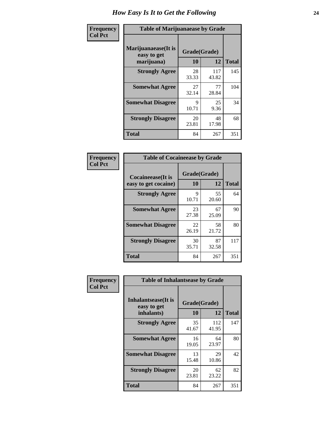| Frequency      | <b>Table of Marijuanaease by Grade</b>           |                           |              |              |  |
|----------------|--------------------------------------------------|---------------------------|--------------|--------------|--|
| <b>Col Pct</b> | Marijuanaease(It is<br>easy to get<br>marijuana) | Grade(Grade)<br><b>10</b> | 12           | <b>Total</b> |  |
|                | <b>Strongly Agree</b>                            | 28<br>33.33               | 117<br>43.82 | 145          |  |
|                | <b>Somewhat Agree</b>                            | 27<br>32.14               | 77<br>28.84  | 104          |  |
|                | <b>Somewhat Disagree</b>                         | 9<br>10.71                | 25<br>9.36   | 34           |  |
|                | <b>Strongly Disagree</b>                         | 20<br>23.81               | 48<br>17.98  | 68           |  |
|                | <b>Total</b>                                     | 84                        | 267          | 351          |  |

| <b>Table of Cocaineease by Grade</b>              |                    |              |     |  |  |  |  |
|---------------------------------------------------|--------------------|--------------|-----|--|--|--|--|
| <b>Cocaineease</b> (It is<br>easy to get cocaine) | Grade(Grade)<br>10 | <b>Total</b> |     |  |  |  |  |
| <b>Strongly Agree</b>                             | 9<br>10.71         | 55<br>20.60  | 64  |  |  |  |  |
| <b>Somewhat Agree</b>                             | 23<br>27.38        | 67<br>25.09  | 90  |  |  |  |  |
| <b>Somewhat Disagree</b>                          | 22<br>26.19        | 58<br>21.72  | 80  |  |  |  |  |
| <b>Strongly Disagree</b>                          | 30<br>35.71        | 87<br>32.58  | 117 |  |  |  |  |
| <b>Total</b>                                      | 84                 | 267          | 351 |  |  |  |  |

| Frequency      | <b>Table of Inhalantsease by Grade</b>                   |                    |              |              |
|----------------|----------------------------------------------------------|--------------------|--------------|--------------|
| <b>Col Pct</b> | <b>Inhalantsease</b> (It is<br>easy to get<br>inhalants) | Grade(Grade)<br>10 | 12           | <b>Total</b> |
|                | <b>Strongly Agree</b>                                    | 35<br>41.67        | 112<br>41.95 | 147          |
|                | <b>Somewhat Agree</b>                                    | 16<br>19.05        | 64<br>23.97  | 80           |
|                | <b>Somewhat Disagree</b>                                 | 13<br>15.48        | 29<br>10.86  | 42           |
|                | <b>Strongly Disagree</b>                                 | 20<br>23.81        | 62<br>23.22  | 82           |
|                | Total                                                    | 84                 | 267          | 351          |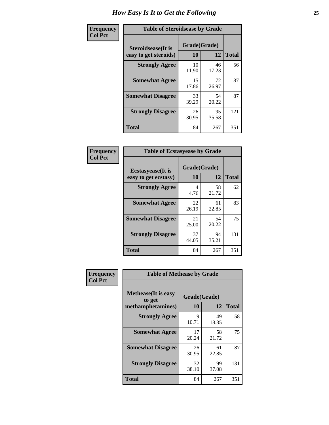| Frequency      | <b>Table of Steroidsease by Grade</b>               |                    |             |              |  |  |  |  |  |  |  |
|----------------|-----------------------------------------------------|--------------------|-------------|--------------|--|--|--|--|--|--|--|
| <b>Col Pct</b> | <b>Steroidsease</b> (It is<br>easy to get steroids) | Grade(Grade)<br>10 | 12          | <b>Total</b> |  |  |  |  |  |  |  |
|                | <b>Strongly Agree</b>                               | 10<br>11.90        | 46<br>17.23 | 56           |  |  |  |  |  |  |  |
|                | <b>Somewhat Agree</b>                               | 15<br>17.86        | 72<br>26.97 | 87           |  |  |  |  |  |  |  |
|                | <b>Somewhat Disagree</b>                            | 33<br>39.29        | 54<br>20.22 | 87           |  |  |  |  |  |  |  |
|                | <b>Strongly Disagree</b>                            | 26<br>30.95        | 95<br>35.58 | 121          |  |  |  |  |  |  |  |
|                | <b>Total</b>                                        | 84                 | 267         | 351          |  |  |  |  |  |  |  |

| Frequency      | <b>Table of Ecstasyease by Grade</b>              |                    |              |     |  |  |  |  |  |  |
|----------------|---------------------------------------------------|--------------------|--------------|-----|--|--|--|--|--|--|
| <b>Col Pct</b> | <b>Ecstasyease</b> (It is<br>easy to get ecstasy) | Grade(Grade)<br>10 | <b>Total</b> |     |  |  |  |  |  |  |
|                | <b>Strongly Agree</b>                             | 4<br>4.76          | 58<br>21.72  | 62  |  |  |  |  |  |  |
|                | <b>Somewhat Agree</b>                             | 22<br>26.19        | 61<br>22.85  | 83  |  |  |  |  |  |  |
|                | <b>Somewhat Disagree</b>                          | 21<br>25.00        | 54<br>20.22  | 75  |  |  |  |  |  |  |
|                | <b>Strongly Disagree</b>                          | 37<br>44.05        | 94<br>35.21  | 131 |  |  |  |  |  |  |
|                | <b>Total</b>                                      | 84                 | 267          | 351 |  |  |  |  |  |  |

| Frequency      | <b>Table of Methease by Grade</b>                          |                    |              |     |
|----------------|------------------------------------------------------------|--------------------|--------------|-----|
| <b>Col Pct</b> | <b>Methease</b> (It is easy<br>to get<br>methamphetamines) | Grade(Grade)<br>10 | <b>Total</b> |     |
|                | <b>Strongly Agree</b>                                      | 9<br>10.71         | 49<br>18.35  | 58  |
|                | <b>Somewhat Agree</b>                                      | 17<br>20.24        | 58<br>21.72  | 75  |
|                | <b>Somewhat Disagree</b>                                   | 26<br>30.95        | 61<br>22.85  | 87  |
|                | <b>Strongly Disagree</b>                                   | 32<br>38.10        | 99<br>37.08  | 131 |
|                | <b>Total</b>                                               | 84                 | 267          | 351 |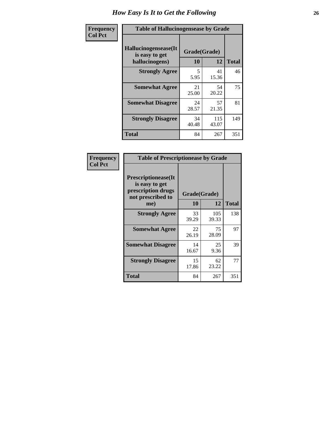| <b>Frequency</b> | <b>Table of Hallucinogensease by Grade</b>               |                    |              |              |
|------------------|----------------------------------------------------------|--------------------|--------------|--------------|
| <b>Col Pct</b>   | Hallucinogensease(It<br>is easy to get<br>hallucinogens) | Grade(Grade)<br>10 | 12           | <b>Total</b> |
|                  | <b>Strongly Agree</b>                                    | 5<br>5.95          | 41<br>15.36  | 46           |
|                  | <b>Somewhat Agree</b>                                    | 21<br>25.00        | 54<br>20.22  | 75           |
|                  | <b>Somewhat Disagree</b>                                 | 24<br>28.57        | 57<br>21.35  | 81           |
|                  | <b>Strongly Disagree</b>                                 | 34<br>40.48        | 115<br>43.07 | 149          |
|                  | <b>Total</b>                                             | 84                 | 267          | 351          |

| Frequency<br>Col Pct |
|----------------------|
|                      |

| <b>Table of Prescriptionease by Grade</b>                                                |              |              |              |  |  |  |  |  |  |  |
|------------------------------------------------------------------------------------------|--------------|--------------|--------------|--|--|--|--|--|--|--|
| <b>Prescriptionease</b> (It<br>is easy to get<br>prescription drugs<br>not prescribed to | Grade(Grade) |              |              |  |  |  |  |  |  |  |
| me)                                                                                      | 10           | 12           | <b>Total</b> |  |  |  |  |  |  |  |
| <b>Strongly Agree</b>                                                                    | 33<br>39.29  | 105<br>39.33 | 138          |  |  |  |  |  |  |  |
| <b>Somewhat Agree</b>                                                                    | 22<br>26.19  | 75<br>28.09  | 97           |  |  |  |  |  |  |  |
| <b>Somewhat Disagree</b>                                                                 | 14<br>16.67  | 25<br>9.36   | 39           |  |  |  |  |  |  |  |
| <b>Strongly Disagree</b>                                                                 | 15<br>17.86  | 62<br>23.22  | 77           |  |  |  |  |  |  |  |
| <b>Total</b>                                                                             | 84           | 267          | 351          |  |  |  |  |  |  |  |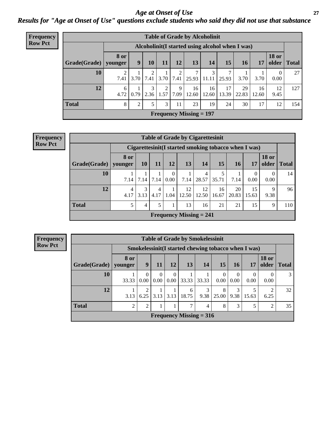*Age at Onset of Use* **27** *Results for "Age at Onset of Use" questions exclude students who said they did not use that substance*

| <b>Frequency</b> | <b>Table of Grade by Alcoholinit</b> |                        |                                                 |                       |               |           |                           |             |             |             |             |                       |              |
|------------------|--------------------------------------|------------------------|-------------------------------------------------|-----------------------|---------------|-----------|---------------------------|-------------|-------------|-------------|-------------|-----------------------|--------------|
| <b>Row Pct</b>   |                                      |                        | Alcoholinit(I started using alcohol when I was) |                       |               |           |                           |             |             |             |             |                       |              |
|                  | Grade(Grade)                         | <b>8</b> or<br>younger | 9                                               | <b>10</b>             | 11            | 12        | 13                        | 14          | 15          | 16          | 17          | <b>18 or</b><br>older | <b>Total</b> |
|                  | 10                                   | ◠<br>7.41              | 3.70                                            |                       | $7.41$   3.70 | 2<br>7.41 | 25.93                     | 3<br>11.11  | 7<br>25.93  | 3.70        | 3.70        | 0.00                  | 27           |
|                  | 12                                   | 6<br>4.72              | 0.79                                            | $\mathcal{E}$<br>2.36 | 2<br>1.57     | 9<br>7.09 | 16<br>12.60               | 16<br>12.60 | 17<br>13.39 | 29<br>22.83 | 16<br>12.60 | 12<br>9.45            | 127          |
|                  | <b>Total</b>                         | 8                      | $\overline{2}$                                  | 5                     | 3             | 11        | 23                        | 19          | 24          | 30          | 17          | 12                    | 154          |
|                  |                                      |                        |                                                 |                       |               |           | Frequency Missing $= 197$ |             |             |             |             |                       |              |

| <b>Frequency</b> |
|------------------|
| <b>Row Pct</b>   |

| <b>Table of Grade by Cigarettesinit</b> |                                                       |           |           |                  |                                |             |             |             |             |                       |              |  |  |
|-----------------------------------------|-------------------------------------------------------|-----------|-----------|------------------|--------------------------------|-------------|-------------|-------------|-------------|-----------------------|--------------|--|--|
|                                         | Cigarettesinit (I started smoking tobacco when I was) |           |           |                  |                                |             |             |             |             |                       |              |  |  |
| Grade(Grade)   younger                  | 8 or                                                  | <b>10</b> | -11       | <b>12</b>        | 13                             | <b>14</b>   | <b>15</b>   | <b>16</b>   | 17          | <b>18 or</b><br>older | <b>Total</b> |  |  |
| 10                                      | 7.14                                                  | 7.14      | 7.14      | $\theta$<br>0.00 | 7.14                           | 4<br>28.57  | 5<br>35.71  | 7.14        | 0.00        | 0.00                  | 14           |  |  |
| 12                                      | 4<br>4.17                                             | 3<br>3.13 | 4<br>4.17 | 1.04             | 12<br>12.50                    | 12<br>12.50 | 16<br>16.67 | 20<br>20.83 | 15<br>15.63 | q<br>9.38             | 96           |  |  |
| <b>Total</b>                            | 5                                                     | 4         | 5         | 1                | 13                             | 16          | 21          | 21          | 15          | 9                     | 110          |  |  |
|                                         |                                                       |           |           |                  | <b>Frequency Missing = 241</b> |             |             |             |             |                       |              |  |  |

**Frequency Row Pct**

|              | <b>Table of Grade by Smokelessinit</b> |                                                      |                  |                  |                                |           |            |                  |           |                       |               |  |  |
|--------------|----------------------------------------|------------------------------------------------------|------------------|------------------|--------------------------------|-----------|------------|------------------|-----------|-----------------------|---------------|--|--|
|              |                                        | Smokelessinit (I started chewing tobacco when I was) |                  |                  |                                |           |            |                  |           |                       |               |  |  |
| Grade(Grade) | 8 or<br>younger                        | 9                                                    | 11               | 12               | 13                             | <b>14</b> | 15         | <b>16</b>        | 17        | <b>18 or</b><br>older | <b>Total</b>  |  |  |
| 10           | 33.33                                  | $\Omega$<br>0.00                                     | $\theta$<br>0.00 | $\Omega$<br>0.00 | 33.33                          | 33.33     | 0.00       | $\Omega$<br>0.00 | 0<br>0.00 | 0.00                  | $\mathcal{F}$ |  |  |
| 12           | 3.13                                   | 6.25                                                 | 3.13             | 3.13             | 6<br>18.75                     | 3<br>9.38 | 8<br>25.00 | 3<br>9.38        | 15.63     | 6.25                  | 32            |  |  |
| <b>Total</b> | $\mathfrak{D}$                         | $\overline{2}$                                       |                  |                  | 7                              | 4         | 8          | 3                |           | $\overline{c}$        | 35            |  |  |
|              |                                        |                                                      |                  |                  | <b>Frequency Missing = 316</b> |           |            |                  |           |                       |               |  |  |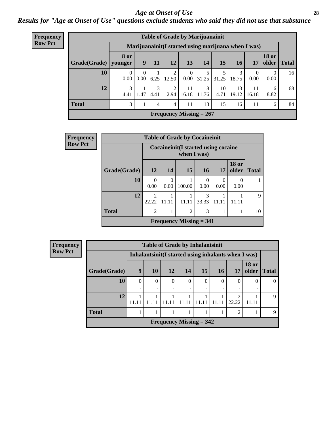#### *Age at Onset of Use* **28**

*Results for "Age at Onset of Use" questions exclude students who said they did not use that substance*

| Frequency      | <b>Table of Grade by Marijuanainit</b>               |                        |      |           |                |                           |            |             |             |             |                               |    |  |  |
|----------------|------------------------------------------------------|------------------------|------|-----------|----------------|---------------------------|------------|-------------|-------------|-------------|-------------------------------|----|--|--|
| <b>Row Pct</b> | Marijuanainit (I started using marijuana when I was) |                        |      |           |                |                           |            |             |             |             |                               |    |  |  |
|                | Grade(Grade)                                         | <b>8 or</b><br>vounger | 9    | 11        | 12             | 13                        | 14         | 15          | <b>16</b>   | 17          | <b>18 or</b><br>older   Total |    |  |  |
|                | 10                                                   | 0<br>0.00              | 0.00 | 6.25      | 12.50          | 0<br>0.00                 | 31.25      | 31.25       | 18.75       | 0<br>0.00   | $\theta$<br>0.00              | 16 |  |  |
|                | 12                                                   | 3<br>4.41              | 1.47 | 3<br>4.41 | 2.94           | 11<br>16.18               | 8<br>11.76 | 10<br>14.71 | 13<br>19.12 | 11<br>16.18 | 6<br>8.82                     | 68 |  |  |
|                | <b>Total</b>                                         | 3                      |      | 4         | $\overline{4}$ | 11                        | 13         | 15          | 16          | 11          | 6                             | 84 |  |  |
|                |                                                      |                        |      |           |                | Frequency Missing $= 267$ |            |             |             |             |                               |    |  |  |

| <b>Frequency</b> | <b>Table of Grade by Cocaineinit</b> |                                      |                                                     |                           |                 |           |                       |              |  |  |  |  |
|------------------|--------------------------------------|--------------------------------------|-----------------------------------------------------|---------------------------|-----------------|-----------|-----------------------|--------------|--|--|--|--|
| <b>Row Pct</b>   |                                      |                                      | Cocaineinit (I started using cocaine<br>when I was) |                           |                 |           |                       |              |  |  |  |  |
|                  | Grade(Grade)                         | <b>12</b>                            | 14                                                  | <b>15</b>                 | 16 <sup>1</sup> | 17        | <b>18 or</b><br>older | <b>Total</b> |  |  |  |  |
|                  | 10                                   | 0<br>0.00                            | 0<br>0.00                                           | 100.00                    | 0<br>0.00       | 0<br>0.00 | $\left($<br>0.00      |              |  |  |  |  |
|                  | 12                                   | $\mathcal{D}_{\mathcal{L}}$<br>22.22 | 11.11                                               | 11.11                     | 3<br>33.33      | 11.11     | 11.11                 | $\mathbf Q$  |  |  |  |  |
|                  | <b>Total</b>                         | $\overline{2}$                       | 1                                                   | $\overline{2}$            | 3               |           |                       | 10           |  |  |  |  |
|                  |                                      |                                      |                                                     | Frequency Missing $= 341$ |                 |           |                       |              |  |  |  |  |

| <b>Frequency</b> | <b>Table of Grade by Inhalantsinit</b> |          |           |                           |               |       |           |                                                     |                       |              |
|------------------|----------------------------------------|----------|-----------|---------------------------|---------------|-------|-----------|-----------------------------------------------------|-----------------------|--------------|
| <b>Row Pct</b>   |                                        |          |           |                           |               |       |           | Inhalantsinit(I started using inhalants when I was) |                       |              |
|                  | Grade(Grade)                           | 9        | <b>10</b> | <b>12</b>                 | 14            | 15    | <b>16</b> | 17                                                  | <b>18 or</b><br>older | <b>Total</b> |
|                  | 10                                     | $\Omega$ | $\theta$  | 0                         | $\Omega$<br>٠ | 0     | $\theta$  | $\Omega$                                            |                       |              |
|                  | 12                                     | 11.11    |           | 11 11                     | 11.11         | 11.11 | 11.11     | ◠<br>22.22                                          | 11.11                 | $\mathbf Q$  |
|                  | <b>Total</b><br>◠                      |          |           |                           |               |       |           |                                                     | q                     |              |
|                  |                                        |          |           | Frequency Missing $= 342$ |               |       |           |                                                     |                       |              |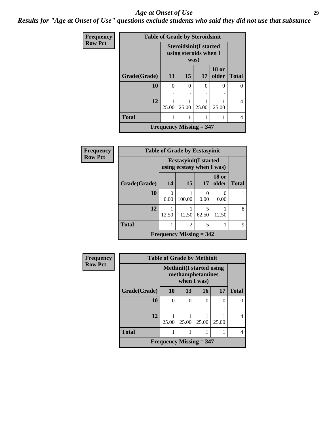#### *Age at Onset of Use* **29**

*Results for "Age at Onset of Use" questions exclude students who said they did not use that substance*

| Frequency      | <b>Table of Grade by Steroidsinit</b> |       |                                                                |       |                       |              |  |  |  |
|----------------|---------------------------------------|-------|----------------------------------------------------------------|-------|-----------------------|--------------|--|--|--|
| <b>Row Pct</b> |                                       |       | <b>Steroidsinit(I started</b><br>using steroids when I<br>was) |       |                       |              |  |  |  |
|                | Grade(Grade)                          | 13    | 15                                                             | 17    | <b>18 or</b><br>older | <b>Total</b> |  |  |  |
|                | 10                                    | 0     | $\Omega$                                                       | 0     | 0                     |              |  |  |  |
|                | 12                                    | 25.00 | 25.00                                                          | 25.00 | 25.00                 | 4            |  |  |  |
|                | <b>Total</b>                          |       |                                                                |       |                       | 4            |  |  |  |
|                | Frequency Missing $=$ 347             |       |                                                                |       |                       |              |  |  |  |

| Frequency      | <b>Table of Grade by Ecstasyinit</b> |           |                                                            |                       |                       |              |  |  |
|----------------|--------------------------------------|-----------|------------------------------------------------------------|-----------------------|-----------------------|--------------|--|--|
| <b>Row Pct</b> |                                      |           | <b>Ecstasyinit</b> (I started<br>using ecstasy when I was) |                       |                       |              |  |  |
|                | Grade(Grade)                         | 14        | 15                                                         | 17                    | <b>18 or</b><br>older | <b>Total</b> |  |  |
|                | 10                                   | 0<br>0.00 | 100.00                                                     | $\mathcal{O}$<br>0.00 | 0.00                  |              |  |  |
|                | 12                                   | 12.50     | 12.50                                                      | 5<br>62.50            | 12.50                 | 8            |  |  |
|                | <b>Total</b>                         | 1         | $\overline{2}$                                             | 5                     |                       | 9            |  |  |
|                | Frequency Missing $=$ 342            |           |                                                            |                       |                       |              |  |  |

| <b>Frequency</b> |              | <b>Table of Grade by Methinit</b> |                                                                     |          |       |              |
|------------------|--------------|-----------------------------------|---------------------------------------------------------------------|----------|-------|--------------|
| <b>Row Pct</b>   |              |                                   | <b>Methinit</b> (I started using<br>methamphetamines<br>when I was) |          |       |              |
|                  | Grade(Grade) | 10                                | 13                                                                  | 16       | 17    | <b>Total</b> |
|                  | 10           | 0                                 | 0                                                                   | $\theta$ | 0     |              |
|                  | 12           | 25.00                             | 25.00                                                               | 25.00    | 25.00 |              |
|                  | <b>Total</b> |                                   |                                                                     |          |       | 4            |
|                  |              | Frequency Missing $=$ 347         |                                                                     |          |       |              |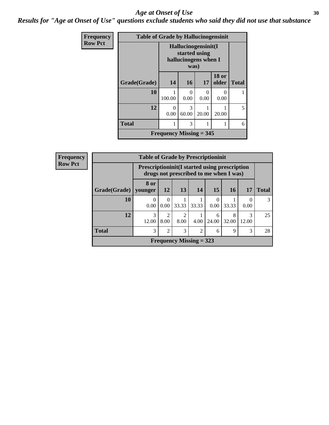#### Age at Onset of Use **30**

*Results for "Age at Onset of Use" questions exclude students who said they did not use that substance*

| <b>Frequency</b> | <b>Table of Grade by Hallucinogensinit</b> |                                                                      |                  |                      |                       |              |  |  |
|------------------|--------------------------------------------|----------------------------------------------------------------------|------------------|----------------------|-----------------------|--------------|--|--|
| <b>Row Pct</b>   |                                            | Hallucinogensinit(I<br>started using<br>hallucinogens when I<br>was) |                  |                      |                       |              |  |  |
|                  | Grade(Grade)                               | 14                                                                   | <b>16</b>        | 17                   | <b>18 or</b><br>older | <b>Total</b> |  |  |
|                  | 10                                         | 100.00                                                               | $\Omega$<br>0.00 | $\mathbf{0}$<br>0.00 | $\mathbf{0}$<br>0.00  |              |  |  |
|                  | 12                                         | 0<br>0.00                                                            | 3<br>60.00       | 20.00                | 20.00                 | 5            |  |  |
|                  | <b>Total</b>                               | 1                                                                    | 6                |                      |                       |              |  |  |
|                  |                                            | Frequency Missing $=$ 345                                            |                  |                      |                       |              |  |  |

| <b>Frequency</b> |                                                                                                 | <b>Table of Grade by Prescriptioninit</b> |                        |                                     |                |                 |            |            |               |
|------------------|-------------------------------------------------------------------------------------------------|-------------------------------------------|------------------------|-------------------------------------|----------------|-----------------|------------|------------|---------------|
| <b>Row Pct</b>   | <b>Prescriptioninit (I started using prescription</b><br>drugs not prescribed to me when I was) |                                           |                        |                                     |                |                 |            |            |               |
|                  | Grade(Grade)   younger                                                                          | 8 or                                      | 12                     | 13                                  | 14             | 15 <sup>1</sup> | 16         | 17         | <b>Total</b>  |
|                  | 10                                                                                              | $\left( \right)$<br>0.00                  | $\Omega$<br>0.00       | 33.33                               | 33.33          | 0.00            | 33.33      | 0.00       | $\mathcal{R}$ |
|                  | 12                                                                                              | 3<br>12.00                                | $\overline{2}$<br>8.00 | $\mathcal{D}_{\mathcal{A}}$<br>8.00 | 4.00           | 6<br>24.00      | 8<br>32.00 | 3<br>12.00 | 25            |
|                  | <b>Total</b>                                                                                    | 3                                         | $\overline{2}$         | 3                                   | $\overline{2}$ | 6               | 9          | 3          | 28            |
|                  |                                                                                                 |                                           |                        | Frequency Missing $=$ 323           |                |                 |            |            |               |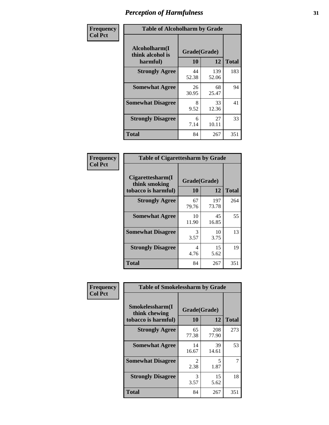| Frequency      | <b>Table of Alcoholharm by Grade</b>          |                           |              |              |  |  |
|----------------|-----------------------------------------------|---------------------------|--------------|--------------|--|--|
| <b>Col Pct</b> | Alcoholharm(I<br>think alcohol is<br>harmful) | Grade(Grade)<br><b>10</b> | 12           | <b>Total</b> |  |  |
|                | <b>Strongly Agree</b>                         | 44<br>52.38               | 139<br>52.06 | 183          |  |  |
|                | <b>Somewhat Agree</b>                         | 26<br>30.95               | 68<br>25.47  | 94           |  |  |
|                | <b>Somewhat Disagree</b>                      | 8<br>9.52                 | 33<br>12.36  | 41           |  |  |
|                | <b>Strongly Disagree</b>                      | 6<br>7.14                 | 27<br>10.11  | 33           |  |  |
|                | <b>Total</b>                                  | 84                        | 267          | 351          |  |  |

| <b>Table of Cigarettesharm by Grade</b>                  |                    |              |              |  |  |  |
|----------------------------------------------------------|--------------------|--------------|--------------|--|--|--|
| Cigarettesharm(I<br>think smoking<br>tobacco is harmful) | Grade(Grade)<br>10 | 12           | <b>Total</b> |  |  |  |
| <b>Strongly Agree</b>                                    | 67<br>79.76        | 197<br>73.78 | 264          |  |  |  |
| <b>Somewhat Agree</b>                                    | 10<br>11.90        | 45<br>16.85  | 55           |  |  |  |
| <b>Somewhat Disagree</b>                                 | 3<br>3.57          | 10<br>3.75   | 13           |  |  |  |
| <b>Strongly Disagree</b>                                 | 4<br>4.76          | 15<br>5.62   | 19           |  |  |  |
| <b>Total</b>                                             | 84                 | 267          | 351          |  |  |  |

| Frequency      |                                                         | <b>Table of Smokelessharm by Grade</b> |              |              |  |  |  |
|----------------|---------------------------------------------------------|----------------------------------------|--------------|--------------|--|--|--|
| <b>Col Pct</b> | Smokelessharm(I<br>think chewing<br>tobacco is harmful) | Grade(Grade)<br>12<br><b>10</b>        |              | <b>Total</b> |  |  |  |
|                | <b>Strongly Agree</b>                                   | 65<br>77.38                            | 208<br>77.90 | 273          |  |  |  |
|                | <b>Somewhat Agree</b>                                   | 14<br>16.67                            | 39<br>14.61  | 53           |  |  |  |
|                | <b>Somewhat Disagree</b>                                | 2<br>2.38                              | 5<br>1.87    | 7            |  |  |  |
|                | <b>Strongly Disagree</b>                                | 3<br>3.57                              | 15<br>5.62   | 18           |  |  |  |
|                | <b>Total</b>                                            | 84                                     | 267          | 351          |  |  |  |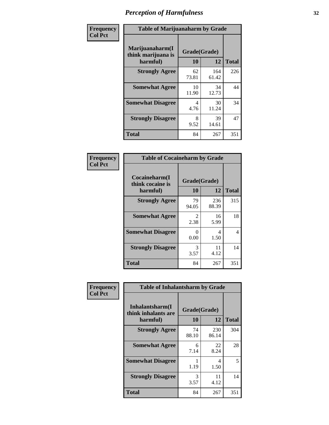| Frequency      |                                                   | <b>Table of Marijuanaharm by Grade</b> |              |              |  |  |
|----------------|---------------------------------------------------|----------------------------------------|--------------|--------------|--|--|
| <b>Col Pct</b> | Marijuanaharm(I<br>think marijuana is<br>harmful) | Grade(Grade)<br>10                     | 12           | <b>Total</b> |  |  |
|                | <b>Strongly Agree</b>                             | 62<br>73.81                            | 164<br>61.42 | 226          |  |  |
|                | <b>Somewhat Agree</b>                             | 10<br>11.90                            | 34<br>12.73  | 44           |  |  |
|                | <b>Somewhat Disagree</b>                          | 4<br>4.76                              | 30<br>11.24  | 34           |  |  |
|                | <b>Strongly Disagree</b>                          | 8<br>9.52                              | 39<br>14.61  | 47           |  |  |
|                | <b>Total</b>                                      | 84                                     | 267          | 351          |  |  |

|                                               | <b>Table of Cocaineharm by Grade</b> |              |     |  |  |  |  |
|-----------------------------------------------|--------------------------------------|--------------|-----|--|--|--|--|
| Cocaineharm(I<br>think cocaine is<br>harmful) | Grade(Grade)<br>10                   | <b>Total</b> |     |  |  |  |  |
| <b>Strongly Agree</b>                         | 79<br>94.05                          | 236<br>88.39 | 315 |  |  |  |  |
| <b>Somewhat Agree</b>                         | $\mathfrak{D}$<br>2.38               | 16<br>5.99   | 18  |  |  |  |  |
| <b>Somewhat Disagree</b>                      | $\mathbf{\Omega}$<br>0.00            | 4<br>1.50    | 4   |  |  |  |  |
| <b>Strongly Disagree</b>                      | 3<br>3.57                            | 11<br>4.12   | 14  |  |  |  |  |
| Total                                         | 84                                   | 267          | 351 |  |  |  |  |

| Frequency      | <b>Table of Inhalantsharm by Grade</b>             |                    |              |              |  |  |
|----------------|----------------------------------------------------|--------------------|--------------|--------------|--|--|
| <b>Col Pct</b> | Inhalantsharm(I<br>think inhalants are<br>harmful) | Grade(Grade)<br>10 | 12           | <b>Total</b> |  |  |
|                | <b>Strongly Agree</b>                              | 74<br>88.10        | 230<br>86.14 | 304          |  |  |
|                | <b>Somewhat Agree</b>                              | 6<br>7.14          | 22<br>8.24   | 28           |  |  |
|                | <b>Somewhat Disagree</b>                           | 1.19               | 4<br>1.50    | 5            |  |  |
|                | <b>Strongly Disagree</b>                           | 3<br>3.57          | 11<br>4.12   | 14           |  |  |
|                | <b>Total</b>                                       | 84                 | 267          | 351          |  |  |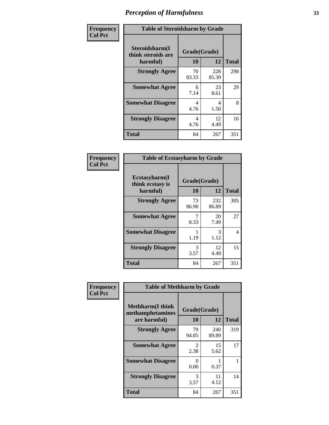| Frequency      | <b>Table of Steroidsharm by Grade</b>            |                                  |              |              |
|----------------|--------------------------------------------------|----------------------------------|--------------|--------------|
| <b>Col Pct</b> | Steroidsharm(I<br>think steroids are<br>harmful) | Grade(Grade)<br>10               | 12           | <b>Total</b> |
|                | <b>Strongly Agree</b>                            | 70<br>83.33                      | 228<br>85.39 | 298          |
|                | <b>Somewhat Agree</b>                            | 6<br>7.14                        | 23<br>8.61   | 29           |
|                | <b>Somewhat Disagree</b>                         | 4<br>4.76                        | 4<br>1.50    | 8            |
|                | <b>Strongly Disagree</b>                         | $\overline{\mathcal{A}}$<br>4.76 | 12<br>4.49   | 16           |
|                | <b>Total</b>                                     | 84                               | 267          | 351          |

| <b>Table of Ecstasyharm by Grade</b>          |                    |              |     |  |  |
|-----------------------------------------------|--------------------|--------------|-----|--|--|
| Ecstasyharm(I<br>think ecstasy is<br>harmful) | Grade(Grade)<br>10 | <b>Total</b> |     |  |  |
| <b>Strongly Agree</b>                         | 73<br>86.90        | 232<br>86.89 | 305 |  |  |
| <b>Somewhat Agree</b>                         | 7<br>8.33          | 20<br>7.49   | 27  |  |  |
| <b>Somewhat Disagree</b>                      | 1<br>1.19          | 3<br>1.12    | 4   |  |  |
| <b>Strongly Disagree</b>                      | 3<br>3.57          | 12<br>4.49   | 15  |  |  |
| <b>Total</b>                                  | 84                 | 267          | 351 |  |  |

| Frequency      | <b>Table of Methharm by Grade</b>                            |                        |              |              |
|----------------|--------------------------------------------------------------|------------------------|--------------|--------------|
| <b>Col Pct</b> | <b>Methharm</b> (I think<br>methamphetamines<br>are harmful) | Grade(Grade)<br>10     | 12           | <b>Total</b> |
|                | <b>Strongly Agree</b>                                        | 79<br>94.05            | 240<br>89.89 | 319          |
|                | <b>Somewhat Agree</b>                                        | $\mathfrak{D}$<br>2.38 | 15<br>5.62   | 17           |
|                | <b>Somewhat Disagree</b>                                     | 0<br>0.00              | 0.37         |              |
|                | <b>Strongly Disagree</b>                                     | 3<br>3.57              | 11<br>4.12   | 14           |
|                | <b>Total</b>                                                 | 84                     | 267          | 351          |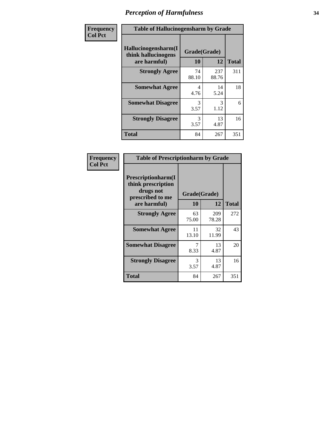| Frequency | <b>Table of Hallucinogensharm by Grade</b>                 |                    |              |              |
|-----------|------------------------------------------------------------|--------------------|--------------|--------------|
| Col Pct   | Hallucinogensharm(I<br>think hallucinogens<br>are harmful) | Grade(Grade)<br>10 | 12           | <b>Total</b> |
|           | <b>Strongly Agree</b>                                      | 74<br>88.10        | 237<br>88.76 | 311          |
|           | <b>Somewhat Agree</b>                                      | 4<br>4.76          | 14<br>5.24   | 18           |
|           | <b>Somewhat Disagree</b>                                   | 3<br>3.57          | 3<br>1.12    | 6            |
|           | <b>Strongly Disagree</b>                                   | 3<br>3.57          | 13<br>4.87   | 16           |
|           | <b>Total</b>                                               | 84                 | 267          | 351          |

| <b>Table of Prescriptionharm by Grade</b>                                         |              |              |              |  |
|-----------------------------------------------------------------------------------|--------------|--------------|--------------|--|
| <b>Prescriptionharm(I)</b><br>think prescription<br>drugs not<br>prescribed to me | Grade(Grade) |              |              |  |
| are harmful)                                                                      | 10           | 12           | <b>Total</b> |  |
| <b>Strongly Agree</b>                                                             | 63<br>75.00  | 209<br>78.28 | 272          |  |
| <b>Somewhat Agree</b>                                                             | 11<br>13.10  | 32<br>11.99  | 43           |  |
| <b>Somewhat Disagree</b>                                                          | 8.33         | 13<br>4.87   | 20           |  |
| <b>Strongly Disagree</b>                                                          | 3<br>3.57    | 13<br>4.87   | 16           |  |
| <b>Total</b>                                                                      | 84           | 267          | 351          |  |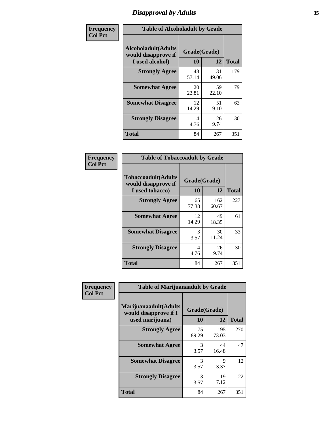### *Disapproval by Adults* **35**

| Frequency      | <b>Table of Alcoholadult by Grade</b>                                 |                    |              |              |
|----------------|-----------------------------------------------------------------------|--------------------|--------------|--------------|
| <b>Col Pct</b> | <b>Alcoholadult</b> (Adults<br>would disapprove if<br>I used alcohol) | Grade(Grade)<br>10 | 12           | <b>Total</b> |
|                | <b>Strongly Agree</b>                                                 | 48<br>57.14        | 131<br>49.06 | 179          |
|                | <b>Somewhat Agree</b>                                                 | 20<br>23.81        | 59<br>22.10  | 79           |
|                | <b>Somewhat Disagree</b>                                              | 12<br>14.29        | 51<br>19.10  | 63           |
|                | <b>Strongly Disagree</b>                                              | 4<br>4.76          | 26<br>9.74   | 30           |
|                | <b>Total</b>                                                          | 84                 | 267          | 351          |

| <b>Table of Tobaccoadult by Grade</b>                                 |                    |              |     |  |
|-----------------------------------------------------------------------|--------------------|--------------|-----|--|
| <b>Tobaccoadult</b> (Adults<br>would disapprove if<br>I used tobacco) | Grade(Grade)<br>10 | <b>Total</b> |     |  |
| <b>Strongly Agree</b>                                                 | 65<br>77.38        | 162<br>60.67 | 227 |  |
| <b>Somewhat Agree</b>                                                 | 12<br>14.29        | 49<br>18.35  | 61  |  |
| <b>Somewhat Disagree</b>                                              | 3<br>3.57          | 30<br>11.24  | 33  |  |
| <b>Strongly Disagree</b>                                              | 4<br>4.76          | 26<br>9.74   | 30  |  |
| <b>Total</b>                                                          | 84                 | 267          | 351 |  |

| Frequency      | <b>Table of Marijuanaadult by Grade</b>                           |                    |              |              |
|----------------|-------------------------------------------------------------------|--------------------|--------------|--------------|
| <b>Col Pct</b> | Marijuanaadult(Adults<br>would disapprove if I<br>used marijuana) | Grade(Grade)<br>10 | 12           | <b>Total</b> |
|                | <b>Strongly Agree</b>                                             | 75<br>89.29        | 195<br>73.03 | 270          |
|                | <b>Somewhat Agree</b>                                             | 3<br>3.57          | 44<br>16.48  | 47           |
|                | <b>Somewhat Disagree</b>                                          | 3<br>3.57          | 9<br>3.37    | 12           |
|                | <b>Strongly Disagree</b>                                          | 3<br>3.57          | 19<br>7.12   | 22           |
|                | <b>Total</b>                                                      | 84                 | 267          | 351          |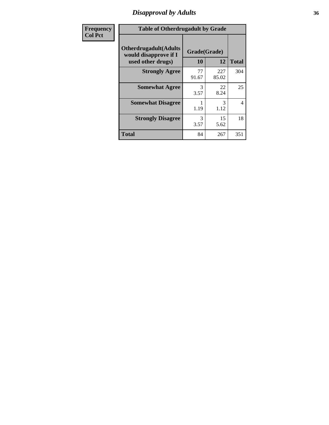### *Disapproval by Adults* **36**

| Frequency      | <b>Table of Otherdrugadult by Grade</b>                                     |                       |              |              |
|----------------|-----------------------------------------------------------------------------|-----------------------|--------------|--------------|
| <b>Col Pct</b> | <b>Otherdrugadult</b> (Adults<br>would disapprove if I<br>used other drugs) | Grade(Grade)<br>10    | 12           | <b>Total</b> |
|                | <b>Strongly Agree</b>                                                       | 77<br>91.67           | 227<br>85.02 | 304          |
|                | <b>Somewhat Agree</b>                                                       | 3<br>3.57             | 22<br>8.24   | 25           |
|                | <b>Somewhat Disagree</b>                                                    | 1.19                  | 3<br>1.12    | 4            |
|                | <b>Strongly Disagree</b>                                                    | $\mathcal{R}$<br>3.57 | 15<br>5.62   | 18           |
|                | <b>Total</b>                                                                | 84                    | 267          | 351          |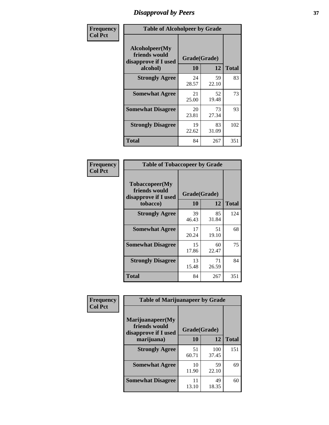# *Disapproval by Peers* **37**

| Frequency      | <b>Table of Alcoholpeer by Grade</b>                    |              |             |              |  |
|----------------|---------------------------------------------------------|--------------|-------------|--------------|--|
| <b>Col Pct</b> | Alcoholpeer(My<br>friends would<br>disapprove if I used | Grade(Grade) |             |              |  |
|                | alcohol)                                                | 10           | 12          | <b>Total</b> |  |
|                | <b>Strongly Agree</b>                                   | 24<br>28.57  | 59<br>22.10 | 83           |  |
|                | <b>Somewhat Agree</b>                                   | 21<br>25.00  | 52<br>19.48 | 73           |  |
|                | <b>Somewhat Disagree</b>                                | 20<br>23.81  | 73<br>27.34 | 93           |  |
|                | <b>Strongly Disagree</b>                                | 19<br>22.62  | 83<br>31.09 | 102          |  |
|                | Total                                                   | 84           | 267         | 351          |  |

| Frequency      | <b>Table of Tobaccopeer by Grade</b>                                |                    |             |              |
|----------------|---------------------------------------------------------------------|--------------------|-------------|--------------|
| <b>Col Pct</b> | Tobaccopeer(My<br>friends would<br>disapprove if I used<br>tobacco) | Grade(Grade)<br>10 | 12          | <b>Total</b> |
|                | <b>Strongly Agree</b>                                               | 39<br>46.43        | 85<br>31.84 | 124          |
|                | <b>Somewhat Agree</b>                                               | 17<br>20.24        | 51<br>19.10 | 68           |
|                | <b>Somewhat Disagree</b>                                            | 15<br>17.86        | 60<br>22.47 | 75           |
|                | <b>Strongly Disagree</b>                                            | 13<br>15.48        | 71<br>26.59 | 84           |
|                | Total                                                               | 84                 | 267         | 351          |

| Frequency      | <b>Table of Marijuanapeer by Grade</b>                    |              |              |              |
|----------------|-----------------------------------------------------------|--------------|--------------|--------------|
| <b>Col Pct</b> | Marijuanapeer(My<br>friends would<br>disapprove if I used | Grade(Grade) |              |              |
|                | marijuana)                                                | 10           | 12           | <b>Total</b> |
|                | <b>Strongly Agree</b>                                     | 51<br>60.71  | 100<br>37.45 | 151          |
|                | <b>Somewhat Agree</b>                                     | 10<br>11.90  | 59<br>22.10  | 69           |
|                | <b>Somewhat Disagree</b>                                  | 11<br>13.10  | 49<br>18.35  | 60           |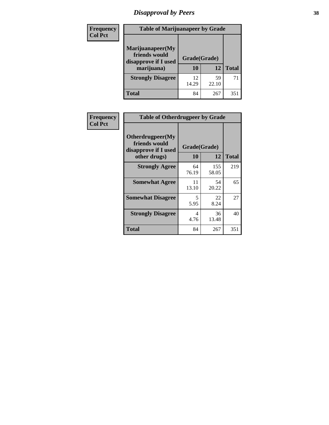# *Disapproval by Peers* **38**

| Frequency<br><b>Col Pct</b> | <b>Table of Marijuanapeer by Grade</b>                                  |             |                    |     |
|-----------------------------|-------------------------------------------------------------------------|-------------|--------------------|-----|
|                             | Marijuanapeer(My<br>friends would<br>disapprove if I used<br>marijuana) | 10          | Grade(Grade)<br>12 |     |
|                             | <b>Strongly Disagree</b>                                                | 12<br>14.29 | 59<br>22.10        | 71  |
|                             | Total                                                                   | 84          | 267                | 351 |

| Frequency      | <b>Table of Otherdrugpeer by Grade</b>                                    |                    |             |              |
|----------------|---------------------------------------------------------------------------|--------------------|-------------|--------------|
| <b>Col Pct</b> | Otherdrugpeer(My<br>friends would<br>disapprove if I used<br>other drugs) | Grade(Grade)<br>10 | 12          | <b>Total</b> |
|                | <b>Strongly Agree</b>                                                     | 64                 | 155         | 219          |
|                |                                                                           | 76.19              | 58.05       |              |
|                | <b>Somewhat Agree</b>                                                     | 11<br>13.10        | 54<br>20.22 | 65           |
|                | <b>Somewhat Disagree</b>                                                  | 5<br>5.95          | 22<br>8.24  | 27           |
|                | <b>Strongly Disagree</b>                                                  | 4<br>4.76          | 36<br>13.48 | 40           |
|                | Total                                                                     | 84                 | 267         | 351          |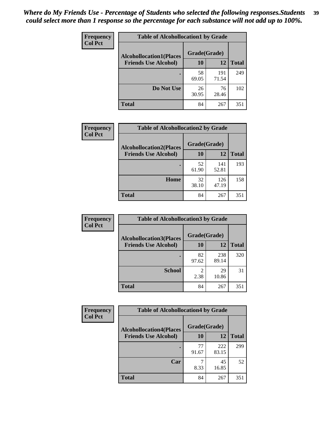| Frequency<br><b>Col Pct</b> | <b>Table of Alcohollocation1 by Grade</b> |              |              |              |
|-----------------------------|-------------------------------------------|--------------|--------------|--------------|
|                             | <b>Alcohollocation1(Places</b>            | Grade(Grade) |              |              |
|                             | <b>Friends Use Alcohol)</b>               | 10           | 12           | <b>Total</b> |
|                             |                                           | 58<br>69.05  | 191<br>71.54 | 249          |
|                             | Do Not Use                                | 26<br>30.95  | 76<br>28.46  | 102          |
|                             | <b>Total</b>                              | 84           | 267          | 351          |

| <b>Frequency</b> | <b>Table of Alcohollocation2 by Grade</b>                     |                           |              |              |
|------------------|---------------------------------------------------------------|---------------------------|--------------|--------------|
| <b>Col Pct</b>   | <b>Alcohollocation2(Places</b><br><b>Friends Use Alcohol)</b> | Grade(Grade)<br><b>10</b> | 12           | <b>Total</b> |
|                  |                                                               | 52<br>61.90               | 141<br>52.81 | 193          |
|                  | Home                                                          | 32<br>38.10               | 126<br>47.19 | 158          |
|                  | <b>Total</b>                                                  | 84                        | 267          | 351          |

| Frequency<br><b>Col Pct</b> | <b>Table of Alcohollocation 3 by Grade</b>                    |                        |              |              |  |
|-----------------------------|---------------------------------------------------------------|------------------------|--------------|--------------|--|
|                             | <b>Alcohollocation3(Places</b><br><b>Friends Use Alcohol)</b> | Grade(Grade)<br>10     | 12           | <b>Total</b> |  |
|                             |                                                               |                        |              |              |  |
|                             |                                                               | 82<br>97.62            | 238<br>89.14 | 320          |  |
|                             | <b>School</b>                                                 | $\mathfrak{D}$<br>2.38 | 29<br>10.86  | 31           |  |
|                             | <b>Total</b>                                                  | 84                     | 267          | 351          |  |

| <b>Frequency</b> | <b>Table of Alcohollocation4 by Grade</b> |              |              |              |  |
|------------------|-------------------------------------------|--------------|--------------|--------------|--|
| <b>Col Pct</b>   | <b>Alcohollocation4(Places</b>            | Grade(Grade) |              |              |  |
|                  | <b>Friends Use Alcohol)</b>               | 10           | 12           | <b>Total</b> |  |
|                  |                                           | 77<br>91.67  | 222<br>83.15 | 299          |  |
|                  | Car                                       | 8.33         | 45<br>16.85  | 52           |  |
|                  | <b>Total</b>                              | 84           | 267          | 351          |  |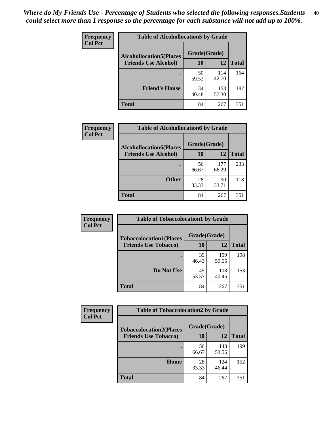| Frequency<br><b>Col Pct</b> | <b>Table of Alcohollocation5 by Grade</b>      |             |              |              |  |
|-----------------------------|------------------------------------------------|-------------|--------------|--------------|--|
|                             | Grade(Grade)<br><b>Alcohollocation5(Places</b> |             |              |              |  |
|                             | <b>Friends Use Alcohol)</b>                    | 10          | 12           | <b>Total</b> |  |
|                             |                                                | 50<br>59.52 | 114<br>42.70 | 164          |  |
|                             | <b>Friend's House</b>                          | 34<br>40.48 | 153<br>57.30 | 187          |  |
|                             | <b>Total</b>                                   | 84          | 267          | 351          |  |

| Frequency      | <b>Table of Alcohollocation6 by Grade</b>                     |                    |              |              |
|----------------|---------------------------------------------------------------|--------------------|--------------|--------------|
| <b>Col Pct</b> | <b>Alcohollocation6(Places</b><br><b>Friends Use Alcohol)</b> | Grade(Grade)<br>10 | 12           | <b>Total</b> |
|                |                                                               |                    |              |              |
|                |                                                               | 56<br>66.67        | 177<br>66.29 | 233          |
|                | <b>Other</b>                                                  | 28<br>33.33        | 90<br>33.71  | 118          |
|                | <b>Total</b>                                                  | 84                 | 267          | 351          |

| Frequency      | <b>Table of Tobaccolocation1 by Grade</b> |              |              |              |
|----------------|-------------------------------------------|--------------|--------------|--------------|
| <b>Col Pct</b> | <b>Tobaccolocation1(Places</b>            | Grade(Grade) |              |              |
|                | <b>Friends Use Tobacco)</b>               | 10           | 12           | <b>Total</b> |
|                |                                           | 39<br>46.43  | 159<br>59.55 | 198          |
|                | Do Not Use                                | 45<br>53.57  | 108<br>40.45 | 153          |
|                | <b>Total</b>                              | 84           | 267          | 351          |

| <b>Frequency</b> | <b>Table of Tobaccolocation2 by Grade</b> |              |              |              |  |
|------------------|-------------------------------------------|--------------|--------------|--------------|--|
| <b>Col Pct</b>   | <b>Tobaccolocation2(Places</b>            | Grade(Grade) |              |              |  |
|                  | <b>Friends Use Tobacco)</b>               | 10           | 12           | <b>Total</b> |  |
|                  |                                           | 56<br>66.67  | 143<br>53.56 | 199          |  |
|                  | Home                                      | 28<br>33.33  | 124<br>46.44 | 152          |  |
|                  | <b>Total</b>                              | 84           | 267          | 351          |  |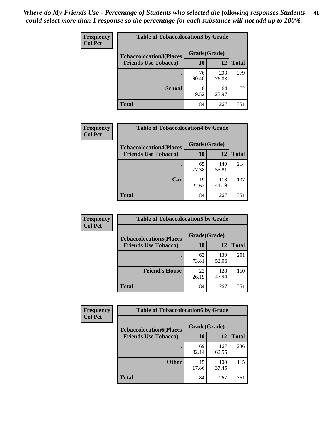| Frequency      | <b>Table of Tobaccolocation 3 by Grade</b> |              |              |              |  |
|----------------|--------------------------------------------|--------------|--------------|--------------|--|
| <b>Col Pct</b> | <b>Tobaccolocation3(Places</b>             | Grade(Grade) |              |              |  |
|                | <b>Friends Use Tobacco)</b>                | 10           | 12           | <b>Total</b> |  |
|                |                                            | 76<br>90.48  | 203<br>76.03 | 279          |  |
|                | <b>School</b>                              | 8<br>9.52    | 64<br>23.97  | 72           |  |
|                | <b>Total</b>                               | 84           | 267          | 351          |  |

| Frequency      | <b>Table of Tobaccolocation4 by Grade</b> |              |              |              |
|----------------|-------------------------------------------|--------------|--------------|--------------|
| <b>Col Pct</b> | <b>Tobaccolocation4(Places</b>            | Grade(Grade) |              |              |
|                | <b>Friends Use Tobacco)</b>               | 10           | 12           | <b>Total</b> |
|                |                                           | 65<br>77.38  | 149<br>55.81 | 214          |
|                | Car                                       | 19<br>22.62  | 118<br>44.19 | 137          |
|                | <b>Total</b>                              | 84           | 267          | 351          |

| Frequency<br><b>Col Pct</b> | <b>Table of Tobaccolocation5 by Grade</b>                     |                    |              |              |
|-----------------------------|---------------------------------------------------------------|--------------------|--------------|--------------|
|                             | <b>Tobaccolocation5(Places</b><br><b>Friends Use Tobacco)</b> | Grade(Grade)<br>10 | 12           | <b>Total</b> |
|                             |                                                               | 62<br>73.81        | 139<br>52.06 | 201          |
|                             | <b>Friend's House</b>                                         | 22<br>26.19        | 128<br>47.94 | 150          |
|                             | <b>Total</b>                                                  | 84                 | 267          | 351          |

| <b>Frequency</b> | <b>Table of Tobaccolocation6 by Grade</b> |              |              |              |  |
|------------------|-------------------------------------------|--------------|--------------|--------------|--|
| <b>Col Pct</b>   | <b>Tobaccolocation6(Places</b>            | Grade(Grade) |              |              |  |
|                  | <b>Friends Use Tobacco)</b>               | 10           | 12           | <b>Total</b> |  |
|                  |                                           | 69<br>82.14  | 167<br>62.55 | 236          |  |
|                  | <b>Other</b>                              | 15<br>17.86  | 100<br>37.45 | 115          |  |
|                  | <b>Total</b>                              | 84           | 267          | 351          |  |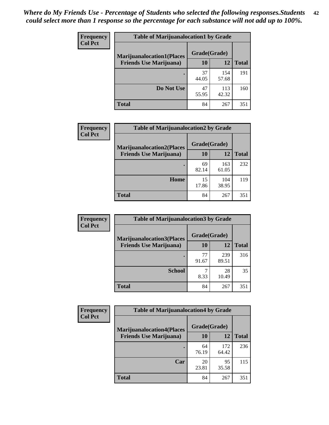| <b>Frequency</b> | <b>Table of Marijuanalocation1 by Grade</b> |              |              |              |
|------------------|---------------------------------------------|--------------|--------------|--------------|
| <b>Col Pct</b>   | <b>Marijuanalocation1(Places</b>            | Grade(Grade) |              |              |
|                  | <b>Friends Use Marijuana</b> )              | 10           | 12           | <b>Total</b> |
|                  |                                             | 37<br>44.05  | 154<br>57.68 | 191          |
|                  | Do Not Use                                  | 47<br>55.95  | 113<br>42.32 | 160          |
|                  | <b>Total</b>                                | 84           | 267          | 351          |

| <b>Frequency</b> | <b>Table of Marijuanalocation2 by Grade</b>                        |                    |              |              |
|------------------|--------------------------------------------------------------------|--------------------|--------------|--------------|
| <b>Col Pct</b>   | <b>Marijuanalocation2(Places</b><br><b>Friends Use Marijuana</b> ) | Grade(Grade)<br>10 | 12           | <b>Total</b> |
|                  |                                                                    | 69<br>82.14        | 163<br>61.05 | 232          |
|                  | Home                                                               | 15<br>17.86        | 104<br>38.95 | 119          |
|                  | <b>Total</b>                                                       | 84                 | 267          | 351          |

| Frequency<br><b>Col Pct</b> | <b>Table of Marijuanalocation3 by Grade</b> |              |              |              |
|-----------------------------|---------------------------------------------|--------------|--------------|--------------|
|                             | <b>Marijuanalocation3</b> (Places           | Grade(Grade) |              |              |
|                             | <b>Friends Use Marijuana</b> )              | <b>10</b>    | 12           | <b>Total</b> |
|                             |                                             | 77<br>91.67  | 239<br>89.51 | 316          |
|                             | <b>School</b>                               | 8.33         | 28<br>10.49  | 35           |
|                             | <b>Total</b>                                | 84           | 267          | 351          |

| <b>Frequency</b> | <b>Table of Marijuanalocation4 by Grade</b> |              |              |              |  |
|------------------|---------------------------------------------|--------------|--------------|--------------|--|
| <b>Col Pct</b>   | <b>Marijuanalocation4(Places</b>            | Grade(Grade) |              |              |  |
|                  | <b>Friends Use Marijuana</b> )              | <b>10</b>    | 12           | <b>Total</b> |  |
|                  |                                             | 64<br>76.19  | 172<br>64.42 | 236          |  |
|                  | Car                                         | 20<br>23.81  | 95<br>35.58  | 115          |  |
|                  | <b>Total</b>                                | 84           | 267          | 351          |  |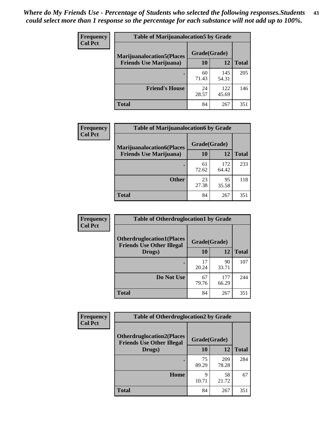| <b>Frequency</b> | <b>Table of Marijuanalocation5 by Grade</b> |              |              |              |
|------------------|---------------------------------------------|--------------|--------------|--------------|
| <b>Col Pct</b>   | <b>Marijuanalocation5</b> (Places           | Grade(Grade) |              |              |
|                  | <b>Friends Use Marijuana</b> )              | 10           | 12           | <b>Total</b> |
|                  |                                             | 60<br>71.43  | 145<br>54.31 | 205          |
|                  | <b>Friend's House</b>                       | 24<br>28.57  | 122<br>45.69 | 146          |
|                  | <b>Total</b>                                | 84           | 267          | 351          |

| <b>Frequency</b> | <b>Table of Marijuanalocation6 by Grade</b>                        |                           |              |              |
|------------------|--------------------------------------------------------------------|---------------------------|--------------|--------------|
| <b>Col Pct</b>   | <b>Marijuanalocation6(Places</b><br><b>Friends Use Marijuana</b> ) | Grade(Grade)<br><b>10</b> | 12           | <b>Total</b> |
|                  |                                                                    | 61<br>72.62               | 172<br>64.42 | 233          |
|                  | <b>Other</b>                                                       | 23<br>27.38               | 95<br>35.58  | 118          |
|                  | <b>Total</b>                                                       | 84                        | 267          | 351          |

| Frequency      | <b>Table of Otherdruglocation1 by Grade</b>                          |              |              |              |
|----------------|----------------------------------------------------------------------|--------------|--------------|--------------|
| <b>Col Pct</b> | <b>Otherdruglocation1(Places</b><br><b>Friends Use Other Illegal</b> | Grade(Grade) |              |              |
|                | Drugs)                                                               | 10           | 12           | <b>Total</b> |
|                |                                                                      | 17<br>20.24  | 90<br>33.71  | 107          |
|                | Do Not Use                                                           | 67<br>79.76  | 177<br>66.29 | 244          |
|                | <b>Total</b>                                                         | 84           | 267          | 351          |

| Frequency      | <b>Table of Otherdruglocation2 by Grade</b>                          |             |              |              |
|----------------|----------------------------------------------------------------------|-------------|--------------|--------------|
| <b>Col Pct</b> | <b>Otherdruglocation2(Places</b><br><b>Friends Use Other Illegal</b> |             | Grade(Grade) |              |
|                | Drugs)                                                               | 10          | 12           | <b>Total</b> |
|                |                                                                      | 75<br>89.29 | 209<br>78.28 | 284          |
|                | Home                                                                 | Q<br>10.71  | 58<br>21.72  | 67           |
|                | <b>Total</b>                                                         | 84          | 267          | 351          |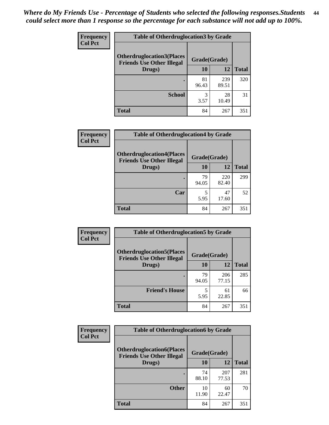| <b>Frequency</b> | <b>Table of Otherdruglocation 3 by Grade</b>                         |              |              |              |
|------------------|----------------------------------------------------------------------|--------------|--------------|--------------|
| <b>Col Pct</b>   | <b>Otherdruglocation3(Places</b><br><b>Friends Use Other Illegal</b> | Grade(Grade) |              |              |
|                  | Drugs)                                                               | 10           | 12           | <b>Total</b> |
|                  |                                                                      | 81<br>96.43  | 239<br>89.51 | 320          |
|                  | <b>School</b>                                                        | 3<br>3.57    | 28<br>10.49  | 31           |
|                  | Total                                                                | 84           | 267          | 351          |

| <b>Frequency</b> | <b>Table of Otherdruglocation4 by Grade</b>                          |              |              |              |
|------------------|----------------------------------------------------------------------|--------------|--------------|--------------|
| <b>Col Pct</b>   | <b>Otherdruglocation4(Places</b><br><b>Friends Use Other Illegal</b> | Grade(Grade) |              |              |
|                  | Drugs)                                                               | <b>10</b>    | 12           | <b>Total</b> |
|                  |                                                                      | 79<br>94.05  | 220<br>82.40 | 299          |
|                  | Car                                                                  | 5.95         | 47<br>17.60  | 52           |
|                  | <b>Total</b>                                                         | 84           | 267          | 351          |

| Frequency      | <b>Table of Otherdruglocation5 by Grade</b>                          |              |              |              |
|----------------|----------------------------------------------------------------------|--------------|--------------|--------------|
| <b>Col Pct</b> | <b>Otherdruglocation5(Places</b><br><b>Friends Use Other Illegal</b> | Grade(Grade) |              |              |
|                | Drugs)                                                               | 10           | 12           | <b>Total</b> |
|                |                                                                      | 79<br>94.05  | 206<br>77.15 | 285          |
|                | <b>Friend's House</b>                                                | 5.95         | 61<br>22.85  | 66           |
|                | <b>Total</b>                                                         | 84           | 267          | 351          |

| <b>Frequency</b> | <b>Table of Otherdruglocation6 by Grade</b>                          |              |              |              |
|------------------|----------------------------------------------------------------------|--------------|--------------|--------------|
| <b>Col Pct</b>   | <b>Otherdruglocation6(Places</b><br><b>Friends Use Other Illegal</b> | Grade(Grade) |              |              |
|                  | Drugs)                                                               | <b>10</b>    | 12           | <b>Total</b> |
|                  |                                                                      | 74<br>88.10  | 207<br>77.53 | 281          |
|                  | <b>Other</b>                                                         | 10<br>11.90  | 60<br>22.47  | 70           |
|                  | <b>Total</b>                                                         | 84           | 267          | 351          |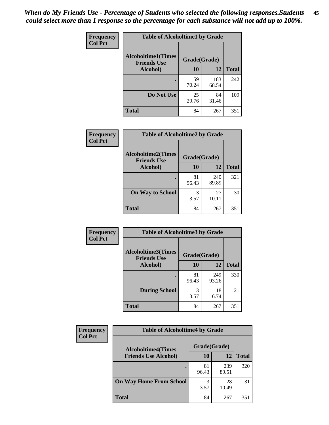| Frequency      | <b>Table of Alcoholtime1 by Grade</b>           |              |              |              |
|----------------|-------------------------------------------------|--------------|--------------|--------------|
| <b>Col Pct</b> | <b>Alcoholtime1(Times</b><br><b>Friends Use</b> | Grade(Grade) |              |              |
|                | Alcohol)                                        | <b>10</b>    | 12           | <b>Total</b> |
|                |                                                 | 59<br>70.24  | 183<br>68.54 | 242          |
|                | Do Not Use                                      | 25<br>29.76  | 84<br>31.46  | 109          |
|                | <b>Total</b>                                    | 84           | 267          | 351          |

| <b>Frequency</b> | <b>Table of Alcoholtime2 by Grade</b>           |              |              |              |
|------------------|-------------------------------------------------|--------------|--------------|--------------|
| <b>Col Pct</b>   | <b>Alcoholtime2(Times</b><br><b>Friends Use</b> | Grade(Grade) |              |              |
|                  | <b>Alcohol</b> )                                | 10           | <b>12</b>    | <b>Total</b> |
|                  |                                                 | 81<br>96.43  | 240<br>89.89 | 321          |
|                  | <b>On Way to School</b>                         | 3<br>3.57    | 27<br>10.11  | 30           |
|                  | <b>Total</b>                                    | 84           | 267          | 351          |

| Frequency<br><b>Col Pct</b> |                                                 | <b>Table of Alcoholtime3 by Grade</b> |              |              |  |
|-----------------------------|-------------------------------------------------|---------------------------------------|--------------|--------------|--|
|                             | <b>Alcoholtime3(Times</b><br><b>Friends Use</b> | Grade(Grade)                          |              |              |  |
|                             | <b>Alcohol</b> )                                | 10                                    | 12           | <b>Total</b> |  |
|                             |                                                 | 81<br>96.43                           | 249<br>93.26 | 330          |  |
|                             | <b>During School</b>                            | 3<br>3.57                             | 18<br>6.74   | 21           |  |
|                             | Total                                           | 84                                    | 267          | 351          |  |

| <b>Frequency</b><br><b>Col Pct</b> | <b>Table of Alcoholtime4 by Grade</b> |              |              |              |
|------------------------------------|---------------------------------------|--------------|--------------|--------------|
|                                    | <b>Alcoholtime4(Times</b>             | Grade(Grade) |              |              |
|                                    | <b>Friends Use Alcohol)</b>           | 10           | 12           | <b>Total</b> |
|                                    |                                       | 81<br>96.43  | 239<br>89.51 | 320          |
|                                    | <b>On Way Home From School</b>        | 3<br>3.57    | 28<br>10.49  | 31           |
|                                    | <b>Total</b>                          | 84           | 267          | 351          |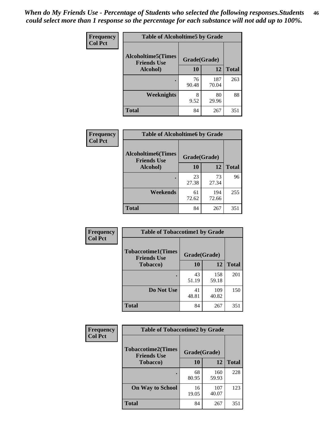*When do My Friends Use - Percentage of Students who selected the following responses.Students could select more than 1 response so the percentage for each substance will not add up to 100%.* **46**

| <b>Frequency</b> | <b>Table of Alcoholtime5 by Grade</b>            |              |              |              |
|------------------|--------------------------------------------------|--------------|--------------|--------------|
| <b>Col Pct</b>   | <b>Alcoholtime5</b> (Times<br><b>Friends Use</b> | Grade(Grade) |              |              |
|                  | Alcohol)                                         | 10           | 12           | <b>Total</b> |
|                  |                                                  | 76<br>90.48  | 187<br>70.04 | 263          |
|                  | Weeknights                                       | 8<br>9.52    | 80<br>29.96  | 88           |
|                  | <b>Total</b>                                     | 84           | 267          | 351          |

| Frequency      | <b>Table of Alcoholtime6 by Grade</b>                           |             |              |              |
|----------------|-----------------------------------------------------------------|-------------|--------------|--------------|
| <b>Col Pct</b> | <b>Alcoholtime6(Times</b><br>Grade(Grade)<br><b>Friends Use</b> |             |              |              |
|                | Alcohol)                                                        | 10          | 12           | <b>Total</b> |
|                |                                                                 | 23<br>27.38 | 73<br>27.34  | 96           |
|                | Weekends                                                        | 61<br>72.62 | 194<br>72.66 | 255          |
|                | <b>Total</b>                                                    | 84          | 267          | 351          |

| Frequency      | <b>Table of Tobaccotime1 by Grade</b>           |              |              |              |
|----------------|-------------------------------------------------|--------------|--------------|--------------|
| <b>Col Pct</b> | <b>Tobaccotime1(Times</b><br><b>Friends Use</b> | Grade(Grade) |              |              |
|                | <b>Tobacco</b> )                                | 10           | 12           | <b>Total</b> |
|                | ٠                                               | 43<br>51.19  | 158<br>59.18 | 201          |
|                | Do Not Use                                      | 41<br>48.81  | 109<br>40.82 | 150          |
|                | <b>Total</b>                                    | 84           | 267          | 351          |

| Frequency      | <b>Table of Tobaccotime2 by Grade</b>           |              |              |              |
|----------------|-------------------------------------------------|--------------|--------------|--------------|
| <b>Col Pct</b> | <b>Tobaccotime2(Times</b><br><b>Friends Use</b> | Grade(Grade) |              |              |
|                | <b>Tobacco</b> )                                | 10           | 12           | <b>Total</b> |
|                |                                                 | 68<br>80.95  | 160<br>59.93 | 228          |
|                | <b>On Way to School</b>                         | 16<br>19.05  | 107<br>40.07 | 123          |
|                | <b>Total</b>                                    | 84           | 267          | 351          |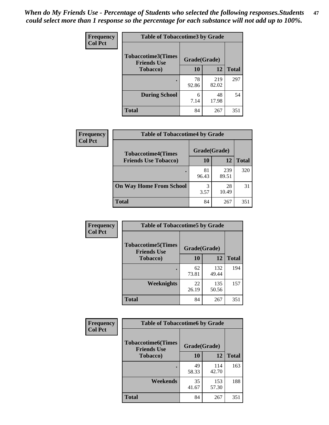*When do My Friends Use - Percentage of Students who selected the following responses.Students could select more than 1 response so the percentage for each substance will not add up to 100%.* **47**

| <b>Frequency</b> | <b>Table of Tobaccotime3 by Grade</b>           |              |              |              |  |
|------------------|-------------------------------------------------|--------------|--------------|--------------|--|
| <b>Col Pct</b>   | <b>Tobaccotime3(Times</b><br><b>Friends Use</b> | Grade(Grade) |              |              |  |
|                  | <b>Tobacco</b> )                                | 10           | 12           | <b>Total</b> |  |
|                  |                                                 | 78<br>92.86  | 219<br>82.02 | 297          |  |
|                  | <b>During School</b>                            | 6<br>7.14    | 48<br>17.98  | 54           |  |
|                  | <b>Total</b>                                    | 84           | 267          | 351          |  |

| <b>Frequency</b> | <b>Table of Tobaccotime4 by Grade</b> |              |              |              |
|------------------|---------------------------------------|--------------|--------------|--------------|
| <b>Col Pct</b>   | <b>Tobaccotime4(Times</b>             | Grade(Grade) |              |              |
|                  | <b>Friends Use Tobacco)</b>           | 10           | 12           | <b>Total</b> |
|                  |                                       | 81<br>96.43  | 239<br>89.51 | 320          |
|                  | <b>On Way Home From School</b>        | 3<br>3.57    | 28<br>10.49  | 31           |
|                  | <b>Total</b>                          | 84           | 267          | 351          |

| <b>Frequency</b> | <b>Table of Tobaccotime5 by Grade</b>           |              |              |              |
|------------------|-------------------------------------------------|--------------|--------------|--------------|
| <b>Col Pct</b>   | <b>Tobaccotime5(Times</b><br><b>Friends Use</b> | Grade(Grade) |              |              |
|                  | <b>Tobacco</b> )                                | 10           | 12           | <b>Total</b> |
|                  |                                                 | 62<br>73.81  | 132<br>49.44 | 194          |
|                  | Weeknights                                      | 22<br>26.19  | 135<br>50.56 | 157          |
|                  | <b>Total</b>                                    | 84           | 267          | 351          |

| Frequency      | <b>Table of Tobaccotime6 by Grade</b>           |              |              |              |
|----------------|-------------------------------------------------|--------------|--------------|--------------|
| <b>Col Pct</b> | <b>Tobaccotime6(Times</b><br><b>Friends Use</b> | Grade(Grade) |              |              |
|                | <b>Tobacco</b> )                                | 10           | 12           | <b>Total</b> |
|                | ٠                                               | 49<br>58.33  | 114<br>42.70 | 163          |
|                | Weekends                                        | 35<br>41.67  | 153<br>57.30 | 188          |
|                | <b>Total</b>                                    | 84           | 267          | 351          |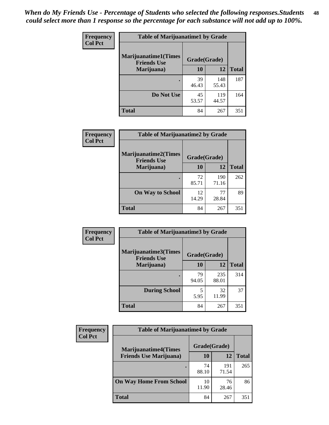| Frequency      | <b>Table of Marijuanatime1 by Grade</b>           |              |              |              |
|----------------|---------------------------------------------------|--------------|--------------|--------------|
| <b>Col Pct</b> | <b>Marijuanatime1(Times</b><br><b>Friends Use</b> | Grade(Grade) |              |              |
|                | Marijuana)                                        | 10           | 12           | <b>Total</b> |
|                |                                                   | 39<br>46.43  | 148<br>55.43 | 187          |
|                | Do Not Use                                        | 45<br>53.57  | 119<br>44.57 | 164          |
|                | <b>Total</b>                                      | 84           | 267          | 351          |

| Frequency      | <b>Table of Marijuanatime2 by Grade</b>           |              |              |              |
|----------------|---------------------------------------------------|--------------|--------------|--------------|
| <b>Col Pct</b> | <b>Marijuanatime2(Times</b><br><b>Friends Use</b> | Grade(Grade) |              |              |
|                | Marijuana)                                        | 10           | 12           | <b>Total</b> |
|                | $\bullet$                                         | 72<br>85.71  | 190<br>71.16 | 262          |
|                | <b>On Way to School</b>                           | 12<br>14.29  | 77<br>28.84  | 89           |
|                | <b>Total</b>                                      | 84           | 267          | 351          |

| Frequency      | <b>Table of Marijuanatime3 by Grade</b>    |              |              |              |
|----------------|--------------------------------------------|--------------|--------------|--------------|
| <b>Col Pct</b> | Marijuanatime3(Times<br><b>Friends Use</b> | Grade(Grade) |              |              |
|                | Marijuana)                                 | 10           | 12           | <b>Total</b> |
|                |                                            | 79<br>94.05  | 235<br>88.01 | 314          |
|                | <b>During School</b>                       | 5<br>5.95    | 32<br>11.99  | 37           |
|                | <b>Total</b>                               | 84           | 267          | 351          |

| Frequency      | <b>Table of Marijuanatime4 by Grade</b> |              |              |       |
|----------------|-----------------------------------------|--------------|--------------|-------|
| <b>Col Pct</b> | <b>Marijuanatime4</b> (Times            | Grade(Grade) |              |       |
|                | <b>Friends Use Marijuana</b> )          | 10           | 12           | Total |
|                |                                         | 74<br>88.10  | 191<br>71.54 | 265   |
|                | <b>On Way Home From School</b>          | 10<br>11.90  | 76<br>28.46  | 86    |
|                | <b>Total</b>                            | 84           | 267          | 351   |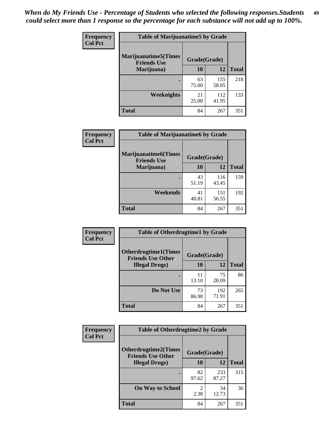| Frequency      | <b>Table of Marijuanatime5 by Grade</b>            |              |              |              |  |
|----------------|----------------------------------------------------|--------------|--------------|--------------|--|
| <b>Col Pct</b> | <b>Marijuanatime5</b> (Times<br><b>Friends Use</b> | Grade(Grade) |              |              |  |
|                | Marijuana)                                         | 10           | 12           | <b>Total</b> |  |
|                |                                                    | 63<br>75.00  | 155<br>58.05 | 218          |  |
|                | Weeknights                                         | 21<br>25.00  | 112<br>41.95 | 133          |  |
|                | <b>Total</b>                                       | 84           | 267          | 351          |  |

| Frequency      | <b>Table of Marijuanatime6 by Grade</b>           |              |              |              |
|----------------|---------------------------------------------------|--------------|--------------|--------------|
| <b>Col Pct</b> | <b>Marijuanatime6(Times</b><br><b>Friends Use</b> | Grade(Grade) |              |              |
|                | Marijuana)                                        | 10           | 12           | <b>Total</b> |
|                |                                                   | 43<br>51.19  | 116<br>43.45 | 159          |
|                | Weekends                                          | 41<br>48.81  | 151<br>56.55 | 192          |
|                | <b>Total</b>                                      | 84           | 267          | 351          |

| <b>Frequency</b> | <b>Table of Otherdrugtime1 by Grade</b>                 |              |              |              |
|------------------|---------------------------------------------------------|--------------|--------------|--------------|
| <b>Col Pct</b>   | <b>Otherdrugtime1(Times</b><br><b>Friends Use Other</b> | Grade(Grade) |              |              |
|                  | <b>Illegal Drugs</b> )                                  | 10           | 12           | <b>Total</b> |
|                  |                                                         | 11<br>13.10  | 75<br>28.09  | 86           |
|                  | Do Not Use                                              | 73<br>86.90  | 192<br>71.91 | 265          |
|                  | <b>Total</b>                                            | 84           | 267          | 351          |

| Frequency      | <b>Table of Otherdrugtime2 by Grade</b>                 |                                  |              |              |  |  |
|----------------|---------------------------------------------------------|----------------------------------|--------------|--------------|--|--|
| <b>Col Pct</b> | <b>Otherdrugtime2(Times</b><br><b>Friends Use Other</b> | Grade(Grade)                     |              |              |  |  |
|                | <b>Illegal Drugs</b> )                                  | 10                               | 12           | <b>Total</b> |  |  |
|                |                                                         | 82<br>97.62                      | 233<br>87.27 | 315          |  |  |
|                | <b>On Way to School</b>                                 | $\overline{\mathcal{L}}$<br>2.38 | 34<br>12.73  | 36           |  |  |
|                | Total                                                   | 84                               | 267          | 351          |  |  |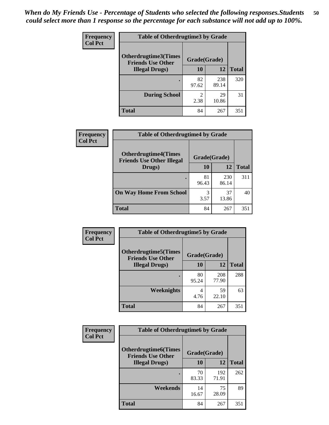| <b>Frequency</b><br><b>Col Pct</b> | <b>Table of Otherdrugtime3 by Grade</b>                 |                        |              |              |  |  |
|------------------------------------|---------------------------------------------------------|------------------------|--------------|--------------|--|--|
|                                    | <b>Otherdrugtime3(Times</b><br><b>Friends Use Other</b> | Grade(Grade)           |              |              |  |  |
|                                    | <b>Illegal Drugs</b> )                                  | 10                     | 12           | <b>Total</b> |  |  |
|                                    |                                                         | 82<br>97.62            | 238<br>89.14 | 320          |  |  |
|                                    | <b>During School</b>                                    | $\overline{2}$<br>2.38 | 29<br>10.86  | 31           |  |  |
|                                    | <b>Total</b>                                            | 84                     | 267          | 351          |  |  |

| <b>Frequency</b> | <b>Table of Otherdrugtime4 by Grade</b>                         |              |              |              |  |
|------------------|-----------------------------------------------------------------|--------------|--------------|--------------|--|
| <b>Col Pct</b>   | <b>Otherdrugtime4(Times</b><br><b>Friends Use Other Illegal</b> | Grade(Grade) |              |              |  |
|                  | Drugs)                                                          | 10           | 12           | <b>Total</b> |  |
|                  | $\bullet$                                                       | 81<br>96.43  | 230<br>86.14 | 311          |  |
|                  | <b>On Way Home From School</b>                                  | 3<br>3.57    | 37<br>13.86  | 40           |  |
|                  | <b>Total</b>                                                    | 84           | 267          | 351          |  |

| <b>Frequency</b><br><b>Col Pct</b> | <b>Table of Otherdrugtime5 by Grade</b>                  |              |              |              |  |  |
|------------------------------------|----------------------------------------------------------|--------------|--------------|--------------|--|--|
|                                    | <b>Otherdrugtime5</b> (Times<br><b>Friends Use Other</b> | Grade(Grade) |              |              |  |  |
|                                    | <b>Illegal Drugs</b> )                                   | 10           | 12           | <b>Total</b> |  |  |
|                                    |                                                          | 80<br>95.24  | 208<br>77.90 | 288          |  |  |
|                                    | Weeknights                                               | 4<br>4.76    | 59<br>22.10  | 63           |  |  |
|                                    | Total                                                    | 84           | 267          | 351          |  |  |

| Frequency      | <b>Table of Otherdrugtime6 by Grade</b>                 |              |              |              |  |  |
|----------------|---------------------------------------------------------|--------------|--------------|--------------|--|--|
| <b>Col Pct</b> | <b>Otherdrugtime6(Times</b><br><b>Friends Use Other</b> | Grade(Grade) |              |              |  |  |
|                | <b>Illegal Drugs</b> )                                  | 10           | 12           | <b>Total</b> |  |  |
|                |                                                         | 70<br>83.33  | 192<br>71.91 | 262          |  |  |
|                | Weekends                                                | 14<br>16.67  | 75<br>28.09  | 89           |  |  |
|                | Total                                                   | 84           | 267          | 351          |  |  |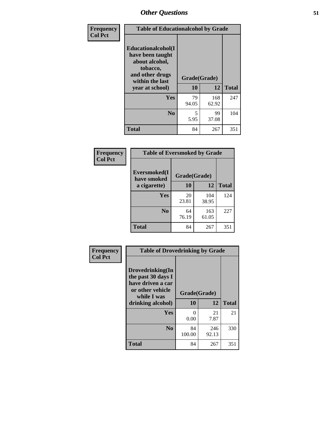| Frequency      | <b>Table of Educationalcohol by Grade</b>                                                                  |              |              |              |  |
|----------------|------------------------------------------------------------------------------------------------------------|--------------|--------------|--------------|--|
| <b>Col Pct</b> | Educationalcohol(I<br>have been taught<br>about alcohol,<br>tobacco,<br>and other drugs<br>within the last | Grade(Grade) |              |              |  |
|                | year at school)                                                                                            | 10           | 12           | <b>Total</b> |  |
|                | <b>Yes</b>                                                                                                 | 79<br>94.05  | 168<br>62.92 | 247          |  |
|                | N <sub>0</sub>                                                                                             | 5<br>5.95    | 99<br>37.08  | 104          |  |
|                | <b>Total</b>                                                                                               | 84           | 267          | 351          |  |

| Frequency      | <b>Table of Eversmoked by Grade</b>         |             |              |              |  |  |
|----------------|---------------------------------------------|-------------|--------------|--------------|--|--|
| <b>Col Pct</b> | Eversmoked(I<br>Grade(Grade)<br>have smoked |             |              |              |  |  |
|                | a cigarette)                                | 10          | 12           | <b>Total</b> |  |  |
|                | <b>Yes</b>                                  | 20<br>23.81 | 104<br>38.95 | 124          |  |  |
|                | N <sub>0</sub>                              | 64<br>76.19 | 163<br>61.05 | 227          |  |  |
|                | <b>Total</b>                                | 84          | 267          | 351          |  |  |

| Frequency<br><b>Col Pct</b> | <b>Table of Drovedrinking by Grade</b>                                                                              |                          |              |              |  |  |
|-----------------------------|---------------------------------------------------------------------------------------------------------------------|--------------------------|--------------|--------------|--|--|
|                             | Drovedrinking(In<br>the past 30 days I<br>have driven a car<br>or other vehicle<br>while I was<br>drinking alcohol) | Grade(Grade)<br>10<br>12 |              | <b>Total</b> |  |  |
|                             | Yes                                                                                                                 | 0<br>0.00                | 21<br>7.87   | 21           |  |  |
|                             | N <sub>0</sub>                                                                                                      | 84<br>100.00             | 246<br>92.13 | 330          |  |  |
|                             | <b>Total</b>                                                                                                        | 84                       | 267          | 351          |  |  |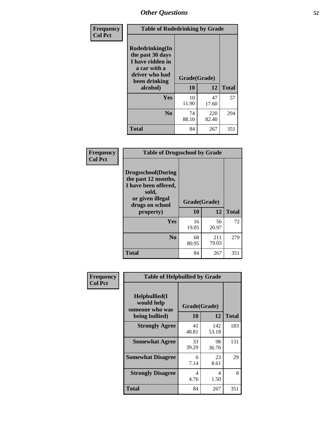| Frequency<br><b>Col Pct</b> | <b>Table of Rodedrinking by Grade</b>                                                                                  |                          |              |              |  |  |
|-----------------------------|------------------------------------------------------------------------------------------------------------------------|--------------------------|--------------|--------------|--|--|
|                             | Rodedrinking(In<br>the past 30 days<br>I have ridden in<br>a car with a<br>driver who had<br>been drinking<br>alcohol) | Grade(Grade)<br>10<br>12 |              | <b>Total</b> |  |  |
|                             | Yes                                                                                                                    | 10<br>11.90              | 47<br>17.60  | 57           |  |  |
|                             | N <sub>0</sub>                                                                                                         | 74<br>88.10              | 220<br>82.40 | 294          |  |  |
|                             | <b>Total</b>                                                                                                           | 84                       | 267          | 351          |  |  |

### **Frequency Col Pct**

| <b>Table of Drugsschool by Grade</b>                                                                                      |              |              |              |  |  |  |
|---------------------------------------------------------------------------------------------------------------------------|--------------|--------------|--------------|--|--|--|
| <b>Drugsschool</b> (During<br>the past 12 months,<br>I have been offered,<br>sold,<br>or given illegal<br>drugs on school | Grade(Grade) |              |              |  |  |  |
| property)                                                                                                                 | 10           | 12           | <b>Total</b> |  |  |  |
| Yes                                                                                                                       | 16<br>19.05  | 56<br>20.97  | 72           |  |  |  |
|                                                                                                                           |              |              |              |  |  |  |
| N <sub>0</sub>                                                                                                            | 68<br>80.95  | 211<br>79.03 | 279          |  |  |  |

| Frequency      | <b>Table of Helpbullied by Grade</b>                                   |                    |              |              |  |  |  |
|----------------|------------------------------------------------------------------------|--------------------|--------------|--------------|--|--|--|
| <b>Col Pct</b> | $Helpb$ ullied $(I$<br>would help<br>someone who was<br>being bullied) | Grade(Grade)<br>10 | 12           | <b>Total</b> |  |  |  |
|                | <b>Strongly Agree</b>                                                  | 41<br>48.81        | 142<br>53.18 | 183          |  |  |  |
|                | <b>Somewhat Agree</b>                                                  | 33<br>39.29        | 98<br>36.70  | 131          |  |  |  |
|                | <b>Somewhat Disagree</b>                                               | 6<br>7.14          | 23<br>8.61   | 29           |  |  |  |
|                | <b>Strongly Disagree</b>                                               | 4<br>4.76          | 4<br>1.50    | 8            |  |  |  |
|                | <b>Total</b>                                                           | 84                 | 267          | 351          |  |  |  |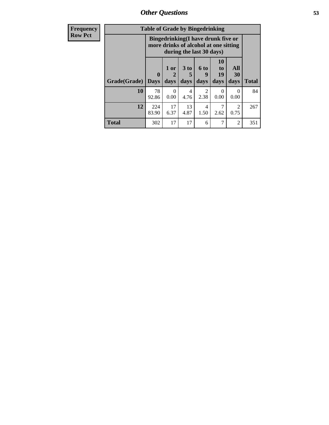*Other Questions* **53**

| <b>Frequency</b> | <b>Table of Grade by Bingedrinking</b> |                            |                                                                             |                     |                             |                        |                   |              |
|------------------|----------------------------------------|----------------------------|-----------------------------------------------------------------------------|---------------------|-----------------------------|------------------------|-------------------|--------------|
| <b>Row Pct</b>   |                                        |                            | Bingedrinking(I have drunk five or<br>more drinks of alcohol at one sitting |                     | during the last 30 days)    |                        |                   |              |
|                  | Grade(Grade)                           | $\mathbf 0$<br><b>Days</b> | $1$ or<br>2<br>days                                                         | $3$ to<br>5<br>days | $6 \text{ to}$<br>9<br>days | 10<br>to<br>19<br>days | All<br>30<br>days | <b>Total</b> |
|                  | 10                                     | 78<br>92.86                | 0<br>0.00                                                                   | 4<br>4.76           | 2<br>2.38                   | $\Omega$<br>0.00       | $\Omega$<br>0.00  | 84           |
|                  | 12                                     | 224<br>83.90               | 17<br>6.37                                                                  | 13<br>4.87          | 4<br>1.50                   | 7<br>2.62              | 2<br>0.75         | 267          |
|                  | <b>Total</b>                           | 302                        | 17                                                                          | 17                  | 6                           | 7                      | $\overline{2}$    | 351          |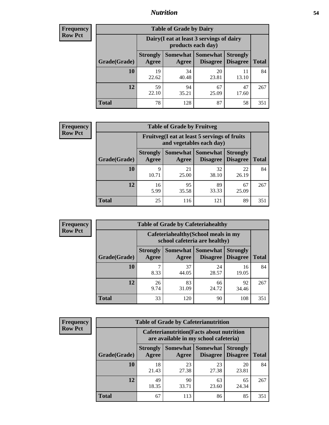## *Nutrition* **54**

| <b>Frequency</b><br>Row Pct |
|-----------------------------|
|                             |

| <b>Table of Grade by Dairy</b> |                          |                                                                 |                                    |                                    |              |  |
|--------------------------------|--------------------------|-----------------------------------------------------------------|------------------------------------|------------------------------------|--------------|--|
|                                |                          | Dairy (I eat at least 3 servings of dairy<br>products each day) |                                    |                                    |              |  |
| Grade(Grade)                   | <b>Strongly</b><br>Agree | Somewhat<br>Agree                                               | <b>Somewhat</b><br><b>Disagree</b> | <b>Strongly</b><br><b>Disagree</b> | <b>Total</b> |  |
| 10                             | 19<br>22.62              | 34<br>40.48                                                     | 20<br>23.81                        | 11<br>13.10                        | 84           |  |
| 12                             | 59<br>22.10              | 94<br>35.21                                                     | 67<br>25.09                        | 47<br>17.60                        | 267          |  |
| <b>Total</b>                   | 78                       | 128                                                             | 87                                 | 58                                 | 351          |  |

| <b>Frequency</b> |  |
|------------------|--|
| <b>Row Pct</b>   |  |

| <b>Table of Grade by Fruitveg</b> |                          |                                                                          |                             |                                    |              |  |
|-----------------------------------|--------------------------|--------------------------------------------------------------------------|-----------------------------|------------------------------------|--------------|--|
|                                   |                          | Fruitveg(I eat at least 5 servings of fruits<br>and vegetables each day) |                             |                                    |              |  |
| Grade(Grade)                      | <b>Strongly</b><br>Agree | Somewhat  <br>Agree                                                      | <b>Somewhat</b><br>Disagree | <b>Strongly</b><br><b>Disagree</b> | <b>Total</b> |  |
| 10                                | 9<br>10.71               | 21<br>25.00                                                              | 32<br>38.10                 | 22<br>26.19                        | 84           |  |
| 12                                | 16<br>5.99               | 95<br>35.58                                                              | 89<br>33.33                 | 67<br>25.09                        | 267          |  |
| <b>Total</b>                      | 25                       | 116                                                                      | 121                         | 89                                 | 351          |  |

| <b>Frequency</b> | <b>Table of Grade by Cafeteriahealthy</b> |                          |                                                                       |                 |                                    |              |
|------------------|-------------------------------------------|--------------------------|-----------------------------------------------------------------------|-----------------|------------------------------------|--------------|
| <b>Row Pct</b>   |                                           |                          | Cafeteriahealthy (School meals in my<br>school cafeteria are healthy) |                 |                                    |              |
|                  | Grade(Grade)                              | <b>Strongly</b><br>Agree | Somewhat Somewhat<br>Agree                                            | <b>Disagree</b> | <b>Strongly</b><br><b>Disagree</b> | <b>Total</b> |
|                  | 10                                        | 8.33                     | 37<br>44.05                                                           | 24<br>28.57     | 16<br>19.05                        | 84           |
|                  | 12                                        | 26<br>9.74               | 83<br>31.09                                                           | 66<br>24.72     | 92<br>34.46                        | 267          |
|                  | Total                                     | 33                       | 120                                                                   | 90              | 108                                | 351          |

| <b>Frequency</b> |
|------------------|
| <b>Row Pct</b>   |

| <b>Table of Grade by Cafeterianutrition</b> |                          |                                                                                           |                             |                                    |              |  |
|---------------------------------------------|--------------------------|-------------------------------------------------------------------------------------------|-----------------------------|------------------------------------|--------------|--|
|                                             |                          | <b>Cafeterianutrition</b> (Facts about nutrition<br>are available in my school cafeteria) |                             |                                    |              |  |
| Grade(Grade)                                | <b>Strongly</b><br>Agree | Somewhat  <br>Agree                                                                       | <b>Somewhat</b><br>Disagree | <b>Strongly</b><br><b>Disagree</b> | <b>Total</b> |  |
| 10                                          | 18<br>21.43              | 23<br>27.38                                                                               | 23<br>27.38                 | 20<br>23.81                        | 84           |  |
| 12                                          | 49<br>18.35              | 90<br>33.71                                                                               | 63<br>23.60                 | 65<br>24.34                        | 267          |  |
| <b>Total</b>                                | 67                       | 113                                                                                       | 86                          | 85                                 | 351          |  |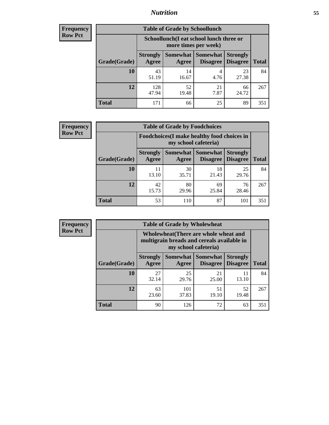## *Nutrition* **55**

| Frequency |
|-----------|
| Row Pct   |

| <b>Table of Grade by Schoollunch</b> |                          |                                                                 |                               |                                    |              |  |
|--------------------------------------|--------------------------|-----------------------------------------------------------------|-------------------------------|------------------------------------|--------------|--|
|                                      |                          | Schoollunch(I eat school lunch three or<br>more times per week) |                               |                                    |              |  |
| Grade(Grade)                         | <b>Strongly</b><br>Agree | Agree                                                           | Somewhat Somewhat<br>Disagree | <b>Strongly</b><br><b>Disagree</b> | <b>Total</b> |  |
| 10                                   | 43<br>51.19              | 14<br>16.67                                                     | 4<br>4.76                     | 23<br>27.38                        | 84           |  |
| 12                                   | 128<br>47.94             | 52<br>19.48                                                     | 21<br>7.87                    | 66<br>24.72                        | 267          |  |
| <b>Total</b>                         | 171                      | 66                                                              | 25                            | 89                                 | 351          |  |

| <b>Frequency</b> |  |
|------------------|--|
| <b>Row Pct</b>   |  |

| <b>Table of Grade by Foodchoices</b> |                          |                                                                            |                     |                                        |              |  |
|--------------------------------------|--------------------------|----------------------------------------------------------------------------|---------------------|----------------------------------------|--------------|--|
|                                      |                          | <b>Foodchoices</b> (I make healthy food choices in<br>my school cafeteria) |                     |                                        |              |  |
| Grade(Grade)                         | <b>Strongly</b><br>Agree | Agree                                                                      | Somewhat   Somewhat | <b>Strongly</b><br>Disagree   Disagree | <b>Total</b> |  |
| 10                                   | 11<br>13.10              | 30<br>35.71                                                                | 18<br>21.43         | 25<br>29.76                            | 84           |  |
| 12                                   | 42<br>15.73              | 80<br>29.96                                                                | 69<br>25.84         | 76<br>28.46                            | 267          |  |
| <b>Total</b>                         | 53                       | 110                                                                        | 87                  | 101                                    | 351          |  |

| <b>Frequency</b> |
|------------------|
| <b>Row Pct</b>   |

| <b>Table of Grade by Wholewheat</b> |                          |                                                                                                             |                                        |                                    |              |  |
|-------------------------------------|--------------------------|-------------------------------------------------------------------------------------------------------------|----------------------------------------|------------------------------------|--------------|--|
|                                     |                          | Wholewheat (There are whole wheat and<br>multigrain breads and cereals available in<br>my school cafeteria) |                                        |                                    |              |  |
| Grade(Grade)                        | <b>Strongly</b><br>Agree | Agree                                                                                                       | Somewhat   Somewhat<br><b>Disagree</b> | <b>Strongly</b><br><b>Disagree</b> | <b>Total</b> |  |
| 10                                  | 27<br>32.14              | 25<br>29.76                                                                                                 | 21<br>25.00                            | 11<br>13.10                        | 84           |  |
| 12                                  | 63<br>23.60              | 101<br>37.83                                                                                                | 51<br>19.10                            | 52<br>19.48                        | 267          |  |
| <b>Total</b>                        | 90                       | 126                                                                                                         | 72                                     | 63                                 | 351          |  |

٦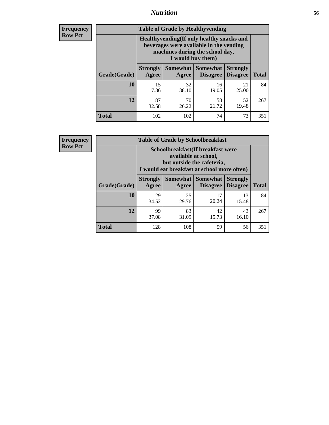## *Nutrition* **56**

**Frequency Row Pct**

| <b>Table of Grade by Healthyvending</b> |                                                                                                                                               |                          |                                    |                                    |              |  |  |
|-----------------------------------------|-----------------------------------------------------------------------------------------------------------------------------------------------|--------------------------|------------------------------------|------------------------------------|--------------|--|--|
|                                         | Healthyvending (If only healthy snacks and<br>beverages were available in the vending<br>machines during the school day,<br>I would buy them) |                          |                                    |                                    |              |  |  |
| Grade(Grade)                            | <b>Strongly</b><br>Agree                                                                                                                      | <b>Somewhat</b><br>Agree | <b>Somewhat</b><br><b>Disagree</b> | <b>Strongly</b><br><b>Disagree</b> | <b>Total</b> |  |  |
| 10                                      | 15<br>17.86                                                                                                                                   | 32<br>38.10              | 16<br>19.05                        | 21<br>25.00                        | 84           |  |  |
| 12                                      | 87<br>32.58                                                                                                                                   | 70<br>26.22              | 58<br>21.72                        | 52<br>19.48                        | 267          |  |  |
| <b>Total</b>                            | 102                                                                                                                                           | 102                      | 74                                 | 73                                 | 351          |  |  |

**Frequency Row Pct**

| <b>Table of Grade by Schoolbreakfast</b> |                                                                                                                                        |                     |                                    |                                    |              |  |  |
|------------------------------------------|----------------------------------------------------------------------------------------------------------------------------------------|---------------------|------------------------------------|------------------------------------|--------------|--|--|
|                                          | Schoolbreakfast(If breakfast were<br>available at school,<br>but outside the cafeteria,<br>I would eat breakfast at school more often) |                     |                                    |                                    |              |  |  |
| Grade(Grade)                             | <b>Strongly</b><br>Agree                                                                                                               | Somewhat  <br>Agree | <b>Somewhat</b><br><b>Disagree</b> | <b>Strongly</b><br><b>Disagree</b> | <b>Total</b> |  |  |
| 10                                       | 29<br>34.52                                                                                                                            | 25<br>29.76         | 17<br>20.24                        | 13<br>15.48                        | 84           |  |  |
| 12                                       | 99<br>37.08                                                                                                                            | 83<br>31.09         | 42<br>15.73                        | 43<br>16.10                        | 267          |  |  |
| <b>Total</b>                             | 128                                                                                                                                    | 108                 | 59                                 | 56                                 | 351          |  |  |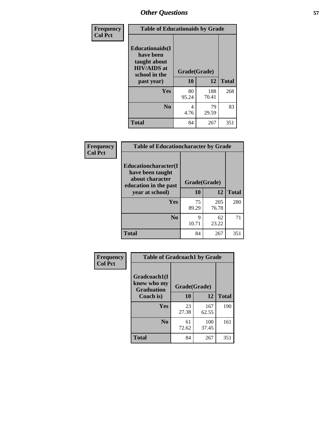| Frequency<br><b>Col Pct</b> | <b>Table of Educationaids by Grade</b>                                                                    |                    |              |              |
|-----------------------------|-----------------------------------------------------------------------------------------------------------|--------------------|--------------|--------------|
|                             | <b>Educationaids</b> (I<br>have been<br>taught about<br><b>HIV/AIDS</b> at<br>school in the<br>past year) | Grade(Grade)<br>10 | 12           | <b>Total</b> |
|                             | Yes                                                                                                       | 80<br>95.24        | 188<br>70.41 | 268          |
|                             | N <sub>0</sub>                                                                                            | 4<br>4.76          | 79<br>29.59  | 83           |
|                             | <b>Total</b>                                                                                              | 84                 | 267          | 351          |

| <b>Frequency</b> | <b>Table of Educationcharacter by Grade</b>                                                                     |              |              |              |
|------------------|-----------------------------------------------------------------------------------------------------------------|--------------|--------------|--------------|
| <b>Col Pct</b>   | <b>Educationcharacter</b> (I<br>have been taught<br>about character<br>education in the past<br>year at school) | Grade(Grade) |              |              |
|                  |                                                                                                                 | 10           | 12           | <b>Total</b> |
|                  | <b>Yes</b>                                                                                                      | 75<br>89.29  | 205<br>76.78 | 280          |
|                  | N <sub>0</sub>                                                                                                  | 9<br>10.71   | 62<br>23.22  | 71           |
|                  | <b>Total</b>                                                                                                    | 84           | 267          | 351          |

| Frequency | <b>Table of Gradcoach1 by Grade</b>              |              |              |              |
|-----------|--------------------------------------------------|--------------|--------------|--------------|
| Col Pct   | Gradcoach1(I<br>know who my<br><b>Graduation</b> | Grade(Grade) |              |              |
|           | Coach is)                                        | 10           | 12           | <b>Total</b> |
|           | <b>Yes</b>                                       | 23<br>27.38  | 167<br>62.55 | 190          |
|           | N <sub>0</sub>                                   | 61<br>72.62  | 100<br>37.45 | 161          |
|           | <b>Total</b>                                     | 84           | 267          | 351          |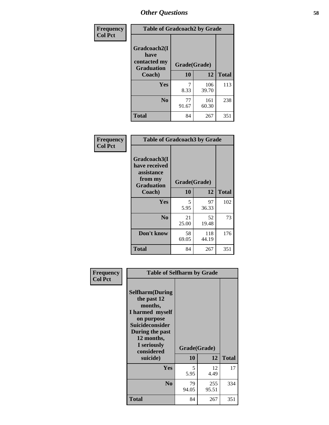| Frequency      | <b>Table of Gradcoach2 by Grade</b> |              |              |              |  |
|----------------|-------------------------------------|--------------|--------------|--------------|--|
| <b>Col Pct</b> |                                     |              |              |              |  |
|                | Gradcoach2(I<br>have                |              |              |              |  |
|                | contacted my<br><b>Graduation</b>   | Grade(Grade) |              |              |  |
|                | Coach)                              | 10           | 12           | <b>Total</b> |  |
|                | Yes                                 | 7<br>8.33    | 106<br>39.70 | 113          |  |
|                | N <sub>0</sub>                      | 77<br>91.67  | 161<br>60.30 | 238          |  |
|                | <b>Total</b>                        | 84           | 267          | 351          |  |

| <b>Frequency</b><br><b>Col Pct</b> | <b>Table of Gradcoach3 by Grade</b>                                         |              |              |              |  |
|------------------------------------|-----------------------------------------------------------------------------|--------------|--------------|--------------|--|
|                                    | Gradcoach3(I<br>have received<br>assistance<br>from my<br><b>Graduation</b> | Grade(Grade) |              |              |  |
|                                    | Coach)                                                                      | 10           | 12           | <b>Total</b> |  |
|                                    | Yes                                                                         | 5<br>5.95    | 97<br>36.33  | 102          |  |
|                                    | N <sub>0</sub>                                                              | 21<br>25.00  | 52<br>19.48  | 73           |  |
|                                    | Don't know                                                                  | 58<br>69.05  | 118<br>44.19 | 176          |  |
|                                    | <b>Total</b>                                                                | 84           | 267          | 351          |  |

| Frequency<br><b>Col Pct</b> | <b>Table of Selfharm by Grade</b>                                                                                                                                          |              |              |              |  |
|-----------------------------|----------------------------------------------------------------------------------------------------------------------------------------------------------------------------|--------------|--------------|--------------|--|
|                             | <b>Selfharm</b> (During<br>the past 12<br>months,<br>I harmed myself<br>on purpose<br><b>Suicideconsider</b><br>During the past<br>12 months,<br>I seriously<br>considered | Grade(Grade) |              |              |  |
|                             | suicide)                                                                                                                                                                   | 10           | 12           | <b>Total</b> |  |
|                             | Yes                                                                                                                                                                        | 5<br>5.95    | 12<br>4.49   | 17           |  |
|                             | N <sub>0</sub>                                                                                                                                                             | 79<br>94.05  | 255<br>95.51 | 334          |  |
|                             | <b>Total</b>                                                                                                                                                               | 84           | 267          | 351          |  |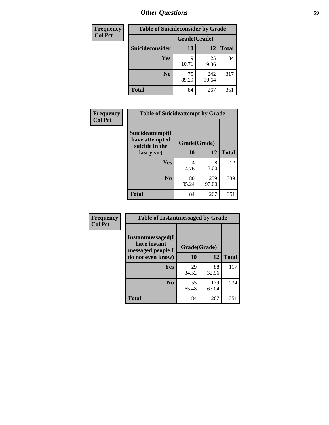| <b>Frequency</b> | <b>Table of Suicideconsider by Grade</b> |              |              |              |
|------------------|------------------------------------------|--------------|--------------|--------------|
| <b>Col Pct</b>   |                                          | Grade(Grade) |              |              |
|                  | <b>Suicideconsider</b>                   | <b>10</b>    | 12           | <b>Total</b> |
|                  | <b>Yes</b>                               | q<br>10.71   | 25<br>9.36   | 34           |
|                  | N <sub>0</sub>                           | 75<br>89.29  | 242<br>90.64 | 317          |
|                  | <b>Total</b>                             | 84           | 267          | 351          |

| Frequency      | <b>Table of Suicideattempt by Grade</b>              |              |              |              |
|----------------|------------------------------------------------------|--------------|--------------|--------------|
| <b>Col Pct</b> | Suicideattempt(I<br>have attempted<br>suicide in the | Grade(Grade) |              |              |
|                | last year)                                           | 10           | 12           | <b>Total</b> |
|                | Yes                                                  | 4            | 8<br>3.00    | 12           |
|                |                                                      | 4.76         |              |              |
|                | $\bf No$                                             | 80<br>95.24  | 259<br>97.00 | 339          |
|                | <b>Total</b>                                         | 84           | 267          | 351          |

| Frequency      | <b>Table of Instantmessaged by Grade</b>                       |              |              |              |  |
|----------------|----------------------------------------------------------------|--------------|--------------|--------------|--|
| <b>Col Pct</b> | <b>Instantmessaged</b> (I<br>have instant<br>messaged people I | Grade(Grade) |              |              |  |
|                | do not even know)                                              | 10           | 12           | <b>Total</b> |  |
|                | Yes                                                            | 29<br>34.52  | 88<br>32.96  | 117          |  |
|                | N <sub>0</sub>                                                 | 55<br>65.48  | 179<br>67.04 | 234          |  |
|                | <b>Total</b>                                                   | 84           | 267          | 351          |  |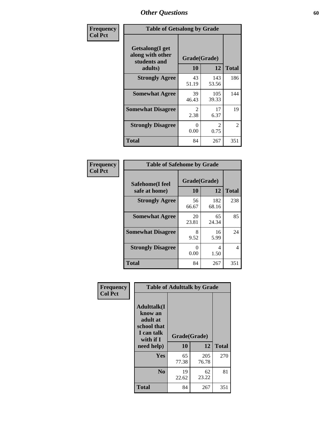| Frequency      | <b>Table of Getsalong by Grade</b>                          |                       |                        |                |  |  |  |
|----------------|-------------------------------------------------------------|-----------------------|------------------------|----------------|--|--|--|
| <b>Col Pct</b> | <b>Getsalong</b> (I get<br>along with other<br>students and | Grade(Grade)          |                        |                |  |  |  |
|                | adults)                                                     | 10                    | 12                     | <b>Total</b>   |  |  |  |
|                | <b>Strongly Agree</b>                                       | 43<br>51.19           | 143<br>53.56           | 186            |  |  |  |
|                | <b>Somewhat Agree</b>                                       | 39<br>46.43           | 105<br>39.33           | 144            |  |  |  |
|                | <b>Somewhat Disagree</b>                                    | $\mathcal{L}$<br>2.38 | 17<br>6.37             | 19             |  |  |  |
|                | <b>Strongly Disagree</b>                                    | 0<br>0.00             | $\mathfrak{D}$<br>0.75 | $\overline{c}$ |  |  |  |
|                | <b>Total</b>                                                | 84                    | 267                    | 351            |  |  |  |

| Frequency      | <b>Table of Safehome by Grade</b> |                    |              |                |  |  |  |
|----------------|-----------------------------------|--------------------|--------------|----------------|--|--|--|
| <b>Col Pct</b> | Safehome(I feel<br>safe at home)  | Grade(Grade)<br>10 | 12           | <b>Total</b>   |  |  |  |
|                | <b>Strongly Agree</b>             | 56<br>66.67        | 182<br>68.16 | 238            |  |  |  |
|                | <b>Somewhat Agree</b>             | 20<br>23.81        | 65<br>24.34  | 85             |  |  |  |
|                | <b>Somewhat Disagree</b>          | 8<br>9.52          | 16<br>5.99   | 24             |  |  |  |
|                | <b>Strongly Disagree</b>          | 0<br>0.00          | 4<br>1.50    | $\overline{4}$ |  |  |  |
|                | <b>Total</b>                      | 84                 | 267          | 351            |  |  |  |

| Frequency      | <b>Table of Adulttalk by Grade</b>                                                  |              |              |              |  |  |  |
|----------------|-------------------------------------------------------------------------------------|--------------|--------------|--------------|--|--|--|
| <b>Col Pct</b> | <b>Adulttalk(I</b><br>know an<br>adult at<br>school that<br>I can talk<br>with if I | Grade(Grade) |              |              |  |  |  |
|                | need help)                                                                          | 10           | 12           | <b>Total</b> |  |  |  |
|                | <b>Yes</b>                                                                          | 65<br>77.38  | 205<br>76.78 | 270          |  |  |  |
|                | N <sub>0</sub>                                                                      | 19<br>22.62  | 62<br>23.22  | 81           |  |  |  |
|                | <b>Total</b>                                                                        | 84           | 267          | 351          |  |  |  |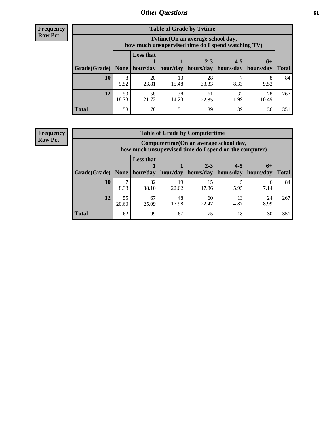**Frequency Row Pct**

| <b>Table of Grade by Tvtime</b> |             |                                                                                        |             |             |             |             |              |  |  |  |
|---------------------------------|-------------|----------------------------------------------------------------------------------------|-------------|-------------|-------------|-------------|--------------|--|--|--|
|                                 |             | Tvtime(On an average school day,<br>how much unsupervised time do I spend watching TV) |             |             |             |             |              |  |  |  |
|                                 |             | <b>Less that</b>                                                                       |             | $2 - 3$     | $4 - 5$     | $6+$        |              |  |  |  |
| Grade(Grade)   None             |             | hour/day                                                                               | hour/day    | hours/day   | hours/day   | hours/day   | <b>Total</b> |  |  |  |
| 10                              | 8<br>9.52   | 20<br>23.81                                                                            | 13<br>15.48 | 28<br>33.33 | 8.33        | 8<br>9.52   | 84           |  |  |  |
| 12                              | 50<br>18.73 | 58<br>21.72                                                                            | 38<br>14.23 | 61<br>22.85 | 32<br>11.99 | 28<br>10.49 | 267          |  |  |  |
| <b>Total</b>                    | 58          | 78                                                                                     | 51          | 89          | 39          | 36          | 351          |  |  |  |

**Frequency Row Pct**

| <b>Table of Grade by Computertime</b> |             |                                                                                                   |                     |             |           |           |              |  |  |  |
|---------------------------------------|-------------|---------------------------------------------------------------------------------------------------|---------------------|-------------|-----------|-----------|--------------|--|--|--|
|                                       |             | Computertime (On an average school day,<br>how much unsupervised time do I spend on the computer) |                     |             |           |           |              |  |  |  |
|                                       |             | <b>Less that</b>                                                                                  |                     | $2 - 3$     | $4 - 5$   | $6+$      |              |  |  |  |
| Grade(Grade)                          | None $ $    |                                                                                                   | hour/day   hour/day | hours/day   | hours/day | hours/day | <b>Total</b> |  |  |  |
| 10                                    | 8.33        | 32<br>38.10                                                                                       | 19<br>22.62         | 15<br>17.86 | 5.95      | 6<br>7.14 | 84           |  |  |  |
| 12                                    | 55<br>20.60 | 67<br>48<br>24<br>60<br>13<br>17.98<br>22.47<br>4.87<br>8.99<br>25.09                             |                     |             |           |           |              |  |  |  |
| <b>Total</b>                          | 62          | 99                                                                                                | 67                  | 75          | 18        | 30        | 351          |  |  |  |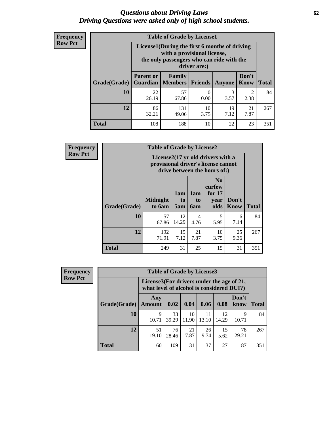## *Questions about Driving Laws* **62** *Driving Questions were asked only of high school students.*

| <b>Frequency</b> |
|------------------|
| <b>Row Pct</b>   |

| <b>Table of Grade by License1</b> |                  |                                                                                                                                           |                |               |               |              |  |  |  |  |
|-----------------------------------|------------------|-------------------------------------------------------------------------------------------------------------------------------------------|----------------|---------------|---------------|--------------|--|--|--|--|
|                                   |                  | License1(During the first 6 months of driving<br>with a provisional license,<br>the only passengers who can ride with the<br>driver are:) |                |               |               |              |  |  |  |  |
| Grade(Grade)                      | <b>Parent or</b> | Family<br><b>Guardian</b>   Members                                                                                                       | <b>Friends</b> | <b>Anyone</b> | Don't<br>Know | <b>Total</b> |  |  |  |  |
| 10                                | 22<br>26.19      | 57<br>67.86                                                                                                                               | 0.00           | 3<br>3.57     | 2<br>2.38     | 84           |  |  |  |  |
| 12                                | 86<br>32.21      | 10<br>131<br>19<br>21<br>7.12<br>7.87<br>49.06<br>3.75                                                                                    |                |               |               |              |  |  |  |  |
| <b>Total</b>                      | 108              | 188                                                                                                                                       | 10             | 22            | 23            | 351          |  |  |  |  |

| Frequency      |              | <b>Table of Grade by License2</b>                                                                        |                  |                  |                                                      |                      |              |  |
|----------------|--------------|----------------------------------------------------------------------------------------------------------|------------------|------------------|------------------------------------------------------|----------------------|--------------|--|
| <b>Row Pct</b> |              | License2(17 yr old drivers with a<br>provisional driver's license cannot<br>drive between the hours of:) |                  |                  |                                                      |                      |              |  |
|                | Grade(Grade) | <b>Midnight</b><br>to 6am                                                                                | 1am<br>to<br>5am | 1am<br>to<br>6am | N <sub>0</sub><br>curfew<br>for $17$<br>year<br>olds | Don't<br><b>Know</b> | <b>Total</b> |  |
|                | 10           | 57<br>67.86                                                                                              | 12<br>14.29      | 4<br>4.76        | 5<br>5.95                                            | 6<br>7.14            | 84           |  |
|                | 12           | 192<br>71.91                                                                                             | 19<br>7.12       | 21<br>7.87       | 10<br>3.75                                           | 25<br>9.36           | 267          |  |
|                | <b>Total</b> | 249                                                                                                      | 31               | 25               | 15                                                   | 31                   | 351          |  |

| <b>Frequency</b> |              | <b>Table of Grade by License3</b> |                                                                                        |             |             |             |               |              |  |
|------------------|--------------|-----------------------------------|----------------------------------------------------------------------------------------|-------------|-------------|-------------|---------------|--------------|--|
| <b>Row Pct</b>   |              |                                   | License3(For drivers under the age of 21,<br>what level of alcohol is considered DUI?) |             |             |             |               |              |  |
|                  | Grade(Grade) | Any<br><b>Amount</b>              | 0.02                                                                                   | 0.04        | 0.06        | 0.08        | Don't<br>know | <b>Total</b> |  |
|                  | <b>10</b>    | 9<br>10.71                        | 33<br>39.29                                                                            | 10<br>11.90 | 11<br>13.10 | 12<br>14.29 | 9<br>10.71    | 84           |  |
|                  | 12           | 51<br>19.10                       | 76<br>28.46                                                                            | 21<br>7.87  | 26<br>9.74  | 15<br>5.62  | 78<br>29.21   | 267          |  |
|                  | Total        | 60                                | 109                                                                                    | 31          | 37          | 27          | 87            | 351          |  |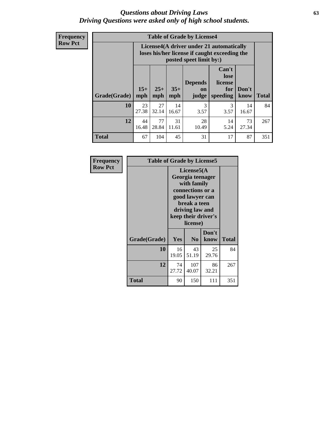## *Questions about Driving Laws* **63** *Driving Questions were asked only of high school students.*

**Frequency Row Pct**

|              |             |                                                                                                                                                                                                                                                                                |             | <b>Table of Grade by License4</b> |           |             |     |  |  |  |
|--------------|-------------|--------------------------------------------------------------------------------------------------------------------------------------------------------------------------------------------------------------------------------------------------------------------------------|-------------|-----------------------------------|-----------|-------------|-----|--|--|--|
|              |             | License4(A driver under 21 automatically<br>loses his/her license if caught exceeding the<br>posted speet limit by:)<br>Can't<br>lose<br><b>Depends</b><br>license<br>$15+$<br>$25+$<br>$35+$<br>Don't<br>for<br>on<br><b>Total</b><br>mph<br>speeding<br>know<br>mph<br>judge |             |                                   |           |             |     |  |  |  |
| Grade(Grade) | mph         |                                                                                                                                                                                                                                                                                |             |                                   |           |             |     |  |  |  |
| 10           | 23<br>27.38 | 27<br>32.14                                                                                                                                                                                                                                                                    | 14<br>16.67 | $\mathcal{R}$<br>3.57             | 3<br>3.57 | 14<br>16.67 | 84  |  |  |  |
| 12           | 44<br>16.48 | 77<br>31<br>28<br>14<br>73<br>11.61<br>10.49<br>28.84<br>5.24<br>27.34                                                                                                                                                                                                         |             |                                   |           |             |     |  |  |  |
| <b>Total</b> | 67          | 104                                                                                                                                                                                                                                                                            | 45          | 31                                | 17        | 87          | 351 |  |  |  |

| Frequency      | <b>Table of Grade by License5</b> |                                                                                                                                                             |                |               |       |
|----------------|-----------------------------------|-------------------------------------------------------------------------------------------------------------------------------------------------------------|----------------|---------------|-------|
| <b>Row Pct</b> |                                   | License5(A)<br>Georgia teenager<br>with family<br>connections or a<br>good lawyer can<br>break a teen<br>driving law and<br>keep their driver's<br>license) |                |               |       |
|                | Grade(Grade)                      | Yes                                                                                                                                                         | N <sub>0</sub> | Don't<br>know | Total |
|                | 10                                | 16<br>19.05                                                                                                                                                 | 43<br>51.19    | 25<br>29.76   | 84    |
|                | 12                                | 74<br>27.72                                                                                                                                                 | 107<br>40.07   | 86<br>32.21   | 267   |
|                | <b>Total</b>                      | 90                                                                                                                                                          | 150            | 111           | 351   |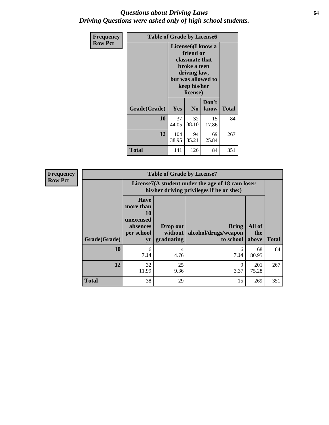## *Questions about Driving Laws* **64** *Driving Questions were asked only of high school students.*

| <b>Frequency</b> |              | <b>Table of Grade by License6</b> |                                                                                                                                                 |               |              |  |  |  |
|------------------|--------------|-----------------------------------|-------------------------------------------------------------------------------------------------------------------------------------------------|---------------|--------------|--|--|--|
| <b>Row Pct</b>   |              |                                   | License <sub>6</sub> (I know a<br>friend or<br>classmate that<br>broke a teen<br>driving law,<br>but was allowed to<br>keep his/her<br>license) |               |              |  |  |  |
|                  | Grade(Grade) | Yes                               | N <sub>0</sub>                                                                                                                                  | Don't<br>know | <b>Total</b> |  |  |  |
|                  | 10           | 37<br>44.05                       | 32<br>38.10                                                                                                                                     | 15<br>17.86   | 84           |  |  |  |
|                  | 12           | 104<br>38.95                      | 94<br>35.21                                                                                                                                     | 69<br>25.84   | 267          |  |  |  |
|                  | <b>Total</b> | 141                               | 126                                                                                                                                             | 84            | 351          |  |  |  |

| Frequency      |              |                                                                             | <b>Table of Grade by License7</b>                                                             |                                                   |                        |              |  |
|----------------|--------------|-----------------------------------------------------------------------------|-----------------------------------------------------------------------------------------------|---------------------------------------------------|------------------------|--------------|--|
| <b>Row Pct</b> |              |                                                                             | License7(A student under the age of 18 cam loser<br>his/her driving privileges if he or she:) |                                                   |                        |              |  |
|                | Grade(Grade) | <b>Have</b><br>more than<br>10<br>unexcused<br>absences<br>per school<br>yr | Drop out<br>without  <br>graduating                                                           | <b>Bring</b><br>alcohol/drugs/weapon<br>to school | All of<br>the<br>above | <b>Total</b> |  |
|                | 10           | 6<br>7.14                                                                   | 4<br>4.76                                                                                     | 6<br>7.14                                         | 68<br>80.95            | 84           |  |
|                | 12           | 32<br>11.99                                                                 | 25<br>9.36                                                                                    | 9<br>3.37                                         | 201<br>75.28           | 267          |  |
|                | <b>Total</b> | 38                                                                          | 29                                                                                            | 15                                                | 269                    | 351          |  |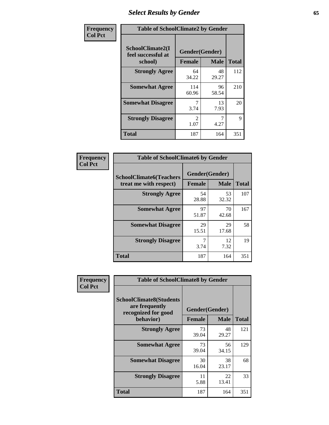# *Select Results by Gender* **65**

| Frequency      | <b>Table of SchoolClimate2 by Gender</b>          |                                 |             |              |
|----------------|---------------------------------------------------|---------------------------------|-------------|--------------|
| <b>Col Pct</b> | SchoolClimate2(I<br>feel successful at<br>school) | Gender(Gender)<br><b>Female</b> | <b>Male</b> | <b>Total</b> |
|                | <b>Strongly Agree</b>                             | 64<br>34.22                     | 48<br>29.27 | 112          |
|                | <b>Somewhat Agree</b>                             | 114<br>60.96                    | 96<br>58.54 | 210          |
|                | <b>Somewhat Disagree</b>                          | 7<br>3.74                       | 13<br>7.93  | 20           |
|                | <b>Strongly Disagree</b>                          | $\mathcal{L}$<br>1.07           | 7<br>4.27   | 9            |
|                | <b>Total</b>                                      | 187                             | 164         | 351          |

| Frequency      | <b>Table of SchoolClimate6 by Gender</b>                 |                                 |             |              |  |
|----------------|----------------------------------------------------------|---------------------------------|-------------|--------------|--|
| <b>Col Pct</b> | <b>SchoolClimate6(Teachers</b><br>treat me with respect) | Gender(Gender)<br><b>Female</b> | <b>Male</b> | <b>Total</b> |  |
|                | <b>Strongly Agree</b>                                    | 54<br>28.88                     | 53<br>32.32 | 107          |  |
|                | <b>Somewhat Agree</b>                                    | 97<br>51.87                     | 70<br>42.68 | 167          |  |
|                | <b>Somewhat Disagree</b>                                 | 29<br>15.51                     | 29<br>17.68 | 58           |  |
|                | <b>Strongly Disagree</b>                                 | 7<br>3.74                       | 12<br>7.32  | 19           |  |
|                | <b>Total</b>                                             | 187                             | 164         | 351          |  |

| Frequency      | <b>Table of SchoolClimate8 by Gender</b>                                             |                                 |             |              |
|----------------|--------------------------------------------------------------------------------------|---------------------------------|-------------|--------------|
| <b>Col Pct</b> | <b>SchoolClimate8(Students</b><br>are frequently<br>recognized for good<br>behavior) | Gender(Gender)<br><b>Female</b> | <b>Male</b> | <b>Total</b> |
|                | <b>Strongly Agree</b>                                                                | 73<br>39.04                     | 48<br>29.27 | 121          |
|                | <b>Somewhat Agree</b>                                                                | 73<br>39.04                     | 56<br>34.15 | 129          |
|                | <b>Somewhat Disagree</b>                                                             | 30<br>16.04                     | 38<br>23.17 | 68           |
|                | <b>Strongly Disagree</b>                                                             | 11<br>5.88                      | 22<br>13.41 | 33           |
|                | Total                                                                                | 187                             | 164         | 351          |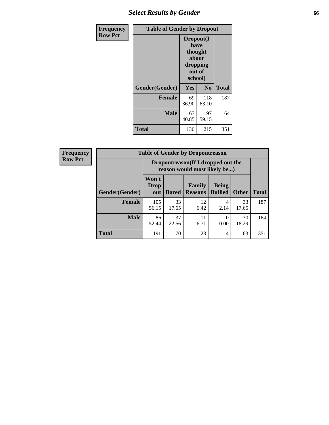# *Select Results by Gender* **66**

| Frequency      | <b>Table of Gender by Dropout</b> |                                                                        |                |              |
|----------------|-----------------------------------|------------------------------------------------------------------------|----------------|--------------|
| <b>Row Pct</b> |                                   | Dropout(I<br>have<br>thought<br>about<br>dropping<br>out of<br>school) |                |              |
|                | Gender(Gender)                    | Yes                                                                    | N <sub>0</sub> | <b>Total</b> |
|                | <b>Female</b>                     | 69<br>36.90                                                            | 118<br>63.10   | 187          |
|                | <b>Male</b>                       | 67<br>40.85                                                            | 97<br>59.15    | 164          |
|                | <b>Total</b>                      | 136                                                                    | 215            | 351          |

| <b>Frequency</b> | <b>Table of Gender by Dropoutreason</b> |                                                                    |              |                          |                                |              |              |
|------------------|-----------------------------------------|--------------------------------------------------------------------|--------------|--------------------------|--------------------------------|--------------|--------------|
| <b>Row Pct</b>   |                                         | Dropoutreason(If I dropped out the<br>reason would most likely be) |              |                          |                                |              |              |
|                  | Gender(Gender)                          | Won't<br><b>Drop</b><br>out                                        | <b>Bored</b> | Family<br><b>Reasons</b> | <b>Being</b><br><b>Bullied</b> | <b>Other</b> | <b>Total</b> |
|                  | <b>Female</b>                           | 105<br>56.15                                                       | 33<br>17.65  | 12<br>6.42               | $\overline{4}$<br>2.14         | 33<br>17.65  | 187          |
|                  | <b>Male</b>                             | 86<br>52.44                                                        | 37<br>22.56  | 11<br>6.71               | 0<br>0.00                      | 30<br>18.29  | 164          |
|                  | <b>Total</b>                            | 191                                                                | 70           | 23                       | $\overline{4}$                 | 63           | 351          |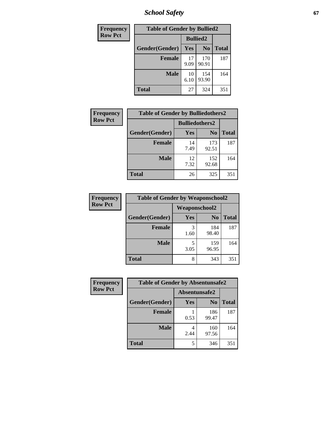*School Safety* **67**

| Frequency      | <b>Table of Gender by Bullied2</b> |                 |                |              |
|----------------|------------------------------------|-----------------|----------------|--------------|
| <b>Row Pct</b> |                                    | <b>Bullied2</b> |                |              |
|                | Gender(Gender)                     | Yes             | N <sub>0</sub> | <b>Total</b> |
|                | <b>Female</b>                      | 17<br>9.09      | 170<br>90.91   | 187          |
|                | <b>Male</b>                        | 10<br>6.10      | 154<br>93.90   | 164          |
|                | <b>Total</b>                       | 27              | 324            | 351          |

| Frequency      | <b>Table of Gender by Bulliedothers2</b> |                       |                |              |
|----------------|------------------------------------------|-----------------------|----------------|--------------|
| <b>Row Pct</b> |                                          | <b>Bulliedothers2</b> |                |              |
|                | Gender(Gender)                           | <b>Yes</b>            | N <sub>0</sub> | <b>Total</b> |
|                | <b>Female</b>                            | 14<br>7.49            | 173<br>92.51   | 187          |
|                | <b>Male</b>                              | 12<br>7.32            | 152<br>92.68   | 164          |
|                | <b>Total</b>                             | 26                    | 325            | 351          |

| Frequency      | <b>Table of Gender by Weaponschool2</b> |                      |                |              |
|----------------|-----------------------------------------|----------------------|----------------|--------------|
| <b>Row Pct</b> |                                         | <b>Weaponschool2</b> |                |              |
|                | Gender(Gender)                          | Yes                  | N <sub>0</sub> | <b>Total</b> |
|                | <b>Female</b>                           | 1.60                 | 184<br>98.40   | 187          |
|                | <b>Male</b>                             | 3.05                 | 159<br>96.95   | 164          |
|                | <b>Total</b>                            | 8                    | 343            | 351          |

| Frequency      | <b>Table of Gender by Absentunsafe2</b> |               |                |              |
|----------------|-----------------------------------------|---------------|----------------|--------------|
| <b>Row Pct</b> |                                         | Absentunsafe2 |                |              |
|                | Gender(Gender)                          | Yes           | N <sub>0</sub> | <b>Total</b> |
|                | <b>Female</b>                           | 0.53          | 186<br>99.47   | 187          |
|                | <b>Male</b>                             | 4<br>2.44     | 160<br>97.56   | 164          |
|                | <b>Total</b>                            |               | 346            | 351          |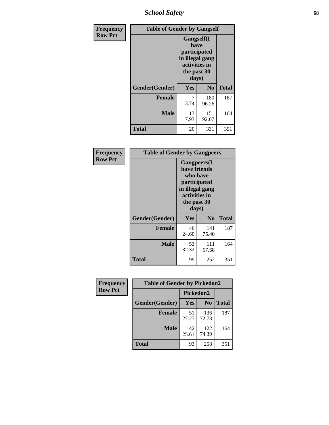*School Safety* **68**

| Frequency      | <b>Table of Gender by Gangself</b> |                                                                                                        |                |              |
|----------------|------------------------------------|--------------------------------------------------------------------------------------------------------|----------------|--------------|
| <b>Row Pct</b> |                                    | <b>Gangself</b> (I<br>have<br>participated<br>in illegal gang<br>activities in<br>the past 30<br>days) |                |              |
|                | Gender(Gender)                     | Yes                                                                                                    | N <sub>0</sub> | <b>Total</b> |
|                | <b>Female</b>                      | 7<br>3.74                                                                                              | 180<br>96.26   | 187          |
|                | <b>Male</b>                        | 13<br>7.93                                                                                             | 151<br>92.07   | 164          |
|                | <b>Total</b>                       | 20                                                                                                     | 331            | 351          |

| Frequency      | <b>Table of Gender by Gangpeers</b> |                                                                                                                             |                |              |
|----------------|-------------------------------------|-----------------------------------------------------------------------------------------------------------------------------|----------------|--------------|
| <b>Row Pct</b> |                                     | <b>Gangpeers</b> (I<br>have friends<br>who have<br>participated<br>in illegal gang<br>activities in<br>the past 30<br>days) |                |              |
|                | Gender(Gender)                      | <b>Yes</b>                                                                                                                  | N <sub>0</sub> | <b>Total</b> |
|                | <b>Female</b>                       | 46<br>24.60                                                                                                                 | 141<br>75.40   | 187          |
|                | Male                                | 53<br>32.32                                                                                                                 | 111<br>67.68   | 164          |
|                | Total                               | 99                                                                                                                          | 252            | 351          |

| Frequency      | <b>Table of Gender by Pickedon2</b> |             |                |              |
|----------------|-------------------------------------|-------------|----------------|--------------|
| <b>Row Pct</b> |                                     | Pickedon2   |                |              |
|                | Gender(Gender)                      | Yes         | N <sub>0</sub> | <b>Total</b> |
|                | <b>Female</b>                       | 51<br>27.27 | 136<br>72.73   | 187          |
|                | <b>Male</b>                         | 42<br>25.61 | 122<br>74.39   | 164          |
|                | <b>Total</b>                        | 93          | 258            | 351          |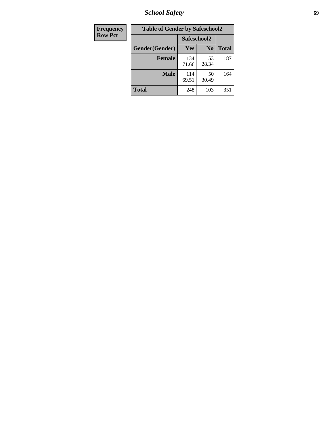*School Safety* **69**

| Frequency      | <b>Table of Gender by Safeschool2</b> |              |                |              |
|----------------|---------------------------------------|--------------|----------------|--------------|
| <b>Row Pct</b> |                                       | Safeschool2  |                |              |
|                | Gender(Gender)                        | <b>Yes</b>   | N <sub>0</sub> | <b>Total</b> |
|                | <b>Female</b>                         | 134<br>71.66 | 53<br>28.34    | 187          |
|                | Male                                  | 114<br>69.51 | 50<br>30.49    | 164          |
|                | <b>Total</b>                          | 248          | 103            | 351          |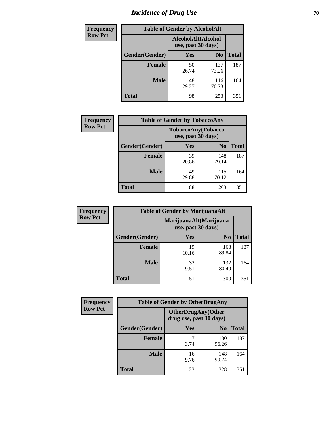# *Incidence of Drug Use* **70**

| <b>Frequency</b> | <b>Table of Gender by AlcoholAlt</b>     |             |                |              |
|------------------|------------------------------------------|-------------|----------------|--------------|
| <b>Row Pct</b>   | AlcoholAlt(Alcohol<br>use, past 30 days) |             |                |              |
|                  | Gender(Gender)                           | Yes         | N <sub>0</sub> | <b>Total</b> |
|                  | <b>Female</b>                            | 50<br>26.74 | 137<br>73.26   | 187          |
|                  | <b>Male</b>                              | 48<br>29.27 | 116<br>70.73   | 164          |
|                  | <b>Total</b>                             | 98          | 253            | 351          |

| <b>Frequency</b> | <b>Table of Gender by TobaccoAny</b> |                                          |                |              |
|------------------|--------------------------------------|------------------------------------------|----------------|--------------|
| <b>Row Pct</b>   |                                      | TobaccoAny(Tobacco<br>use, past 30 days) |                |              |
|                  | Gender(Gender)                       | Yes                                      | N <sub>0</sub> | <b>Total</b> |
|                  | <b>Female</b>                        | 39<br>20.86                              | 148<br>79.14   | 187          |
|                  | <b>Male</b>                          | 49<br>29.88                              | 115<br>70.12   | 164          |
|                  | <b>Total</b>                         | 88                                       | 263            | 351          |

| <b>Frequency</b> | <b>Table of Gender by MarijuanaAlt</b> |                    |                        |       |
|------------------|----------------------------------------|--------------------|------------------------|-------|
| <b>Row Pct</b>   |                                        | use, past 30 days) | MarijuanaAlt(Marijuana |       |
|                  | Gender(Gender)                         | <b>Yes</b>         | N <sub>0</sub>         | Total |
|                  | <b>Female</b>                          | 19<br>10.16        | 168<br>89.84           | 187   |
|                  | <b>Male</b>                            | 32<br>19.51        | 132<br>80.49           | 164   |
|                  | <b>Total</b>                           | 51                 | 300                    | 351   |

| <b>Frequency</b> | <b>Table of Gender by OtherDrugAny</b> |                         |                           |              |
|------------------|----------------------------------------|-------------------------|---------------------------|--------------|
| <b>Row Pct</b>   |                                        | drug use, past 30 days) | <b>OtherDrugAny(Other</b> |              |
|                  | <b>Gender</b> (Gender)                 | <b>Yes</b>              | N <sub>0</sub>            | <b>Total</b> |
|                  | <b>Female</b>                          | 3.74                    | 180<br>96.26              | 187          |
|                  | <b>Male</b>                            | 16<br>9.76              | 148<br>90.24              | 164          |
|                  | <b>Total</b>                           | 23                      | 328                       | 351          |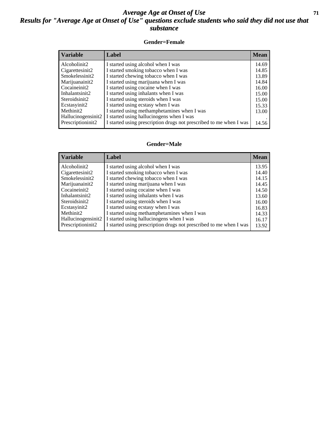## *Average Age at Onset of Use* **71** *Results for "Average Age at Onset of Use" questions exclude students who said they did not use that substance*

## **Gender=Female**

| <b>Variable</b>    | <b>Label</b>                                                       | <b>Mean</b> |
|--------------------|--------------------------------------------------------------------|-------------|
| Alcoholinit2       | I started using alcohol when I was                                 | 14.69       |
| Cigarettesinit2    | I started smoking tobacco when I was                               | 14.85       |
| Smokelessinit2     | I started chewing tobacco when I was                               | 13.89       |
| Marijuanainit2     | I started using marijuana when I was                               | 14.84       |
| Cocaineinit2       | I started using cocaine when I was                                 | 16.00       |
| Inhalantsinit2     | I started using inhalants when I was                               | 15.00       |
| Steroidsinit2      | I started using steroids when I was                                | 15.00       |
| Ecstasyinit2       | I started using ecstasy when I was                                 | 15.33       |
| Methinit2          | I started using methamphetamines when I was                        | 13.00       |
| Hallucinogensinit2 | I started using hallucinogens when I was                           |             |
| Prescription in t2 | I started using prescription drugs not prescribed to me when I was | 14.56       |

### **Gender=Male**

| <b>Variable</b>    | Label                                                              | <b>Mean</b> |
|--------------------|--------------------------------------------------------------------|-------------|
| Alcoholinit2       | I started using alcohol when I was                                 | 13.95       |
| Cigarettesinit2    | I started smoking tobacco when I was                               | 14.40       |
| Smokelessinit2     | I started chewing tobacco when I was                               | 14.15       |
| Marijuanainit2     | I started using marijuana when I was                               | 14.45       |
| Cocaineinit2       | I started using cocaine when I was                                 | 14.50       |
| Inhalantsinit2     | I started using inhalants when I was                               | 13.60       |
| Steroidsinit2      | I started using steroids when I was                                | 16.00       |
| Ecstasyinit2       | I started using ecstasy when I was                                 | 16.83       |
| Methinit2          | I started using methamphetamines when I was                        | 14.33       |
| Hallucinogensinit2 | I started using hallucinogens when I was                           | 16.17       |
| Prescriptioninit2  | I started using prescription drugs not prescribed to me when I was | 13.92       |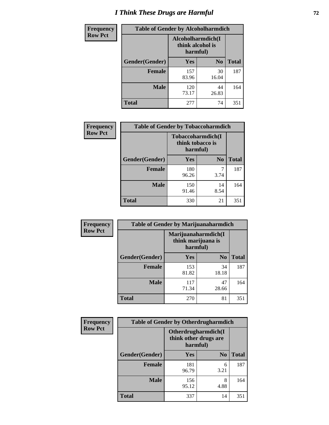# *I Think These Drugs are Harmful* **72**

| Frequency      | <b>Table of Gender by Alcoholharmdich</b> |                  |                               |              |
|----------------|-------------------------------------------|------------------|-------------------------------|--------------|
| <b>Row Pct</b> |                                           | think alcohol is | Alcoholharmdich(I<br>harmful) |              |
|                | Gender(Gender)                            | <b>Yes</b>       | N <sub>0</sub>                | <b>Total</b> |
|                | <b>Female</b>                             | 157<br>83.96     | 30<br>16.04                   | 187          |
|                | <b>Male</b>                               | 120<br>73.17     | 44<br>26.83                   | 164          |
|                | <b>Total</b>                              | 277              | 74                            | 351          |

| <b>Frequency</b> | <b>Table of Gender by Tobaccoharmdich</b> |                                                   |                |              |
|------------------|-------------------------------------------|---------------------------------------------------|----------------|--------------|
| <b>Row Pct</b>   |                                           | Tobaccoharmdich(I<br>think tobacco is<br>harmful) |                |              |
|                  | Gender(Gender)                            | Yes                                               | N <sub>0</sub> | <b>Total</b> |
|                  | <b>Female</b>                             | 180<br>96.26                                      | 7<br>3.74      | 187          |
|                  | <b>Male</b>                               | 150<br>91.46                                      | 14<br>8.54     | 164          |
|                  | <b>Total</b>                              | 330                                               | 21             | 351          |

| Frequency      | <b>Table of Gender by Marijuanaharmdich</b> |                                                       |                |              |  |
|----------------|---------------------------------------------|-------------------------------------------------------|----------------|--------------|--|
| <b>Row Pct</b> |                                             | Marijuanaharmdich(I<br>think marijuana is<br>harmful) |                |              |  |
|                | Gender(Gender)                              | <b>Yes</b>                                            | N <sub>0</sub> | <b>Total</b> |  |
|                | <b>Female</b>                               | 153<br>81.82                                          | 34<br>18.18    | 187          |  |
|                | <b>Male</b>                                 | 117<br>71.34                                          | 47<br>28.66    | 164          |  |
|                | <b>Total</b>                                | 270                                                   | 81             | 351          |  |

| Frequency      | <b>Table of Gender by Otherdrugharmdich</b> |                                                          |                |              |  |
|----------------|---------------------------------------------|----------------------------------------------------------|----------------|--------------|--|
| <b>Row Pct</b> |                                             | Otherdrugharmdich(I<br>think other drugs are<br>harmful) |                |              |  |
|                | Gender(Gender)                              | <b>Yes</b>                                               | N <sub>0</sub> | <b>Total</b> |  |
|                | <b>Female</b>                               | 181<br>96.79                                             | 6<br>3.21      | 187          |  |
|                | <b>Male</b>                                 | 156<br>95.12                                             | 8<br>4.88      | 164          |  |
|                | <b>Total</b>                                | 337                                                      | 14             | 351          |  |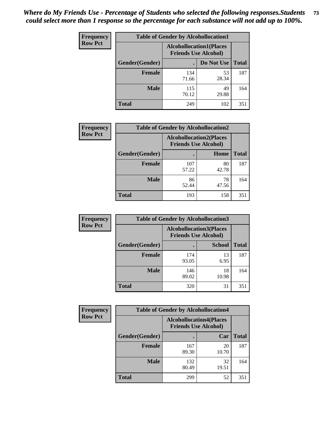| <b>Frequency</b> | <b>Table of Gender by Alcohollocation1</b> |                                                               |             |              |
|------------------|--------------------------------------------|---------------------------------------------------------------|-------------|--------------|
| <b>Row Pct</b>   |                                            | <b>Alcohollocation1(Places</b><br><b>Friends Use Alcohol)</b> |             |              |
|                  | Gender(Gender)                             |                                                               | Do Not Use  | <b>Total</b> |
|                  | <b>Female</b>                              | 134<br>71.66                                                  | 53<br>28.34 | 187          |
|                  | <b>Male</b>                                | 115<br>70.12                                                  | 49<br>29.88 | 164          |
|                  | Total                                      | 249                                                           | 102         | 351          |

| <b>Frequency</b> | <b>Table of Gender by Alcohollocation2</b> |              |                                                               |              |
|------------------|--------------------------------------------|--------------|---------------------------------------------------------------|--------------|
| <b>Row Pct</b>   |                                            |              | <b>Alcohollocation2(Places</b><br><b>Friends Use Alcohol)</b> |              |
|                  | Gender(Gender)                             |              | Home                                                          | <b>Total</b> |
|                  | <b>Female</b>                              | 107<br>57.22 | 80<br>42.78                                                   | 187          |
|                  | <b>Male</b>                                | 86<br>52.44  | 78<br>47.56                                                   | 164          |
|                  | <b>Total</b>                               | 193          | 158                                                           | 351          |

| Frequency      | <b>Table of Gender by Alcohollocation3</b> |              |                                                               |              |
|----------------|--------------------------------------------|--------------|---------------------------------------------------------------|--------------|
| <b>Row Pct</b> |                                            |              | <b>Alcohollocation3(Places</b><br><b>Friends Use Alcohol)</b> |              |
|                | Gender(Gender)                             |              | <b>School</b>                                                 | <b>Total</b> |
|                | <b>Female</b>                              | 174<br>93.05 | 13<br>6.95                                                    | 187          |
|                | <b>Male</b>                                | 146<br>89.02 | 18<br>10.98                                                   | 164          |
|                | <b>Total</b>                               | 320          | 31                                                            | 351          |

| Frequency      | <b>Table of Gender by Alcohollocation4</b> |              |                                                               |              |
|----------------|--------------------------------------------|--------------|---------------------------------------------------------------|--------------|
| <b>Row Pct</b> |                                            |              | <b>Alcohollocation4(Places</b><br><b>Friends Use Alcohol)</b> |              |
|                | Gender(Gender)                             |              | Car                                                           | <b>Total</b> |
|                | <b>Female</b>                              | 167<br>89.30 | 20<br>10.70                                                   | 187          |
|                | <b>Male</b>                                | 132<br>80.49 | 32<br>19.51                                                   | 164          |
|                | <b>Total</b>                               | 299          | 52                                                            | 351          |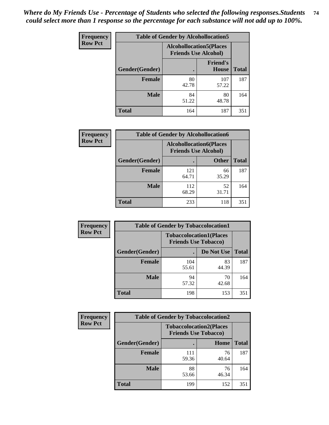| <b>Frequency</b> |                | <b>Table of Gender by Alcohollocation5</b>                    |                                 |              |
|------------------|----------------|---------------------------------------------------------------|---------------------------------|--------------|
| <b>Row Pct</b>   |                | <b>Alcohollocation5(Places</b><br><b>Friends Use Alcohol)</b> |                                 |              |
|                  | Gender(Gender) | $\bullet$                                                     | <b>Friend's</b><br><b>House</b> | <b>Total</b> |
|                  | <b>Female</b>  | 80<br>42.78                                                   | 107<br>57.22                    | 187          |
|                  | <b>Male</b>    | 84<br>51.22                                                   | 80<br>48.78                     | 164          |
|                  | <b>Total</b>   | 164                                                           | 187                             | 351          |

| Frequency      | <b>Table of Gender by Alcohollocation6</b> |                                                               |              |              |  |
|----------------|--------------------------------------------|---------------------------------------------------------------|--------------|--------------|--|
| <b>Row Pct</b> |                                            | <b>Alcohollocation6(Places</b><br><b>Friends Use Alcohol)</b> |              |              |  |
|                | <b>Gender</b> (Gender)                     |                                                               | <b>Other</b> | <b>Total</b> |  |
|                | <b>Female</b>                              | 121<br>64.71                                                  | 66<br>35.29  | 187          |  |
|                | <b>Male</b>                                | 112<br>68.29                                                  | 52<br>31.71  | 164          |  |
|                | <b>Total</b>                               | 233                                                           | 118          | 351          |  |

| Frequency      | <b>Table of Gender by Tobaccolocation1</b> |                                                               |             |              |  |
|----------------|--------------------------------------------|---------------------------------------------------------------|-------------|--------------|--|
| <b>Row Pct</b> |                                            | <b>Tobaccolocation1(Places</b><br><b>Friends Use Tobacco)</b> |             |              |  |
|                | Gender(Gender)                             |                                                               | Do Not Use  | <b>Total</b> |  |
|                | <b>Female</b>                              | 104<br>55.61                                                  | 83<br>44.39 | 187          |  |
|                | <b>Male</b>                                | 94<br>57.32                                                   | 70<br>42.68 | 164          |  |
|                | <b>Total</b>                               | 198                                                           | 153         | 351          |  |

| <b>Frequency</b> | <b>Table of Gender by Tobaccolocation2</b> |                                                               |             |              |  |
|------------------|--------------------------------------------|---------------------------------------------------------------|-------------|--------------|--|
| <b>Row Pct</b>   |                                            | <b>Tobaccolocation2(Places</b><br><b>Friends Use Tobacco)</b> |             |              |  |
|                  | Gender(Gender)                             |                                                               | Home        | <b>Total</b> |  |
|                  | Female                                     | 111<br>59.36                                                  | 76<br>40.64 | 187          |  |
|                  | <b>Male</b>                                | 88<br>53.66                                                   | 76<br>46.34 | 164          |  |
|                  | <b>Total</b>                               | 199                                                           | 152         | 351          |  |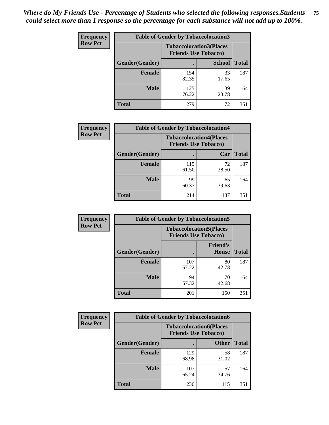| <b>Frequency</b> | <b>Table of Gender by Tobaccolocation3</b> |              |                                                               |              |
|------------------|--------------------------------------------|--------------|---------------------------------------------------------------|--------------|
| <b>Row Pct</b>   |                                            |              | <b>Tobaccolocation3(Places</b><br><b>Friends Use Tobacco)</b> |              |
|                  | Gender(Gender)                             |              | <b>School</b>                                                 | <b>Total</b> |
|                  | <b>Female</b>                              | 154<br>82.35 | 33<br>17.65                                                   | 187          |
|                  | <b>Male</b>                                | 125<br>76.22 | 39<br>23.78                                                   | 164          |
|                  | <b>Total</b>                               | 279          | 72                                                            | 351          |

| <b>Frequency</b> | <b>Table of Gender by Tobaccolocation4</b> |                             |                                |              |
|------------------|--------------------------------------------|-----------------------------|--------------------------------|--------------|
| <b>Row Pct</b>   |                                            | <b>Friends Use Tobacco)</b> | <b>Tobaccolocation4(Places</b> |              |
|                  | Gender(Gender)                             |                             | Car                            | <b>Total</b> |
|                  | <b>Female</b>                              | 115<br>61.50                | 72<br>38.50                    | 187          |
|                  | <b>Male</b>                                | 99<br>60.37                 | 65<br>39.63                    | 164          |
|                  | <b>Total</b>                               | 214                         | 137                            | 351          |

| <b>Frequency</b> | <b>Table of Gender by Tobaccolocation5</b> |                             |                                 |              |
|------------------|--------------------------------------------|-----------------------------|---------------------------------|--------------|
| <b>Row Pct</b>   |                                            | <b>Friends Use Tobacco)</b> | <b>Tobaccolocation5(Places</b>  |              |
|                  | Gender(Gender)                             |                             | <b>Friend's</b><br><b>House</b> | <b>Total</b> |
|                  | <b>Female</b>                              | 107<br>57.22                | 80<br>42.78                     | 187          |
|                  | <b>Male</b>                                | 94<br>57.32                 | 70<br>42.68                     | 164          |
|                  | <b>Total</b>                               | 201                         | 150                             | 351          |

| <b>Frequency</b> | <b>Table of Gender by Tobaccolocation6</b> |                                                               |              |              |  |
|------------------|--------------------------------------------|---------------------------------------------------------------|--------------|--------------|--|
| <b>Row Pct</b>   |                                            | <b>Tobaccolocation6(Places</b><br><b>Friends Use Tobacco)</b> |              |              |  |
|                  | Gender(Gender)                             |                                                               | <b>Other</b> | <b>Total</b> |  |
|                  | Female                                     | 129<br>68.98                                                  | 58<br>31.02  | 187          |  |
|                  | <b>Male</b>                                | 107<br>65.24                                                  | 57<br>34.76  | 164          |  |
|                  | <b>Total</b>                               | 236                                                           | 115          | 351          |  |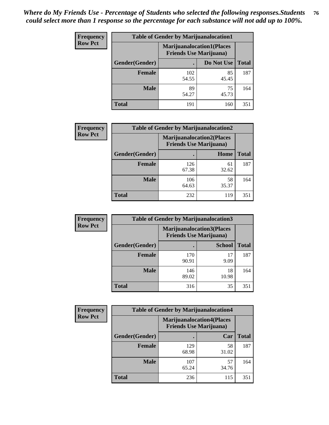| <b>Frequency</b> | <b>Table of Gender by Marijuanalocation1</b> |                                                                    |             |              |
|------------------|----------------------------------------------|--------------------------------------------------------------------|-------------|--------------|
| <b>Row Pct</b>   |                                              | <b>Marijuanalocation1(Places</b><br><b>Friends Use Marijuana</b> ) |             |              |
|                  | Gender(Gender)                               |                                                                    | Do Not Use  | <b>Total</b> |
|                  | <b>Female</b>                                | 102<br>54.55                                                       | 85<br>45.45 | 187          |
|                  | <b>Male</b>                                  | 89<br>54.27                                                        | 75<br>45.73 | 164          |
|                  | <b>Total</b>                                 | 191                                                                | 160         | 351          |

| <b>Frequency</b> | <b>Table of Gender by Marijuanalocation2</b> |                                                                    |             |              |
|------------------|----------------------------------------------|--------------------------------------------------------------------|-------------|--------------|
| <b>Row Pct</b>   |                                              | <b>Marijuanalocation2(Places</b><br><b>Friends Use Marijuana</b> ) |             |              |
|                  | <b>Gender</b> (Gender)                       |                                                                    | Home        | <b>Total</b> |
|                  | <b>Female</b>                                | 126<br>67.38                                                       | 61<br>32.62 | 187          |
|                  | <b>Male</b>                                  | 106<br>64.63                                                       | 58<br>35.37 | 164          |
|                  | <b>Total</b>                                 | 232                                                                | 119         | 351          |

| Frequency      | <b>Table of Gender by Marijuanalocation3</b> |              |                                                                    |              |
|----------------|----------------------------------------------|--------------|--------------------------------------------------------------------|--------------|
| <b>Row Pct</b> |                                              |              | <b>Marijuanalocation3(Places</b><br><b>Friends Use Marijuana</b> ) |              |
|                | Gender(Gender)                               |              | <b>School</b>                                                      | <b>Total</b> |
|                | Female                                       | 170<br>90.91 | 17<br>9.09                                                         | 187          |
|                | <b>Male</b>                                  | 146<br>89.02 | 18<br>10.98                                                        | 164          |
|                | <b>Total</b>                                 | 316          | 35                                                                 | 351          |

| Frequency      | <b>Table of Gender by Marijuanalocation4</b> |                                |                                  |              |
|----------------|----------------------------------------------|--------------------------------|----------------------------------|--------------|
| <b>Row Pct</b> |                                              | <b>Friends Use Marijuana</b> ) | <b>Marijuanalocation4(Places</b> |              |
|                | Gender(Gender)                               |                                | Car                              | <b>Total</b> |
|                | Female                                       | 129<br>68.98                   | 58<br>31.02                      | 187          |
|                | <b>Male</b>                                  | 107<br>65.24                   | 57<br>34.76                      | 164          |
|                | <b>Total</b>                                 | 236                            | 115                              | 351          |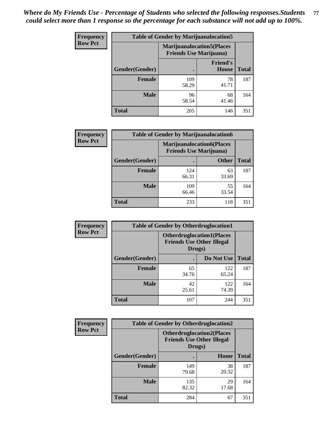| <b>Frequency</b> | <b>Table of Gender by Marijuanalocation5</b> |                                                                    |                          |              |
|------------------|----------------------------------------------|--------------------------------------------------------------------|--------------------------|--------------|
| <b>Row Pct</b>   |                                              | <b>Marijuanalocation5(Places</b><br><b>Friends Use Marijuana</b> ) |                          |              |
|                  | Gender(Gender)                               |                                                                    | <b>Friend's</b><br>House | <b>Total</b> |
|                  | <b>Female</b>                                | 109<br>58.29                                                       | 78<br>41.71              | 187          |
|                  | <b>Male</b>                                  | 96<br>58.54                                                        | 68<br>41.46              | 164          |
|                  | <b>Total</b>                                 | 205                                                                | 146                      | 351          |

| <b>Frequency</b> | <b>Table of Gender by Marijuanalocation6</b> |                                                                    |              |              |
|------------------|----------------------------------------------|--------------------------------------------------------------------|--------------|--------------|
| <b>Row Pct</b>   |                                              | <b>Marijuanalocation6(Places</b><br><b>Friends Use Marijuana</b> ) |              |              |
|                  | <b>Gender</b> (Gender)                       |                                                                    | <b>Other</b> | <b>Total</b> |
|                  | Female                                       | 124<br>66.31                                                       | 63<br>33.69  | 187          |
|                  | <b>Male</b>                                  | 109<br>66.46                                                       | 55<br>33.54  | 164          |
|                  | Total                                        | 233                                                                | 118          | 351          |

| Frequency      | <b>Table of Gender by Otherdruglocation1</b> |                                                                                |              |              |
|----------------|----------------------------------------------|--------------------------------------------------------------------------------|--------------|--------------|
| <b>Row Pct</b> |                                              | <b>Otherdruglocation1(Places</b><br><b>Friends Use Other Illegal</b><br>Drugs) |              |              |
|                | Gender(Gender)                               |                                                                                | Do Not Use   | <b>Total</b> |
|                | <b>Female</b>                                | 65<br>34.76                                                                    | 122<br>65.24 | 187          |
|                | <b>Male</b>                                  | 42<br>25.61                                                                    | 122<br>74.39 | 164          |
|                | <b>Total</b>                                 | 107                                                                            | 244          | 351          |

| <b>Frequency</b> | <b>Table of Gender by Otherdruglocation2</b> |                                            |                                  |              |
|------------------|----------------------------------------------|--------------------------------------------|----------------------------------|--------------|
| <b>Row Pct</b>   |                                              | <b>Friends Use Other Illegal</b><br>Drugs) | <b>Otherdruglocation2(Places</b> |              |
|                  | Gender(Gender)                               |                                            | Home                             | <b>Total</b> |
|                  | <b>Female</b>                                | 149<br>79.68                               | 38<br>20.32                      | 187          |
|                  | <b>Male</b>                                  | 135<br>82.32                               | 29<br>17.68                      | 164          |
|                  | <b>Total</b>                                 | 284                                        | 67                               | 351          |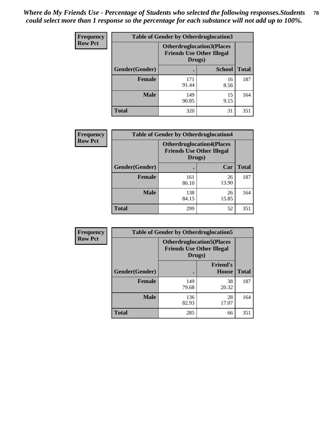| <b>Frequency</b> | <b>Table of Gender by Otherdruglocation3</b> |                                                                                |               |              |
|------------------|----------------------------------------------|--------------------------------------------------------------------------------|---------------|--------------|
| <b>Row Pct</b>   |                                              | <b>Otherdruglocation3(Places</b><br><b>Friends Use Other Illegal</b><br>Drugs) |               |              |
|                  | Gender(Gender)                               |                                                                                | <b>School</b> | <b>Total</b> |
|                  | <b>Female</b>                                | 171<br>91.44                                                                   | 16<br>8.56    | 187          |
|                  | <b>Male</b>                                  | 149<br>90.85                                                                   | 15<br>9.15    | 164          |
|                  | <b>Total</b>                                 | 320                                                                            | 31            | 351          |

| <b>Frequency</b> | <b>Table of Gender by Otherdruglocation4</b> |                                                                                |             |              |
|------------------|----------------------------------------------|--------------------------------------------------------------------------------|-------------|--------------|
| <b>Row Pct</b>   |                                              | <b>Otherdruglocation4(Places</b><br><b>Friends Use Other Illegal</b><br>Drugs) |             |              |
|                  | Gender(Gender)                               |                                                                                | Car         | <b>Total</b> |
|                  | <b>Female</b>                                | 161<br>86.10                                                                   | 26<br>13.90 | 187          |
|                  | <b>Male</b>                                  | 138<br>84.15                                                                   | 26<br>15.85 | 164          |
|                  | <b>Total</b>                                 | 299                                                                            | 52          | 351          |

| Frequency      | <b>Table of Gender by Otherdruglocation5</b>                                   |              |                                 |              |
|----------------|--------------------------------------------------------------------------------|--------------|---------------------------------|--------------|
| <b>Row Pct</b> | <b>Otherdruglocation5(Places</b><br><b>Friends Use Other Illegal</b><br>Drugs) |              |                                 |              |
|                | Gender(Gender)                                                                 |              | <b>Friend's</b><br><b>House</b> | <b>Total</b> |
|                | <b>Female</b>                                                                  | 149<br>79.68 | 38<br>20.32                     | 187          |
|                | <b>Male</b>                                                                    | 136<br>82.93 | 28<br>17.07                     | 164          |
|                | <b>Total</b>                                                                   | 285          | 66                              | 351          |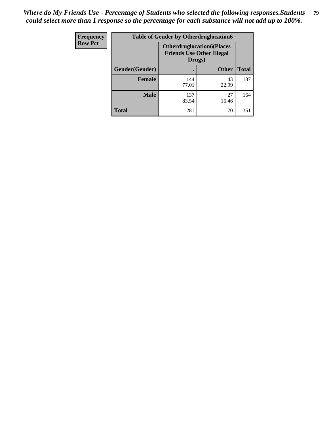| Frequency      | <b>Table of Gender by Otherdruglocation6</b> |                                            |                                  |              |
|----------------|----------------------------------------------|--------------------------------------------|----------------------------------|--------------|
| <b>Row Pct</b> |                                              | <b>Friends Use Other Illegal</b><br>Drugs) | <b>Otherdruglocation6(Places</b> |              |
|                | Gender(Gender)                               |                                            | <b>Other</b>                     | <b>Total</b> |
|                | <b>Female</b>                                | 144<br>77.01                               | 43<br>22.99                      | 187          |
|                | <b>Male</b>                                  | 137<br>83.54                               | 27<br>16.46                      | 164          |
|                | <b>Total</b>                                 | 281                                        | 70                               | 351          |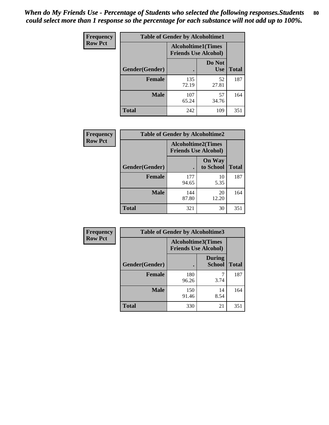| <b>Frequency</b> | <b>Table of Gender by Alcoholtime1</b> |                                                   |                      |              |
|------------------|----------------------------------------|---------------------------------------------------|----------------------|--------------|
| <b>Row Pct</b>   |                                        | Alcoholtime1(Times<br><b>Friends Use Alcohol)</b> |                      |              |
|                  | Gender(Gender)                         |                                                   | Do Not<br><b>Use</b> | <b>Total</b> |
|                  | <b>Female</b>                          | 135<br>72.19                                      | 52<br>27.81          | 187          |
|                  | <b>Male</b>                            | 107<br>65.24                                      | 57<br>34.76          | 164          |
|                  | <b>Total</b>                           | 242                                               | 109                  | 351          |

| Frequency      | <b>Table of Gender by Alcoholtime2</b> |                                                          |                            |              |
|----------------|----------------------------------------|----------------------------------------------------------|----------------------------|--------------|
| <b>Row Pct</b> |                                        | <b>Alcoholtime2(Times</b><br><b>Friends Use Alcohol)</b> |                            |              |
|                | Gender(Gender)                         |                                                          | <b>On Way</b><br>to School | <b>Total</b> |
|                | <b>Female</b>                          | 177<br>94.65                                             | 10<br>5.35                 | 187          |
|                | <b>Male</b>                            | 144<br>87.80                                             | 20<br>12.20                | 164          |
|                | <b>Total</b>                           | 321                                                      | 30                         | 351          |

| Frequency      | <b>Table of Gender by Alcoholtime3</b> |                                                          |                                |              |
|----------------|----------------------------------------|----------------------------------------------------------|--------------------------------|--------------|
| <b>Row Pct</b> |                                        | <b>Alcoholtime3(Times</b><br><b>Friends Use Alcohol)</b> |                                |              |
|                | Gender(Gender)                         |                                                          | <b>During</b><br><b>School</b> | <b>Total</b> |
|                | <b>Female</b>                          | 180<br>96.26                                             | 3.74                           | 187          |
|                | <b>Male</b>                            | 150<br>91.46                                             | 14<br>8.54                     | 164          |
|                | <b>Total</b>                           | 330                                                      | 21                             | 351          |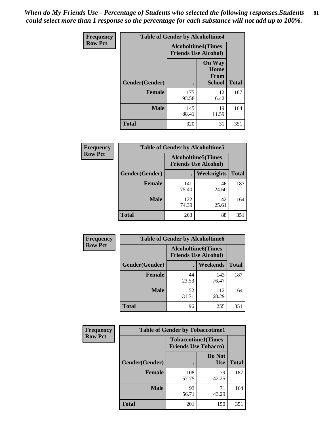*When do My Friends Use - Percentage of Students who selected the following responses.Students could select more than 1 response so the percentage for each substance will not add up to 100%.* **81**

| <b>Frequency</b> | <b>Table of Gender by Alcoholtime4</b> |                                                          |                                                |              |
|------------------|----------------------------------------|----------------------------------------------------------|------------------------------------------------|--------------|
| <b>Row Pct</b>   |                                        | <b>Alcoholtime4(Times</b><br><b>Friends Use Alcohol)</b> |                                                |              |
|                  | Gender(Gender)                         |                                                          | <b>On Way</b><br>Home<br>From<br><b>School</b> | <b>Total</b> |
|                  | <b>Female</b>                          | 175<br>93.58                                             | 12<br>6.42                                     | 187          |
|                  | <b>Male</b>                            | 145<br>88.41                                             | 19<br>11.59                                    | 164          |
|                  | <b>Total</b>                           | 320                                                      | 31                                             | 351          |

| <b>Frequency</b> | <b>Table of Gender by Alcoholtime5</b> |                                                           |             |              |
|------------------|----------------------------------------|-----------------------------------------------------------|-------------|--------------|
| <b>Row Pct</b>   |                                        | <b>Alcoholtime5</b> (Times<br><b>Friends Use Alcohol)</b> |             |              |
|                  | Gender(Gender)                         |                                                           | Weeknights  | <b>Total</b> |
|                  | <b>Female</b>                          | 141<br>75.40                                              | 46<br>24.60 | 187          |
|                  | <b>Male</b>                            | 122<br>74.39                                              | 42<br>25.61 | 164          |
|                  | <b>Total</b>                           | 263                                                       | 88          | 351          |

| <b>Frequency</b> | <b>Table of Gender by Alcoholtime6</b> |             |                                                           |              |
|------------------|----------------------------------------|-------------|-----------------------------------------------------------|--------------|
| <b>Row Pct</b>   |                                        |             | <b>Alcoholtime6</b> (Times<br><b>Friends Use Alcohol)</b> |              |
|                  | Gender(Gender)                         |             | <b>Weekends</b>                                           | <b>Total</b> |
|                  | <b>Female</b>                          | 44<br>23.53 | 143<br>76.47                                              | 187          |
|                  | <b>Male</b>                            | 52<br>31.71 | 112<br>68.29                                              | 164          |
|                  | Total                                  | 96          | 255                                                       | 351          |

| <b>Frequency</b> | <b>Table of Gender by Tobaccotime1</b> |                             |                           |              |
|------------------|----------------------------------------|-----------------------------|---------------------------|--------------|
| <b>Row Pct</b>   |                                        | <b>Friends Use Tobacco)</b> | <b>Tobaccotime1(Times</b> |              |
|                  | Gender(Gender)                         |                             | Do Not<br><b>Use</b>      | <b>Total</b> |
|                  | <b>Female</b>                          | 108<br>57.75                | 79<br>42.25               | 187          |
|                  | <b>Male</b>                            | 93<br>56.71                 | 71<br>43.29               | 164          |
|                  | <b>Total</b>                           | 201                         | 150                       | 351          |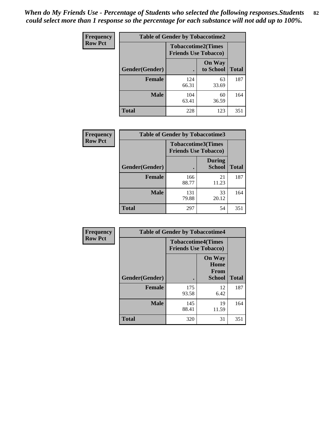| <b>Frequency</b> | <b>Table of Gender by Tobaccotime2</b> |                                                          |                            |              |
|------------------|----------------------------------------|----------------------------------------------------------|----------------------------|--------------|
| <b>Row Pct</b>   |                                        | <b>Tobaccotime2(Times</b><br><b>Friends Use Tobacco)</b> |                            |              |
|                  | Gender(Gender)                         |                                                          | <b>On Way</b><br>to School | <b>Total</b> |
|                  | <b>Female</b>                          | 124<br>66.31                                             | 63<br>33.69                | 187          |
|                  | <b>Male</b>                            | 104<br>63.41                                             | 60<br>36.59                | 164          |
|                  | <b>Total</b>                           | 228                                                      | 123                        | 351          |

| Frequency      | <b>Table of Gender by Tobaccotime3</b> |                             |                                |              |
|----------------|----------------------------------------|-----------------------------|--------------------------------|--------------|
| <b>Row Pct</b> |                                        | <b>Friends Use Tobacco)</b> | <b>Tobaccotime3(Times</b>      |              |
|                | Gender(Gender)                         |                             | <b>During</b><br><b>School</b> | <b>Total</b> |
|                | Female                                 | 166<br>88.77                | 21<br>11.23                    | 187          |
|                | <b>Male</b>                            | 131<br>79.88                | 33<br>20.12                    | 164          |
|                | <b>Total</b>                           | 297                         | 54                             | 351          |

| Frequency      | <b>Table of Gender by Tobaccotime4</b> |                                                          |                                                       |              |
|----------------|----------------------------------------|----------------------------------------------------------|-------------------------------------------------------|--------------|
| <b>Row Pct</b> |                                        | <b>Tobaccotime4(Times</b><br><b>Friends Use Tobacco)</b> |                                                       |              |
|                | Gender(Gender)                         |                                                          | <b>On Way</b><br>Home<br><b>From</b><br><b>School</b> | <b>Total</b> |
|                | <b>Female</b>                          | 175<br>93.58                                             | 12<br>6.42                                            | 187          |
|                | <b>Male</b>                            | 145<br>88.41                                             | 19<br>11.59                                           | 164          |
|                | <b>Total</b>                           | 320                                                      | 31                                                    | 351          |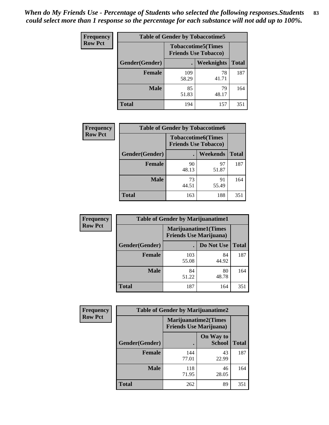| <b>Frequency</b> | <b>Table of Gender by Tobaccotime5</b> |                                                          |                   |              |  |
|------------------|----------------------------------------|----------------------------------------------------------|-------------------|--------------|--|
| <b>Row Pct</b>   |                                        | <b>Tobaccotime5(Times</b><br><b>Friends Use Tobacco)</b> |                   |              |  |
|                  | <b>Gender</b> (Gender)                 |                                                          | <b>Weeknights</b> | <b>Total</b> |  |
|                  | <b>Female</b>                          | 109<br>58.29                                             | 78<br>41.71       | 187          |  |
|                  | <b>Male</b>                            | 85<br>51.83                                              | 79<br>48.17       | 164          |  |
|                  | <b>Total</b>                           | 194                                                      | 157               | 351          |  |

| <b>Frequency</b> | <b>Table of Gender by Tobaccotime6</b> |                                                          |                 |              |
|------------------|----------------------------------------|----------------------------------------------------------|-----------------|--------------|
| <b>Row Pct</b>   |                                        | <b>Tobaccotime6(Times</b><br><b>Friends Use Tobacco)</b> |                 |              |
|                  | Gender(Gender)                         |                                                          | <b>Weekends</b> | <b>Total</b> |
|                  | Female                                 | 90<br>48.13                                              | 97<br>51.87     | 187          |
|                  | <b>Male</b>                            | 73<br>44.51                                              | 91<br>55.49     | 164          |
|                  | <b>Total</b>                           | 163                                                      | 188             | 351          |

| <b>Frequency</b> | <b>Table of Gender by Marijuanatime1</b> |                                                               |             |              |
|------------------|------------------------------------------|---------------------------------------------------------------|-------------|--------------|
| <b>Row Pct</b>   |                                          | <b>Marijuanatime1(Times</b><br><b>Friends Use Marijuana</b> ) |             |              |
|                  | Gender(Gender)                           |                                                               | Do Not Use  | <b>Total</b> |
|                  | <b>Female</b>                            | 103<br>55.08                                                  | 84<br>44.92 | 187          |
|                  | <b>Male</b>                              | 84<br>51.22                                                   | 80<br>48.78 | 164          |
|                  | <b>Total</b>                             | 187                                                           | 164         | 351          |

| <b>Frequency</b> | <b>Table of Gender by Marijuanatime2</b> |                                                               |                            |              |
|------------------|------------------------------------------|---------------------------------------------------------------|----------------------------|--------------|
| <b>Row Pct</b>   |                                          | <b>Marijuanatime2(Times</b><br><b>Friends Use Marijuana</b> ) |                            |              |
|                  | Gender(Gender)                           |                                                               | On Way to<br><b>School</b> | <b>Total</b> |
|                  | Female                                   | 144<br>77.01                                                  | 43<br>22.99                | 187          |
|                  | <b>Male</b>                              | 118<br>71.95                                                  | 46<br>28.05                | 164          |
|                  | <b>Total</b>                             | 262                                                           | 89                         | 351          |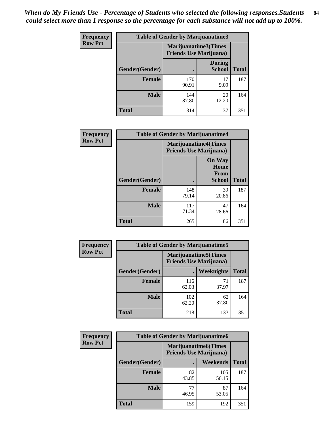*When do My Friends Use - Percentage of Students who selected the following responses.Students could select more than 1 response so the percentage for each substance will not add up to 100%.* **84**

| <b>Frequency</b> | <b>Table of Gender by Marijuanatime3</b> |                                                        |                                |              |
|------------------|------------------------------------------|--------------------------------------------------------|--------------------------------|--------------|
| <b>Row Pct</b>   |                                          | Marijuanatime3(Times<br><b>Friends Use Marijuana</b> ) |                                |              |
|                  | Gender(Gender)                           |                                                        | <b>During</b><br><b>School</b> | <b>Total</b> |
|                  | Female                                   | 170<br>90.91                                           | 17<br>9.09                     | 187          |
|                  | <b>Male</b>                              | 144<br>87.80                                           | 20<br>12.20                    | 164          |
|                  | <b>Total</b>                             | 314                                                    | 37                             | 351          |

| Frequency      | <b>Table of Gender by Marijuanatime4</b> |                                                               |                                                |              |
|----------------|------------------------------------------|---------------------------------------------------------------|------------------------------------------------|--------------|
| <b>Row Pct</b> |                                          | <b>Marijuanatime4(Times</b><br><b>Friends Use Marijuana</b> ) |                                                |              |
|                | Gender(Gender)                           |                                                               | <b>On Way</b><br>Home<br>From<br><b>School</b> | <b>Total</b> |
|                | <b>Female</b>                            | 148<br>79.14                                                  | 39<br>20.86                                    | 187          |
|                | <b>Male</b>                              | 117<br>71.34                                                  | 47<br>28.66                                    | 164          |
|                | <b>Total</b>                             | 265                                                           | 86                                             | 351          |

| <b>Frequency</b> | <b>Table of Gender by Marijuanatime5</b> |              |                                                                |              |
|------------------|------------------------------------------|--------------|----------------------------------------------------------------|--------------|
| <b>Row Pct</b>   |                                          |              | <b>Marijuanatime5</b> (Times<br><b>Friends Use Marijuana</b> ) |              |
|                  | Gender(Gender)                           | ٠            | Weeknights                                                     | <b>Total</b> |
|                  | <b>Female</b>                            | 116<br>62.03 | 71<br>37.97                                                    | 187          |
|                  | <b>Male</b>                              | 102<br>62.20 | 62<br>37.80                                                    | 164          |
|                  | <b>Total</b>                             | 218          | 133                                                            | 351          |

| Frequency      | <b>Table of Gender by Marijuanatime6</b> |                                                               |              |              |  |
|----------------|------------------------------------------|---------------------------------------------------------------|--------------|--------------|--|
| <b>Row Pct</b> |                                          | <b>Marijuanatime6(Times</b><br><b>Friends Use Marijuana</b> ) |              |              |  |
|                | Gender(Gender)                           |                                                               | Weekends     | <b>Total</b> |  |
|                | <b>Female</b>                            | 82<br>43.85                                                   | 105<br>56.15 | 187          |  |
|                | <b>Male</b>                              | 77<br>46.95                                                   | 87<br>53.05  | 164          |  |
|                | <b>Total</b>                             | 159                                                           | 192          | 351          |  |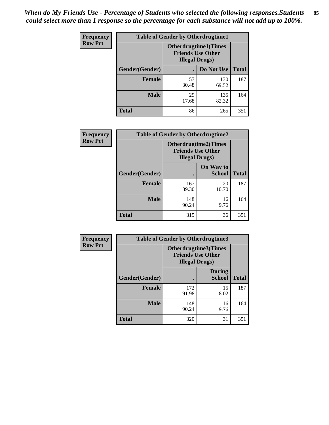| <b>Frequency</b> | <b>Table of Gender by Otherdrugtime1</b> |                                                                                   |              |              |
|------------------|------------------------------------------|-----------------------------------------------------------------------------------|--------------|--------------|
| <b>Row Pct</b>   |                                          | <b>Otherdrugtime1(Times</b><br><b>Friends Use Other</b><br><b>Illegal Drugs</b> ) |              |              |
|                  | Gender(Gender)                           |                                                                                   | Do Not Use   | <b>Total</b> |
|                  | <b>Female</b>                            | 57<br>30.48                                                                       | 130<br>69.52 | 187          |
|                  | <b>Male</b>                              | 29<br>17.68                                                                       | 135<br>82.32 | 164          |
|                  | <b>Total</b>                             | 86                                                                                | 265          | 351          |

| Frequency      | <b>Table of Gender by Otherdrugtime2</b> |                                                                                   |                            |              |
|----------------|------------------------------------------|-----------------------------------------------------------------------------------|----------------------------|--------------|
| <b>Row Pct</b> |                                          | <b>Otherdrugtime2(Times</b><br><b>Friends Use Other</b><br><b>Illegal Drugs</b> ) |                            |              |
|                | Gender(Gender)                           |                                                                                   | On Way to<br><b>School</b> | <b>Total</b> |
|                | <b>Female</b>                            | 167<br>89.30                                                                      | 20<br>10.70                | 187          |
|                | <b>Male</b>                              | 148<br>90.24                                                                      | 16<br>9.76                 | 164          |
|                | <b>Total</b>                             | 315                                                                               | 36                         | 351          |

| Frequency      | <b>Table of Gender by Otherdrugtime3</b> |                        |                                                  |              |
|----------------|------------------------------------------|------------------------|--------------------------------------------------|--------------|
| <b>Row Pct</b> |                                          | <b>Illegal Drugs</b> ) | Otherdrugtime3(Times<br><b>Friends Use Other</b> |              |
|                | Gender(Gender)                           |                        | <b>During</b><br><b>School</b>                   | <b>Total</b> |
|                | <b>Female</b>                            | 172<br>91.98           | 15<br>8.02                                       | 187          |
|                | <b>Male</b>                              | 148<br>90.24           | 16<br>9.76                                       | 164          |
|                | <b>Total</b>                             | 320                    | 31                                               | 351          |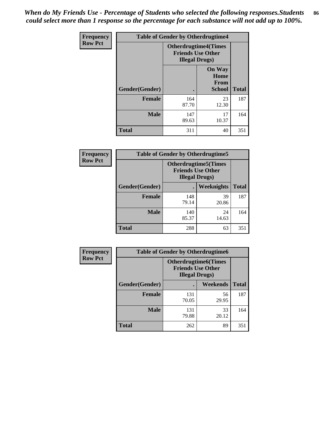*When do My Friends Use - Percentage of Students who selected the following responses.Students could select more than 1 response so the percentage for each substance will not add up to 100%.* **86**

| <b>Frequency</b> | <b>Table of Gender by Otherdrugtime4</b> |                                                                                   |                                                |              |
|------------------|------------------------------------------|-----------------------------------------------------------------------------------|------------------------------------------------|--------------|
| <b>Row Pct</b>   |                                          | <b>Otherdrugtime4(Times</b><br><b>Friends Use Other</b><br><b>Illegal Drugs</b> ) |                                                |              |
|                  | Gender(Gender)                           |                                                                                   | <b>On Way</b><br>Home<br>From<br><b>School</b> | <b>Total</b> |
|                  | Female                                   | 164<br>87.70                                                                      | 23<br>12.30                                    | 187          |
|                  | <b>Male</b>                              | 147<br>89.63                                                                      | 17<br>10.37                                    | 164          |
|                  | <b>Total</b>                             | 311                                                                               | 40                                             | 351          |

| Frequency      | <b>Table of Gender by Otherdrugtime5</b> |                                                                                    |             |              |
|----------------|------------------------------------------|------------------------------------------------------------------------------------|-------------|--------------|
| <b>Row Pct</b> |                                          | <b>Otherdrugtime5</b> (Times<br><b>Friends Use Other</b><br><b>Illegal Drugs</b> ) |             |              |
|                | Gender(Gender)                           |                                                                                    | Weeknights  | <b>Total</b> |
|                | <b>Female</b>                            | 148<br>79.14                                                                       | 39<br>20.86 | 187          |
|                | <b>Male</b>                              | 140<br>85.37                                                                       | 24<br>14.63 | 164          |
|                | <b>Total</b>                             | 288                                                                                | 63          | 351          |

| <b>Frequency</b> | <b>Table of Gender by Otherdrugtime6</b> |                                                                                    |             |              |  |
|------------------|------------------------------------------|------------------------------------------------------------------------------------|-------------|--------------|--|
| <b>Row Pct</b>   |                                          | <b>Otherdrugtime6</b> (Times<br><b>Friends Use Other</b><br><b>Illegal Drugs</b> ) |             |              |  |
|                  | Gender(Gender)                           |                                                                                    | Weekends    | <b>Total</b> |  |
|                  | <b>Female</b>                            | 131<br>70.05                                                                       | 56<br>29.95 | 187          |  |
|                  | <b>Male</b>                              | 131<br>79.88                                                                       | 33<br>20.12 | 164          |  |
|                  | <b>Total</b>                             | 262                                                                                | 89          | 351          |  |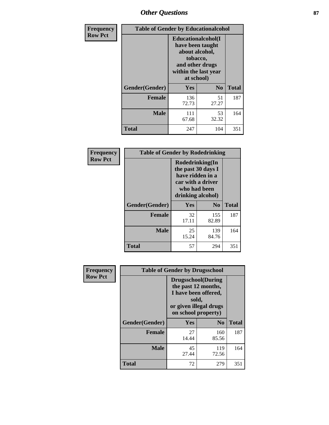# *Other Questions* **87**

| <b>Frequency</b> | <b>Table of Gender by Educationalcohol</b> |                                                                                                                                       |                |              |  |
|------------------|--------------------------------------------|---------------------------------------------------------------------------------------------------------------------------------------|----------------|--------------|--|
| <b>Row Pct</b>   |                                            | <b>Educationalcohol</b> (I<br>have been taught<br>about alcohol,<br>tobacco,<br>and other drugs<br>within the last year<br>at school) |                |              |  |
|                  | Gender(Gender)                             | <b>Yes</b>                                                                                                                            | N <sub>0</sub> | <b>Total</b> |  |
|                  | <b>Female</b>                              | 136<br>72.73                                                                                                                          | 51<br>27.27    | 187          |  |
|                  | <b>Male</b>                                | 111<br>67.68                                                                                                                          | 53<br>32.32    | 164          |  |
|                  | <b>Total</b>                               | 247                                                                                                                                   | 104            | 351          |  |

| Frequency      | <b>Table of Gender by Rodedrinking</b> |                                                                                                                     |                |              |  |
|----------------|----------------------------------------|---------------------------------------------------------------------------------------------------------------------|----------------|--------------|--|
| <b>Row Pct</b> |                                        | Rodedrinking(In<br>the past 30 days I<br>have ridden in a<br>car with a driver<br>who had been<br>drinking alcohol) |                |              |  |
|                | Gender(Gender)                         | Yes                                                                                                                 | N <sub>0</sub> | <b>Total</b> |  |
|                | <b>Female</b>                          | 32<br>17.11                                                                                                         | 155<br>82.89   | 187          |  |
|                | <b>Male</b>                            | 25<br>15.24                                                                                                         | 139<br>84.76   | 164          |  |
|                | <b>Total</b>                           | 57                                                                                                                  | 294            | 351          |  |

| Frequency      | <b>Table of Gender by Drugsschool</b> |                                                                                                                                     |                |              |  |
|----------------|---------------------------------------|-------------------------------------------------------------------------------------------------------------------------------------|----------------|--------------|--|
| <b>Row Pct</b> |                                       | <b>Drugsschool</b> (During<br>the past 12 months,<br>I have been offered,<br>sold,<br>or given illegal drugs<br>on school property) |                |              |  |
|                | Gender(Gender)                        | Yes                                                                                                                                 | N <sub>0</sub> | <b>Total</b> |  |
|                | <b>Female</b>                         | 27<br>14.44                                                                                                                         | 160<br>85.56   | 187          |  |
|                | <b>Male</b>                           | 45<br>27.44                                                                                                                         | 119<br>72.56   | 164          |  |
|                | <b>Total</b>                          | 72                                                                                                                                  | 279            | 351          |  |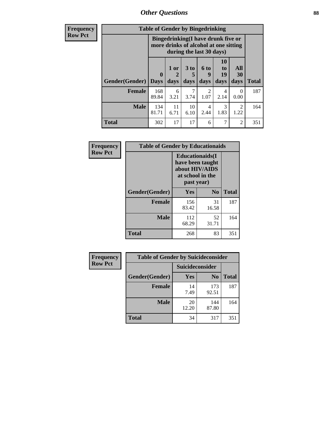*Other Questions* **88**

**Frequency Row Pct**

| <b>Table of Gender by Bingedrinking</b> |                  |                                                                                                                 |                              |                          |                        |                   |              |
|-----------------------------------------|------------------|-----------------------------------------------------------------------------------------------------------------|------------------------------|--------------------------|------------------------|-------------------|--------------|
|                                         |                  | <b>Bingedrinking</b> (I have drunk five or<br>more drinks of alcohol at one sitting<br>during the last 30 days) |                              |                          |                        |                   |              |
| Gender(Gender)                          | 0<br><b>Days</b> | 1 or<br>days                                                                                                    | 3 <sub>to</sub><br>5<br>days | <b>6 to</b><br>9<br>days | 10<br>to<br>19<br>days | All<br>30<br>days | <b>Total</b> |
| <b>Female</b>                           | 168<br>89.84     | 6<br>3.21                                                                                                       | 7<br>3.74                    | 2<br>1.07                | 4<br>2.14              | 0<br>0.00         | 187          |
| <b>Male</b>                             | 134<br>81.71     | 11<br>6.71                                                                                                      | 10<br>6.10                   | 4<br>2.44                | 3<br>1.83              | 2<br>1.22         | 164          |
| <b>Total</b>                            | 302              | 17                                                                                                              | 17                           | 6                        |                        | $\mathfrak{D}$    | 351          |

| Frequency      | <b>Table of Gender by Educationaids</b> |                                                                                                 |             |              |  |
|----------------|-----------------------------------------|-------------------------------------------------------------------------------------------------|-------------|--------------|--|
| <b>Row Pct</b> |                                         | <b>Educationaids</b> (I<br>have been taught<br>about HIV/AIDS<br>at school in the<br>past year) |             |              |  |
|                | Gender(Gender)                          | Yes                                                                                             | $\bf N_0$   | <b>Total</b> |  |
|                | <b>Female</b>                           | 156<br>83.42                                                                                    | 31<br>16.58 | 187          |  |
|                | <b>Male</b>                             | 112<br>68.29                                                                                    | 52<br>31.71 | 164          |  |
|                | <b>Total</b>                            | 268                                                                                             | 83          | 351          |  |

| <b>Frequency</b> | <b>Table of Gender by Suicideconsider</b> |                 |                |              |  |
|------------------|-------------------------------------------|-----------------|----------------|--------------|--|
| <b>Row Pct</b>   |                                           | Suicideconsider |                |              |  |
|                  | Gender(Gender)                            | Yes             | N <sub>0</sub> | <b>Total</b> |  |
|                  | <b>Female</b>                             | 14<br>7.49      | 173<br>92.51   | 187          |  |
|                  | <b>Male</b>                               | 20<br>12.20     | 144<br>87.80   | 164          |  |
|                  | <b>Total</b>                              | 34              | 317            | 351          |  |